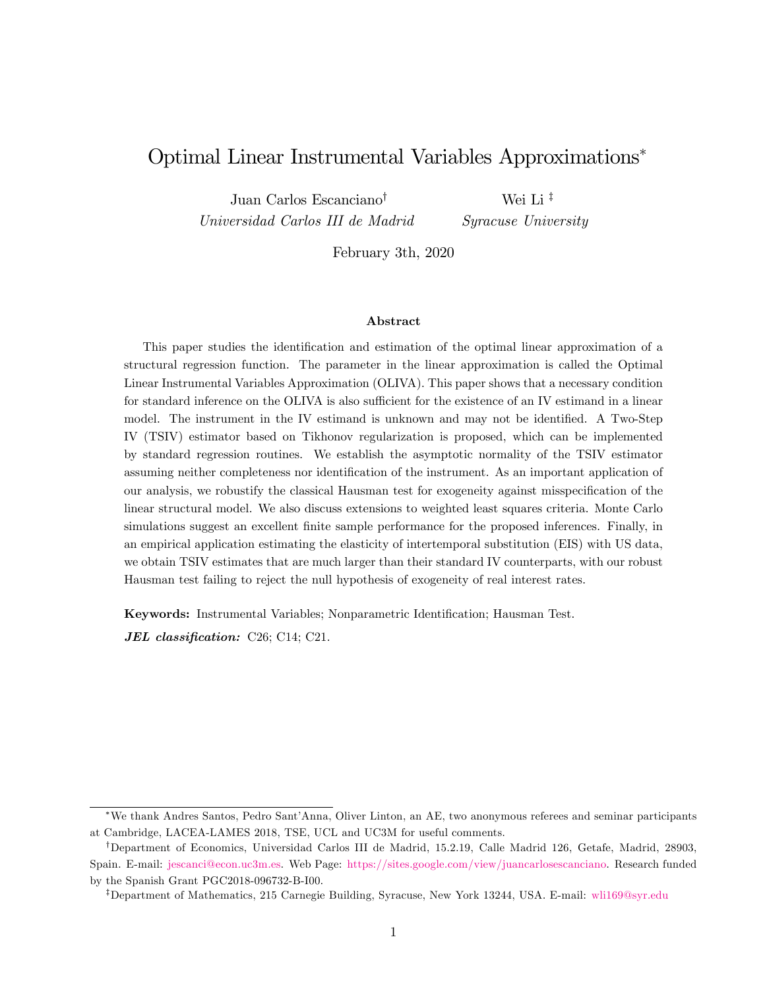# Optimal Linear Instrumental Variables Approximations

Juan Carlos Escanciano<sup>†</sup> Universidad Carlos III de Madrid

Wei Li<sup> $\ddagger$ </sup> Syracuse University

February 3th, 2020

#### Abstract

This paper studies the identification and estimation of the optimal linear approximation of a structural regression function. The parameter in the linear approximation is called the Optimal Linear Instrumental Variables Approximation (OLIVA). This paper shows that a necessary condition for standard inference on the OLIVA is also sufficient for the existence of an IV estimand in a linear model. The instrument in the IV estimand is unknown and may not be identified. A Two-Step IV (TSIV) estimator based on Tikhonov regularization is proposed, which can be implemented by standard regression routines. We establish the asymptotic normality of the TSIV estimator assuming neither completeness nor identification of the instrument. As an important application of our analysis, we robustify the classical Hausman test for exogeneity against misspecification of the linear structural model. We also discuss extensions to weighted least squares criteria. Monte Carlo simulations suggest an excellent finite sample performance for the proposed inferences. Finally, in an empirical application estimating the elasticity of intertemporal substitution (EIS) with US data, we obtain TSIV estimates that are much larger than their standard IV counterparts, with our robust Hausman test failing to reject the null hypothesis of exogeneity of real interest rates.

Keywords: Instrumental Variables; Nonparametric Identification; Hausman Test.

JEL classification:  $C26$ ;  $C14$ ;  $C21$ .

We thank Andres Santos, Pedro SantíAnna, Oliver Linton, an AE, two anonymous referees and seminar participants at Cambridge, LACEA-LAMES 2018, TSE, UCL and UC3M for useful comments.

<sup>&</sup>lt;sup>†</sup>Department of Economics, Universidad Carlos III de Madrid, 15.2.19, Calle Madrid 126, Getafe, Madrid, 28903, Spain. E-mail: [jescanci@econ.uc3m.es.](mailto:jescanci@indiana.edu) Web Page: [https://sites.google.com/view/juancarlosescanciano.](https://sites.google.com/view/juancarlosescanciano) Research funded by the Spanish Grant PGC2018-096732-B-I00.

<sup>&</sup>lt;sup>‡</sup>Department of Mathematics, 215 Carnegie Building, Syracuse, New York 13244, USA. E-mail: [wli169@syr.edu](mailto:wli35@ncsu.edu)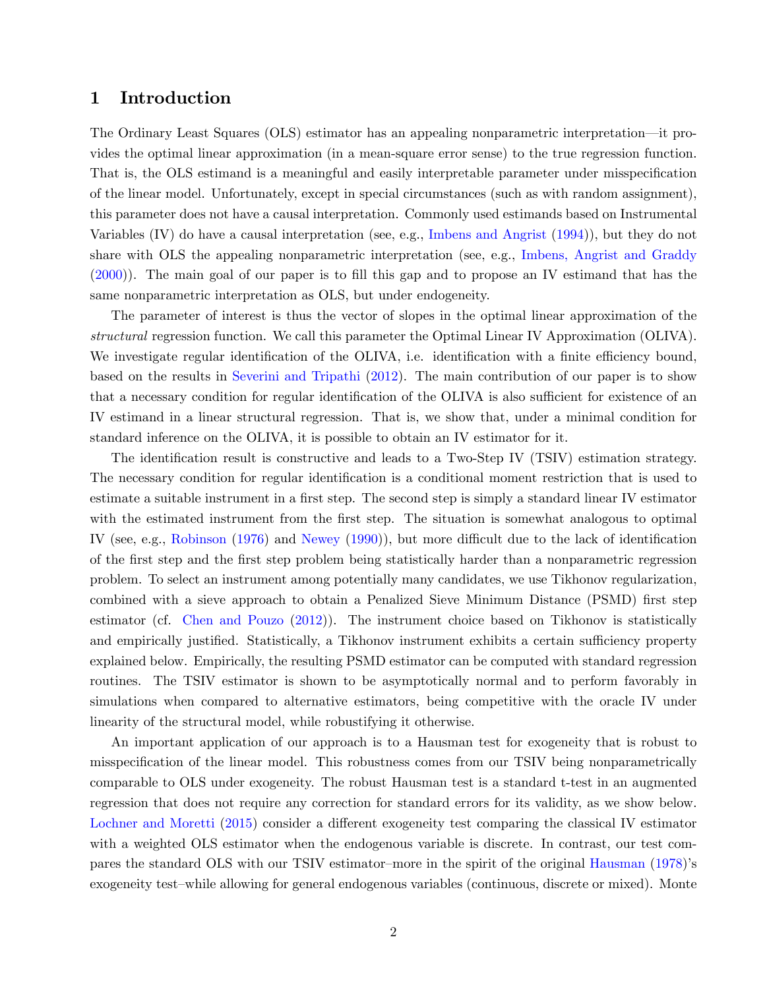### 1 Introduction

The Ordinary Least Squares (OLS) estimator has an appealing nonparametric interpretation—it provides the optimal linear approximation (in a mean-square error sense) to the true regression function. That is, the OLS estimand is a meaningful and easily interpretable parameter under misspecification of the linear model. Unfortunately, except in special circumstances (such as with random assignment), this parameter does not have a causal interpretation. Commonly used estimands based on Instrumental Variables (IV) do have a causal interpretation (see, e.g., [Imbens and Angrist](#page-35-0) [\(1994\)](#page-35-0)), but they do not share with OLS the appealing nonparametric interpretation (see, e.g., [Imbens, Angrist and Graddy](#page-33-0) [\(2000\)](#page-33-0)). The main goal of our paper is to Öll this gap and to propose an IV estimand that has the same nonparametric interpretation as OLS, but under endogeneity.

The parameter of interest is thus the vector of slopes in the optimal linear approximation of the structural regression function. We call this parameter the Optimal Linear IV Approximation (OLIVA). We investigate regular identification of the OLIVA, i.e. identification with a finite efficiency bound, based on the results in [Severini and Tripathi](#page-35-1) [\(2012\)](#page-35-1). The main contribution of our paper is to show that a necessary condition for regular identification of the OLIVA is also sufficient for existence of an IV estimand in a linear structural regression. That is, we show that, under a minimal condition for standard inference on the OLIVA, it is possible to obtain an IV estimator for it.

The identification result is constructive and leads to a Two-Step IV (TSIV) estimation strategy. The necessary condition for regular identification is a conditional moment restriction that is used to estimate a suitable instrument in a first step. The second step is simply a standard linear IV estimator with the estimated instrument from the first step. The situation is somewhat analogous to optimal IV (see, e.g., [Robinson](#page-35-2)  $(1976)$  and [Newey](#page-35-3)  $(1990)$ ), but more difficult due to the lack of identification of the Örst step and the Örst step problem being statistically harder than a nonparametric regression problem. To select an instrument among potentially many candidates, we use Tikhonov regularization, combined with a sieve approach to obtain a Penalized Sieve Minimum Distance (PSMD) first step estimator (cf. [Chen and Pouzo](#page-34-0) [\(2012\)](#page-34-0)). The instrument choice based on Tikhonov is statistically and empirically justified. Statistically, a Tikhonov instrument exhibits a certain sufficiency property explained below. Empirically, the resulting PSMD estimator can be computed with standard regression routines. The TSIV estimator is shown to be asymptotically normal and to perform favorably in simulations when compared to alternative estimators, being competitive with the oracle IV under linearity of the structural model, while robustifying it otherwise.

An important application of our approach is to a Hausman test for exogeneity that is robust to misspecification of the linear model. This robustness comes from our TSIV being nonparametrically comparable to OLS under exogeneity. The robust Hausman test is a standard t-test in an augmented regression that does not require any correction for standard errors for its validity, as we show below. [Lochner and Moretti](#page-35-4) [\(2015\)](#page-35-4) consider a different exogeneity test comparing the classical IV estimator with a weighted OLS estimator when the endogenous variable is discrete. In contrast, our test com-pares the standard OLS with our TSIV estimator–more in the spirit of the original [Hausman](#page-35-5) [\(1978\)](#page-35-5)<sup>'s</sup> exogeneity test-while allowing for general endogenous variables (continuous, discrete or mixed). Monte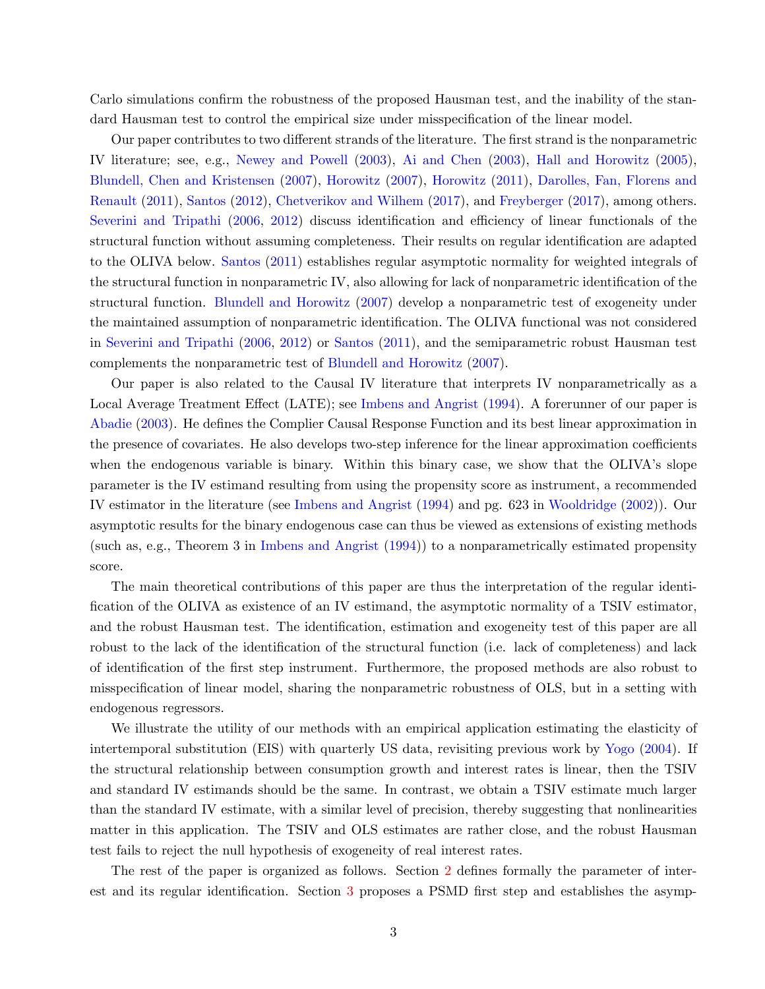Carlo simulations confirm the robustness of the proposed Hausman test, and the inability of the standard Hausman test to control the empirical size under misspecification of the linear model.

Our paper contributes to two different strands of the literature. The first strand is the nonparametric IV literature; see, e.g., [Newey and Powell](#page-35-6) [\(2003\)](#page-35-6), [Ai and Chen](#page-33-1) [\(2003\)](#page-33-1), [Hall and Horowitz](#page-34-1) [\(2005\)](#page-34-1), [Blundell, Chen and Kristensen](#page-33-2) [\(2007\)](#page-33-2), [Horowitz](#page-35-7) [\(2007\)](#page-35-7), [Horowitz](#page-35-8) [\(2011\)](#page-35-8), [Darolles, Fan, Florens and](#page-34-2) [Renault](#page-34-2) [\(2011\)](#page-34-2), [Santos](#page-35-9) [\(2012\)](#page-35-9), [Chetverikov and Wilhem](#page-34-3) [\(2017\)](#page-34-3), and [Freyberger](#page-34-4) [\(2017\)](#page-34-4), among others. [Severini and Tripathi](#page-35-10)  $(2006, 2012)$  $(2006, 2012)$  $(2006, 2012)$  discuss identification and efficiency of linear functionals of the structural function without assuming completeness. Their results on regular identification are adapted to the OLIVA below. [Santos](#page-35-11) [\(2011\)](#page-35-11) establishes regular asymptotic normality for weighted integrals of the structural function in nonparametric IV, also allowing for lack of nonparametric identification of the structural function. [Blundell and Horowitz](#page-33-3) [\(2007\)](#page-33-3) develop a nonparametric test of exogeneity under the maintained assumption of nonparametric identification. The OLIVA functional was not considered in [Severini and Tripathi](#page-35-10) [\(2006,](#page-35-10) [2012\)](#page-35-1) or [Santos](#page-35-11) [\(2011\)](#page-35-11), and the semiparametric robust Hausman test complements the nonparametric test of [Blundell and Horowitz](#page-33-3) [\(2007\)](#page-33-3).

Our paper is also related to the Causal IV literature that interprets IV nonparametrically as a Local Average Treatment Effect (LATE); see [Imbens and Angrist](#page-35-0) [\(1994\)](#page-35-0). A forerunner of our paper is [Abadie](#page-33-4) [\(2003\)](#page-33-4). He defines the Complier Causal Response Function and its best linear approximation in the presence of covariates. He also develops two-step inference for the linear approximation coefficients when the endogenous variable is binary. Within this binary case, we show that the OLIVA's slope parameter is the IV estimand resulting from using the propensity score as instrument, a recommended IV estimator in the literature (see [Imbens and Angrist](#page-35-0) [\(1994\)](#page-35-0) and pg. 623 in [Wooldridge](#page-36-0) [\(2002\)](#page-36-0)). Our asymptotic results for the binary endogenous case can thus be viewed as extensions of existing methods (such as, e.g., Theorem 3 in [Imbens and Angrist](#page-35-0) [\(1994\)](#page-35-0)) to a nonparametrically estimated propensity score.

The main theoretical contributions of this paper are thus the interpretation of the regular identification of the OLIVA as existence of an IV estimand, the asymptotic normality of a TSIV estimator, and the robust Hausman test. The identification, estimation and exogeneity test of this paper are all robust to the lack of the identification of the structural function (i.e. lack of completeness) and lack of identification of the first step instrument. Furthermore, the proposed methods are also robust to misspecification of linear model, sharing the nonparametric robustness of OLS, but in a setting with endogenous regressors.

We illustrate the utility of our methods with an empirical application estimating the elasticity of intertemporal substitution (EIS) with quarterly US data, revisiting previous work by [Yogo](#page-36-1) [\(2004\)](#page-36-1). If the structural relationship between consumption growth and interest rates is linear, then the TSIV and standard IV estimands should be the same. In contrast, we obtain a TSIV estimate much larger than the standard IV estimate, with a similar level of precision, thereby suggesting that nonlinearities matter in this application. The TSIV and OLS estimates are rather close, and the robust Hausman test fails to reject the null hypothesis of exogeneity of real interest rates.

The rest of the paper is organized as follows. Section [2](#page-3-0) defines formally the parameter of inter-est and its regular identification. Section [3](#page-6-0) proposes a PSMD first step and establishes the asymp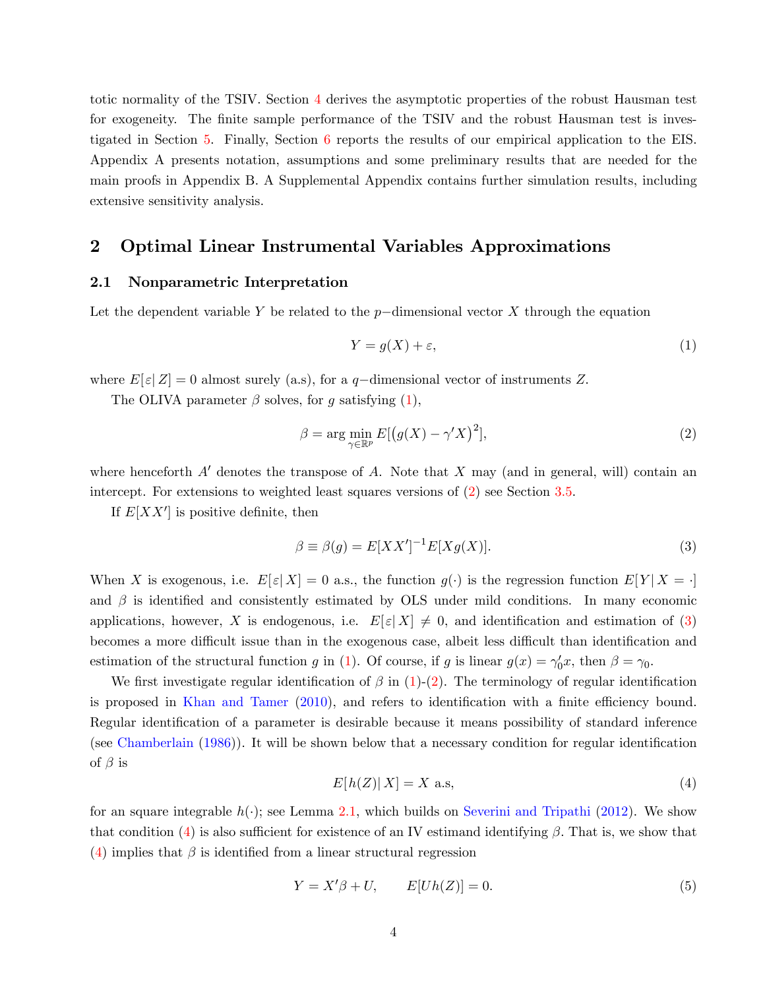totic normality of the TSIV. Section [4](#page-14-0) derives the asymptotic properties of the robust Hausman test for exogeneity. The finite sample performance of the TSIV and the robust Hausman test is investigated in Section [5.](#page-15-0) Finally, Section [6](#page-20-0) reports the results of our empirical application to the EIS. Appendix A presents notation, assumptions and some preliminary results that are needed for the main proofs in Appendix B. A Supplemental Appendix contains further simulation results, including extensive sensitivity analysis.

## <span id="page-3-0"></span>2 Optimal Linear Instrumental Variables Approximations

### 2.1 Nonparametric Interpretation

Let the dependent variable Y be related to the  $p$ -dimensional vector X through the equation

<span id="page-3-1"></span>
$$
Y = g(X) + \varepsilon,\tag{1}
$$

where  $E[\varepsilon]Z] = 0$  almost surely (a.s), for a q-dimensional vector of instruments Z.

The OLIVA parameter  $\beta$  solves, for g satisfying [\(1\)](#page-3-1),

<span id="page-3-2"></span>
$$
\beta = \arg\min_{\gamma \in \mathbb{R}^p} E[(g(X) - \gamma' X)^2],\tag{2}
$$

where henceforth  $A'$  denotes the transpose of A. Note that X may (and in general, will) contain an intercept. For extensions to weighted least squares versions of [\(2\)](#page-3-2) see Section [3.5.](#page-14-1)

If  $E[XX']$  is positive definite, then

<span id="page-3-3"></span>
$$
\beta \equiv \beta(g) = E[XX']^{-1}E[Xg(X)].\tag{3}
$$

When X is exogenous, i.e.  $E[\varepsilon|X] = 0$  a.s., the function  $g(\cdot)$  is the regression function  $E[Y|X] = \cdot$ and  $\beta$  is identified and consistently estimated by OLS under mild conditions. In many economic applications, however, X is endogenous, i.e.  $E[\varepsilon|X] \neq 0$ , and identification and estimation of [\(3\)](#page-3-3) becomes a more difficult issue than in the exogenous case, albeit less difficult than identification and estimation of the structural function g in [\(1\)](#page-3-1). Of course, if g is linear  $g(x) = \gamma'_0 x$ , then  $\beta = \gamma_0$ .

We first investigate regular identification of  $\beta$  in [\(1\)](#page-3-1)-[\(2\)](#page-3-2). The terminology of regular identification is proposed in [Khan and Tamer](#page-35-12)  $(2010)$ , and refers to identification with a finite efficiency bound. Regular identification of a parameter is desirable because it means possibility of standard inference (see [Chamberlain](#page-34-5)  $(1986)$ ). It will be shown below that a necessary condition for regular identification of  $\beta$  is

<span id="page-3-4"></span>
$$
E[h(Z)|X] = X \text{ a.s},\tag{4}
$$

for an square integrable  $h(\cdot)$ ; see Lemma [2.1,](#page-5-0) which builds on [Severini and Tripathi](#page-35-1) [\(2012\)](#page-35-1). We show that condition [\(4\)](#page-3-4) is also sufficient for existence of an IV estimand identifying  $\beta$ . That is, we show that [\(4\)](#page-3-4) implies that  $\beta$  is identified from a linear structural regression

<span id="page-3-5"></span>
$$
Y = X'\beta + U, \qquad E[Uh(Z)] = 0. \tag{5}
$$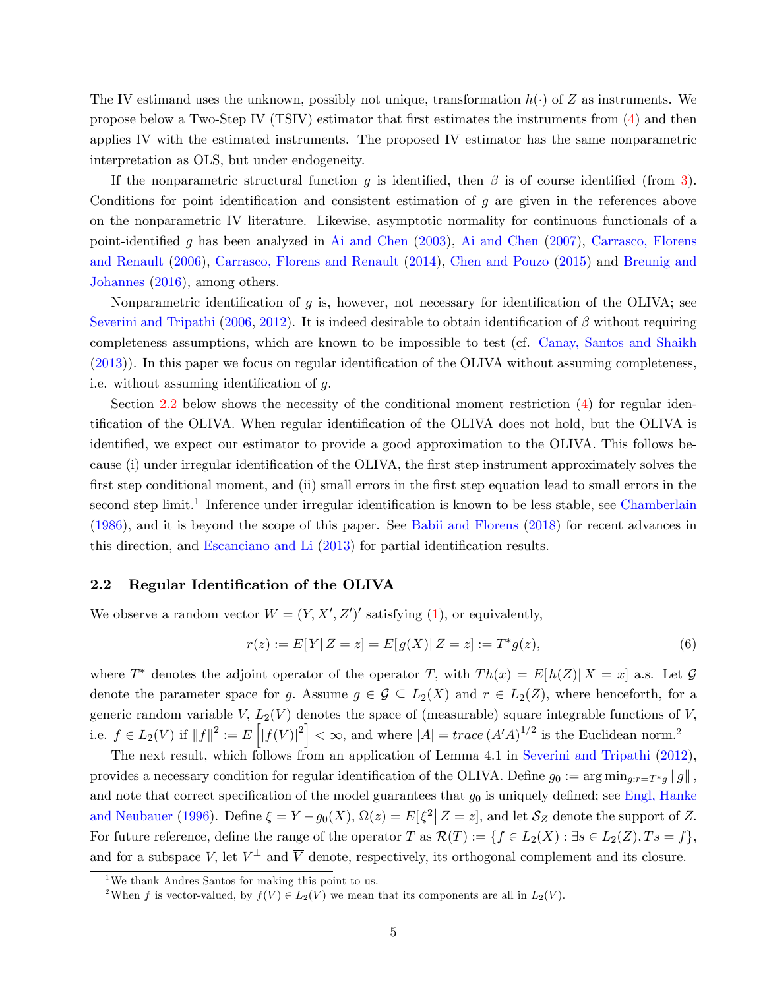The IV estimand uses the unknown, possibly not unique, transformation  $h(\cdot)$  of Z as instruments. We propose below a Two-Step IV (TSIV) estimator that Örst estimates the instruments from [\(4\)](#page-3-4) and then applies IV with the estimated instruments. The proposed IV estimator has the same nonparametric interpretation as OLS, but under endogeneity.

If the nonparametric structural function g is identified, then  $\beta$  is of course identified (from [3\)](#page-3-3). Conditions for point identification and consistent estimation of  $q$  are given in the references above on the nonparametric IV literature. Likewise, asymptotic normality for continuous functionals of a point-identified g has been analyzed in [Ai and Chen](#page-33-5)  $(2003)$ , Ai and Chen  $(2007)$ , [Carrasco, Florens](#page-33-6) [and Renault](#page-33-6) [\(2006\)](#page-33-6), [Carrasco, Florens and Renault](#page-33-7) [\(2014\)](#page-33-7), [Chen and Pouzo](#page-34-6) [\(2015\)](#page-34-6) and [Breunig and](#page-33-8) [Johannes](#page-33-8) [\(2016\)](#page-33-8), among others.

Nonparametric identification of g is, however, not necessary for identification of the OLIVA; see [Severini and Tripathi](#page-35-10) [\(2006,](#page-35-10) [2012\)](#page-35-1). It is indeed desirable to obtain identification of  $\beta$  without requiring completeness assumptions, which are known to be impossible to test (cf. [Canay, Santos and Shaikh](#page-33-9)  $(2013)$ ). In this paper we focus on regular identification of the OLIVA without assuming completeness, i.e. without assuming identification of  $g$ .

Section [2.2](#page-4-0) below shows the necessity of the conditional moment restriction [\(4\)](#page-3-4) for regular identification of the OLIVA. When regular identification of the OLIVA does not hold, but the OLIVA is identified, we expect our estimator to provide a good approximation to the OLIVA. This follows because (i) under irregular identification of the OLIVA, the first step instrument approximately solves the first step conditional moment, and (ii) small errors in the first step equation lead to small errors in the second step limit.<sup>1</sup> Inference under irregular identification is known to be less stable, see [Chamberlain](#page-34-5) [\(1986\)](#page-34-5), and it is beyond the scope of this paper. See [Babii and Florens](#page-33-10) [\(2018\)](#page-33-10) for recent advances in this direction, and [Escanciano and Li](#page-34-7)  $(2013)$  for partial identification results.

#### <span id="page-4-0"></span>2.2 Regular Identification of the OLIVA

We observe a random vector  $W = (Y, X', Z')'$  satisfying [\(1\)](#page-3-1), or equivalently,

<span id="page-4-1"></span>
$$
r(z) := E[Y | Z = z] = E[g(X) | Z = z] := T^*g(z),
$$
\n(6)

where  $T^*$  denotes the adjoint operator of the operator T, with  $Th(x) = E[h(Z)|X = x]$  a.s. Let  $\mathcal G$ denote the parameter space for g. Assume  $g \in \mathcal{G} \subseteq L_2(X)$  and  $r \in L_2(Z)$ , where henceforth, for a generic random variable V;  $L_2(V)$  denotes the space of (measurable) square integrable functions of V; i.e.  $f \in L_2(V)$  if  $||f||^2 := E \left[|f(V)|^2\right] < \infty$ , and where  $|A| = trace (A'A)^{1/2}$  is the Euclidean norm.<sup>2</sup>

The next result, which follows from an application of Lemma 4.1 in [Severini and Tripathi](#page-35-1) [\(2012\)](#page-35-1), provides a necessary condition for regular identification of the OLIVA. Define  $g_0 := \arg\min_{g: r=T^*g} \|g\|$ , and note that correct specification of the model guarantees that  $g_0$  is uniquely defined; see [Engl, Hanke](#page-34-8) [and Neubauer](#page-34-8) [\(1996\)](#page-34-8). Define  $\xi = Y - g_0(X)$ ,  $\Omega(z) = E[\xi^2 | Z = z]$ , and let  $S_Z$  denote the support of Z. For future reference, define the range of the operator T as  $\mathcal{R}(T) := \{f \in L_2(X) : \exists s \in L_2(Z), T s = f\},\$ and for a subspace V, let  $V^{\perp}$  and V denote, respectively, its orthogonal complement and its closure.

<sup>&</sup>lt;sup>1</sup>We thank Andres Santos for making this point to us.

<sup>&</sup>lt;sup>2</sup>When f is vector-valued, by  $f(V) \in L_2(V)$  we mean that its components are all in  $L_2(V)$ .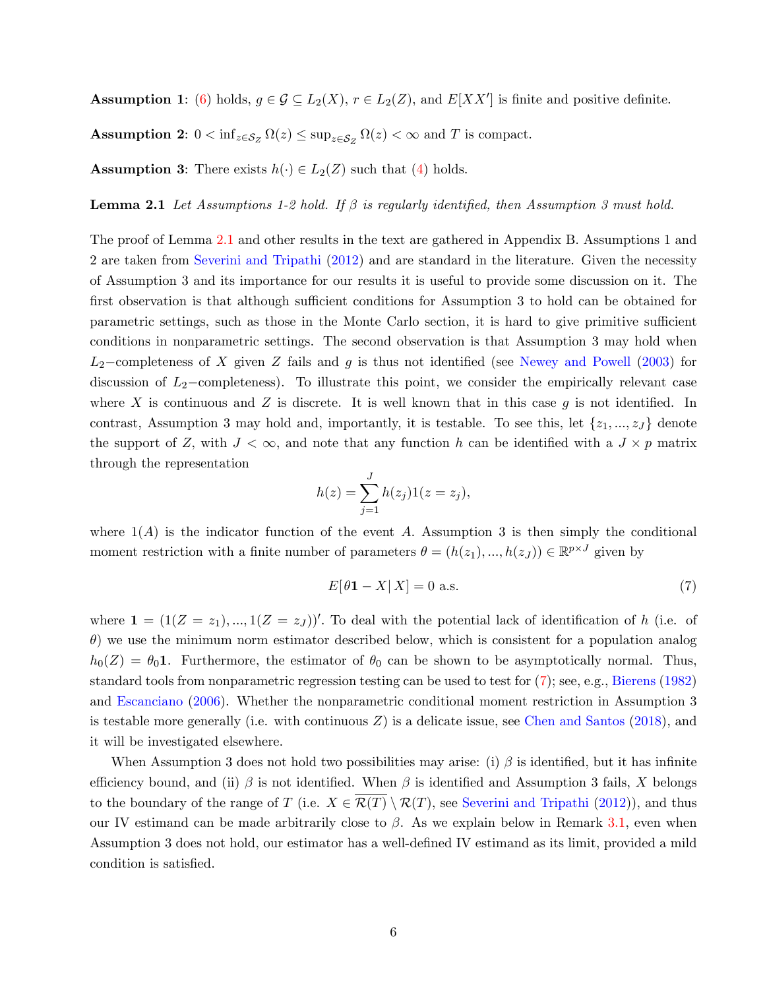**Assumption 1**: [\(6\)](#page-4-1) holds,  $g \in \mathcal{G} \subseteq L_2(X)$ ,  $r \in L_2(Z)$ , and  $E[XX']$  is finite and positive definite.

**Assumption 2**:  $0 < \inf_{z \in S_Z} \Omega(z) \le \sup_{z \in S_Z} \Omega(z) < \infty$  and T is compact.

<span id="page-5-0"></span>**Assumption 3:** There exists  $h(\cdot) \in L_2(Z)$  such that [\(4\)](#page-3-4) holds.

**Lemma 2.1** Let Assumptions 1-2 hold. If  $\beta$  is regularly identified, then Assumption 3 must hold.

The proof of Lemma [2.1](#page-5-0) and other results in the text are gathered in Appendix B. Assumptions 1 and 2 are taken from [Severini and Tripathi](#page-35-1) [\(2012\)](#page-35-1) and are standard in the literature. Given the necessity of Assumption 3 and its importance for our results it is useful to provide some discussion on it. The first observation is that although sufficient conditions for Assumption 3 to hold can be obtained for parametric settings, such as those in the Monte Carlo section, it is hard to give primitive sufficient conditions in nonparametric settings. The second observation is that Assumption 3 may hold when  $L_2$ -completeness of X given Z fails and g is thus not identified (see [Newey and Powell](#page-35-6) [\(2003\)](#page-35-6) for discussion of  $L_2$ -completeness). To illustrate this point, we consider the empirically relevant case where X is continuous and Z is discrete. It is well known that in this case  $g$  is not identified. In contrast, Assumption 3 may hold and, importantly, it is testable. To see this, let  $\{z_1, ..., z_J\}$  denote the support of Z, with  $J < \infty$ , and note that any function h can be identified with a  $J \times p$  matrix through the representation

$$
h(z) = \sum_{j=1}^{J} h(z_j) 1(z = z_j),
$$

where  $1(A)$  is the indicator function of the event A. Assumption 3 is then simply the conditional moment restriction with a finite number of parameters  $\theta = (h(z_1), ..., h(z_J)) \in \mathbb{R}^{p \times J}$  given by

<span id="page-5-1"></span>
$$
E[\theta \mathbf{1} - X | X] = 0 \text{ a.s.}
$$
\n<sup>(7)</sup>

where  $\mathbf{1} = (1(Z = z_1), ..., 1(Z = z_J))'$ . To deal with the potential lack of identification of h (i.e. of  $\theta$ ) we use the minimum norm estimator described below, which is consistent for a population analog  $h_0(Z) = \theta_0 \mathbf{1}$ . Furthermore, the estimator of  $\theta_0$  can be shown to be asymptotically normal. Thus, standard tools from nonparametric regression testing can be used to test for [\(7\)](#page-5-1); see, e.g., [Bierens](#page-33-11) [\(1982\)](#page-33-11) and [Escanciano](#page-34-9) [\(2006\)](#page-34-9). Whether the nonparametric conditional moment restriction in Assumption 3 is testable more generally (i.e. with continuous  $Z$ ) is a delicate issue, see [Chen and Santos](#page-34-10) [\(2018\)](#page-34-10), and it will be investigated elsewhere.

When Assumption 3 does not hold two possibilities may arise: (i)  $\beta$  is identified, but it has infinite efficiency bound, and (ii)  $\beta$  is not identified. When  $\beta$  is identified and Assumption 3 fails, X belongs to the boundary of the range of T (i.e.  $X \in \overline{\mathcal{R}(T)} \setminus \mathcal{R}(T)$ , see [Severini and Tripathi](#page-35-1) [\(2012\)](#page-35-1)), and thus our IV estimand can be made arbitrarily close to  $\beta$ . As we explain below in Remark [3.1,](#page-7-0) even when Assumption 3 does not hold, our estimator has a well-defined IV estimand as its limit, provided a mild condition is satisfied.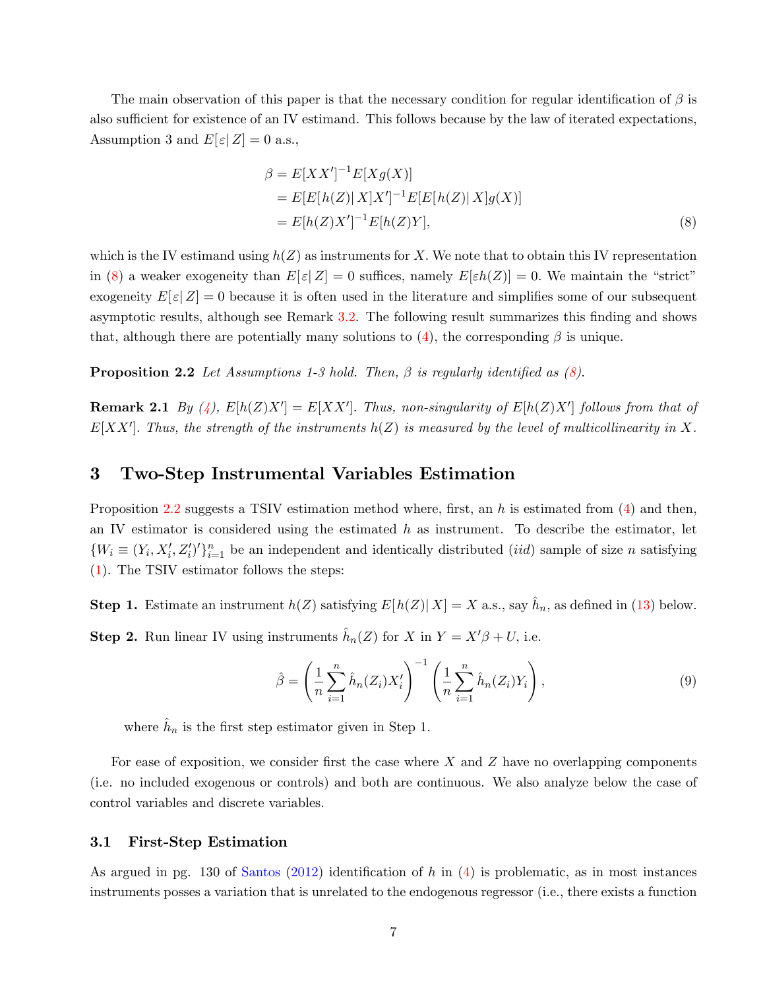The main observation of this paper is that the necessary condition for regular identification of  $\beta$  is also sufficient for existence of an IV estimand. This follows because by the law of iterated expectations, Assumption 3 and  $E[\varepsilon|Z] = 0$  a.s.,

<span id="page-6-1"></span>
$$
\beta = E[XX']^{-1}E[Xg(X)] \n= E[E[h(Z)|X]X']^{-1}E[E[h(Z)|X]g(X)] \n= E[h(Z)X']^{-1}E[h(Z)Y],
$$
\n(8)

which is the IV estimand using  $h(Z)$  as instruments for X. We note that to obtain this IV representation in [\(8\)](#page-6-1) a weaker exogeneity than  $E[\varepsilon|Z] = 0$  suffices, namely  $E[\varepsilon h(Z)] = 0$ . We maintain the "strict" exogeneity  $E[\varepsilon]Z] = 0$  because it is often used in the literature and simplifies some of our subsequent asymptotic results, although see Remark [3.2.](#page-9-0) The following result summarizes this finding and shows that, although there are potentially many solutions to  $(4)$ , the corresponding  $\beta$  is unique.

<span id="page-6-2"></span>**Proposition 2.2** Let Assumptions 1-3 hold. Then,  $\beta$  is regularly identified as [\(8\)](#page-6-1).

**Remark 2.1** By [\(4\)](#page-3-4),  $E[h(Z)X'] = E[XX']$ . Thus, non-singularity of  $E[h(Z)X']$  follows from that of  $E[XX']$ . Thus, the strength of the instruments  $h(Z)$  is measured by the level of multicollinearity in X.

## <span id="page-6-0"></span>3 Two-Step Instrumental Variables Estimation

Proposition [2.2](#page-6-2) suggests a TSIV estimation method where, first, an h is estimated from  $(4)$  and then, an IV estimator is considered using the estimated  $h$  as instrument. To describe the estimator, let  $\{W_i \equiv (Y_i, X'_i, Z'_i)'\}_{i=1}^n$  be an independent and identically distributed *(iid)* sample of size *n* satisfying [\(1\)](#page-3-1). The TSIV estimator follows the steps:

**Step 1.** Estimate an instrument  $h(Z)$  satisfying  $E[h(Z)|X] = X$  a.s., say  $\hat{h}_n$ , as defined in [\(13\)](#page-8-0) below.

**Step 2.** Run linear IV using instruments  $\hat{h}_n(Z)$  for X in  $Y = X'\beta + U$ , i.e.

$$
\hat{\beta} = \left(\frac{1}{n}\sum_{i=1}^{n}\hat{h}_n(Z_i)X_i'\right)^{-1}\left(\frac{1}{n}\sum_{i=1}^{n}\hat{h}_n(Z_i)Y_i\right),\tag{9}
$$

where  $\hat{h}_n$  is the first step estimator given in Step 1.

For ease of exposition, we consider first the case where  $X$  and  $Z$  have no overlapping components (i.e. no included exogenous or controls) and both are continuous. We also analyze below the case of control variables and discrete variables.

#### 3.1 First-Step Estimation

As argued in pg. 130 of [Santos](#page-35-9)  $(2012)$  identification of h in  $(4)$  is problematic, as in most instances instruments posses a variation that is unrelated to the endogenous regressor (i.e., there exists a function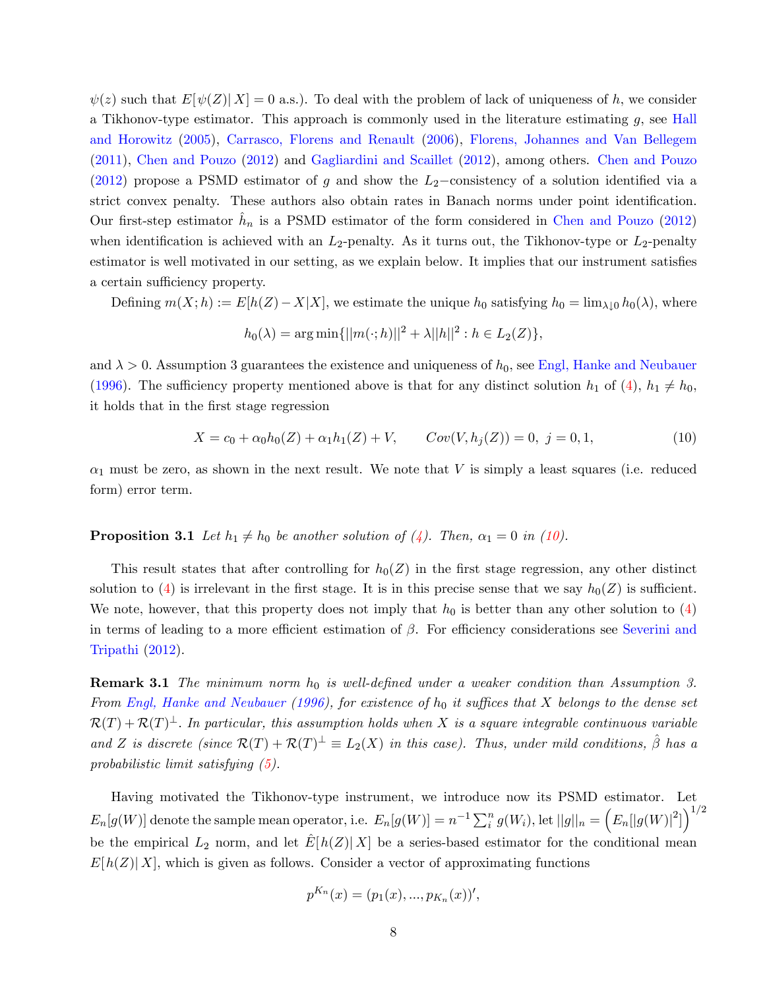$\psi(z)$  such that  $E[\psi(Z)|X] = 0$  a.s.). To deal with the problem of lack of uniqueness of h, we consider a Tikhonov-type estimator. This approach is commonly used in the literature estimating  $q$ , see [Hall](#page-34-1) [and Horowitz](#page-34-1) [\(2005\)](#page-34-1), [Carrasco, Florens and Renault](#page-33-6) [\(2006\)](#page-33-6), [Florens, Johannes and Van Bellegem](#page-34-11) [\(2011\)](#page-34-11), [Chen and Pouzo](#page-34-0) [\(2012\)](#page-34-0) and [Gagliardini and Scaillet](#page-34-12) [\(2012\)](#page-34-12), among others. [Chen and Pouzo](#page-34-0) [\(2012\)](#page-34-0) propose a PSMD estimator of g and show the  $L_2$ -consistency of a solution identified via a strict convex penalty. These authors also obtain rates in Banach norms under point identification. Our first-step estimator  $\hat{h}_n$  is a PSMD estimator of the form considered in [Chen and Pouzo](#page-34-0) [\(2012\)](#page-34-0) when identification is achieved with an  $L_2$ -penalty. As it turns out, the Tikhonov-type or  $L_2$ -penalty estimator is well motivated in our setting, as we explain below. It implies that our instrument satisfies a certain sufficiency property.

Defining  $m(X; h) := E[h(Z) - X|X]$ , we estimate the unique  $h_0$  satisfying  $h_0 = \lim_{\lambda \downarrow 0} h_0(\lambda)$ , where

$$
h_0(\lambda) = \arg \min \{ ||m(\cdot; h)||^2 + \lambda ||h||^2 : h \in L_2(Z) \},\
$$

and  $\lambda > 0$ . Assumption 3 guarantees the existence and uniqueness of  $h_0$ , see [Engl, Hanke and Neubauer](#page-34-8) [\(1996\)](#page-34-8). The sufficiency property mentioned above is that for any distinct solution  $h_1$  of [\(4\)](#page-3-4),  $h_1 \neq h_0$ ; it holds that in the Örst stage regression

<span id="page-7-1"></span>
$$
X = c_0 + \alpha_0 h_0(Z) + \alpha_1 h_1(Z) + V, \qquad Cov(V, h_j(Z)) = 0, \ j = 0, 1,
$$
\n(10)

 $\alpha_1$  must be zero, as shown in the next result. We note that V is simply a least squares (i.e. reduced form) error term.

#### <span id="page-7-2"></span>**Proposition 3.1** Let  $h_1 \neq h_0$  be another solution of [\(4\)](#page-3-4). Then,  $\alpha_1 = 0$  in [\(10\)](#page-7-1).

This result states that after controlling for  $h_0(Z)$  in the first stage regression, any other distinct solution to [\(4\)](#page-3-4) is irrelevant in the first stage. It is in this precise sense that we say  $h_0(Z)$  is sufficient. We note, however, that this property does not imply that  $h_0$  is better than any other solution to  $(4)$ in terms of leading to a more efficient estimation of  $\beta$ . For efficiency considerations see [Severini and](#page-35-1) [Tripathi](#page-35-1) [\(2012\)](#page-35-1).

<span id="page-7-0"></span>**Remark 3.1** The minimum norm  $h_0$  is well-defined under a weaker condition than Assumption 3. From [Engl, Hanke and Neubauer](#page-34-8) [\(1996\)](#page-34-8), for existence of  $h_0$  it suffices that X belongs to the dense set  $\mathcal{R}(T)+\mathcal{R}(T)^{\perp}.$  In particular, this assumption holds when X is a square integrable continuous variable and Z is discrete (since  $\mathcal{R}(T) + \mathcal{R}(T)^{\perp} \equiv L_2(X)$  in this case). Thus, under mild conditions,  $\hat{\beta}$  has a probabilistic limit satisfying [\(5\)](#page-3-5).

Having motivated the Tikhonov-type instrument, we introduce now its PSMD estimator. Let  $E_n[g(W)]$  denote the sample mean operator, i.e.  $E_n[g(W)] = n^{-1} \sum_{i}^{n} g(W_i)$ , let  $||g||_n = \left(E_n[|g(W)|^2]\right)^{1/2}$ be the empirical  $L_2$  norm, and let  $E[h(Z)|X]$  be a series-based estimator for the conditional mean  $E[h(Z)|X]$ , which is given as follows. Consider a vector of approximating functions

$$
p^{K_n}(x) = (p_1(x), ..., p_{K_n}(x))',
$$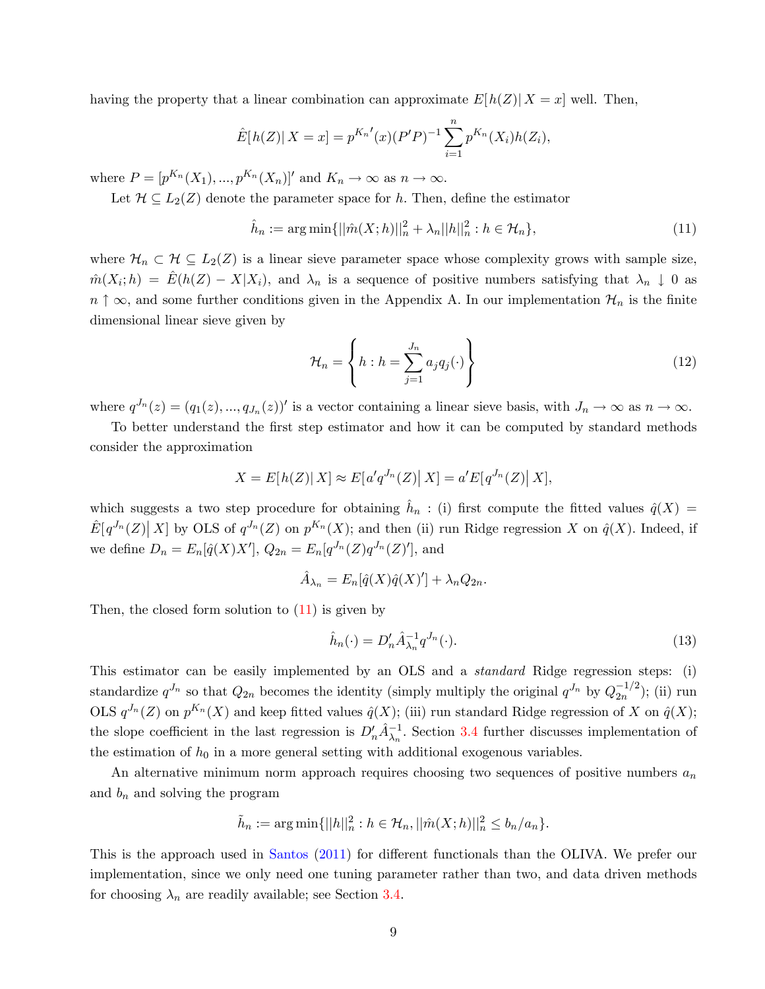having the property that a linear combination can approximate  $E[h(Z)|X=x]$  well. Then,

$$
\hat{E}[h(Z)|X = x] = p^{K_n'}(x)(P'P)^{-1} \sum_{i=1}^n p^{K_n}(X_i)h(Z_i),
$$

where  $P = [p^{K_n}(X_1), ..., p^{K_n}(X_n)]'$  and  $K_n \to \infty$  as  $n \to \infty$ .

Let  $\mathcal{H} \subseteq L_2(\mathbb{Z})$  denote the parameter space for h. Then, define the estimator

<span id="page-8-1"></span>
$$
\hat{h}_n := \arg \min \{ ||\hat{m}(X; h)||_n^2 + \lambda_n ||h||_n^2 : h \in \mathcal{H}_n \},\tag{11}
$$

where  $\mathcal{H}_n \subset \mathcal{H} \subseteq L_2(Z)$  is a linear sieve parameter space whose complexity grows with sample size,  $\hat{m}(X_i; h) = \hat{E}(h(Z) - X|X_i)$ , and  $\lambda_n$  is a sequence of positive numbers satisfying that  $\lambda_n \downarrow 0$  as  $n \uparrow \infty$ , and some further conditions given in the Appendix A. In our implementation  $\mathcal{H}_n$  is the finite dimensional linear sieve given by

$$
\mathcal{H}_n = \left\{ h : h = \sum_{j=1}^{J_n} a_j q_j (\cdot) \right\} \tag{12}
$$

where  $q^{J_n}(z) = (q_1(z), ..., q_{J_n}(z))'$  is a vector containing a linear sieve basis, with  $J_n \to \infty$  as  $n \to \infty$ .

To better understand the first step estimator and how it can be computed by standard methods consider the approximation

$$
X = E[h(Z)|X] \approx E[a'q^{J_n}(Z)]|X] = a'E[q^{J_n}(Z)]|X],
$$

which suggests a two step procedure for obtaining  $\hat{h}_n$  : (i) first compute the fitted values  $\hat{q}(X)$  =  $\hat{E}[q^{J_n}(Z) | X]$  by OLS of  $q^{J_n}(Z)$  on  $p^{K_n}(X)$ ; and then (ii) run Ridge regression X on  $\hat{q}(X)$ . Indeed, if we define  $D_n = E_n[\hat{q}(X)X']$ ,  $Q_{2n} = E_n[q^{J_n}(Z)q^{J_n}(Z)']$ , and

$$
\hat{A}_{\lambda_n} = E_n[\hat{q}(X)\hat{q}(X)'] + \lambda_n Q_{2n}.
$$

Then, the closed form solution to  $(11)$  is given by

<span id="page-8-0"></span>
$$
\hat{h}_n(\cdot) = D'_n \hat{A}_{\lambda_n}^{-1} q^{J_n}(\cdot). \tag{13}
$$

This estimator can be easily implemented by an OLS and a standard Ridge regression steps: (i) standardize  $q^{J_n}$  so that  $Q_{2n}$  becomes the identity (simply multiply the original  $q^{J_n}$  by  $Q_{2n}^{-1/2}$ ); (ii) run OLS  $q^{J_n}(Z)$  on  $p^{K_n}(X)$  and keep fitted values  $\hat{q}(X)$ ; (iii) run standard Ridge regression of X on  $\hat{q}(X)$ ; the slope coefficient in the last regression is  $D'_n \hat{A}_{\lambda_n}^{-1}$ . Section [3.4](#page-12-0) further discusses implementation of the estimation of  $h_0$  in a more general setting with additional exogenous variables.

An alternative minimum norm approach requires choosing two sequences of positive numbers  $a_n$ and  $b_n$  and solving the program

$$
\tilde{h}_n := \arg \min \{ ||h||_n^2 : h \in \mathcal{H}_n, ||\hat{m}(X;h)||_n^2 \le b_n/a_n \}.
$$

This is the approach used in [Santos](#page-35-11) [\(2011\)](#page-35-11) for different functionals than the OLIVA. We prefer our implementation, since we only need one tuning parameter rather than two, and data driven methods for choosing  $\lambda_n$  are readily available; see Section [3.4.](#page-12-0)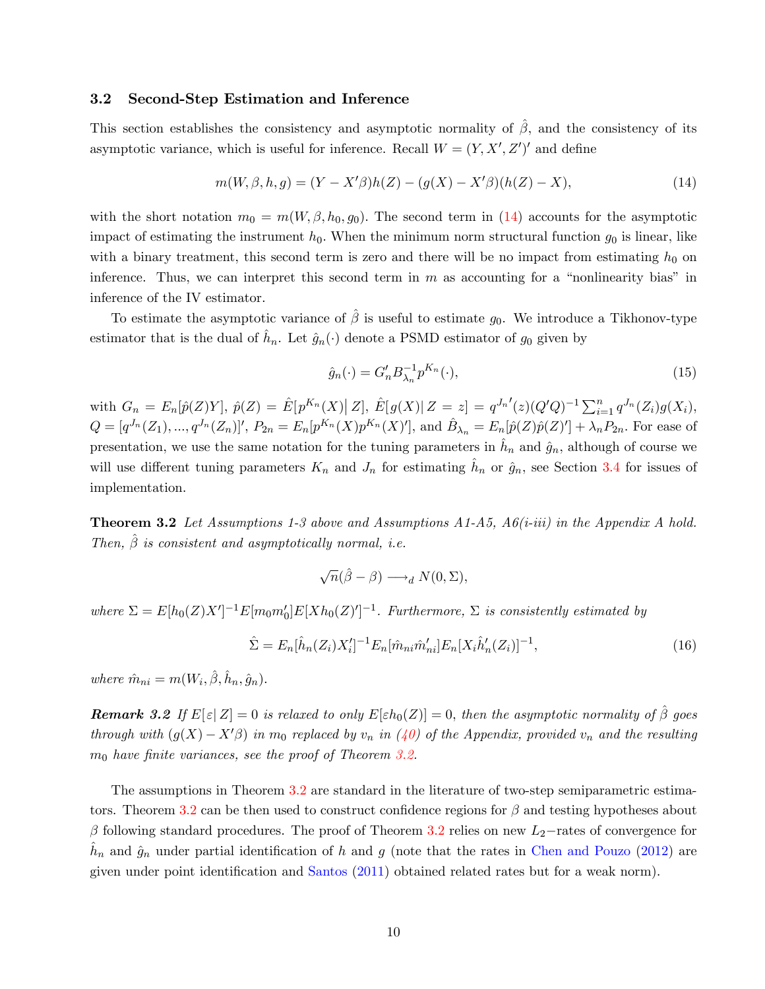#### 3.2 Second-Step Estimation and Inference

This section establishes the consistency and asymptotic normality of  $\beta$ , and the consistency of its asymptotic variance, which is useful for inference. Recall  $W = (Y, X', Z')'$  and define

<span id="page-9-1"></span>
$$
m(W, \beta, h, g) = (Y - X'\beta)h(Z) - (g(X) - X'\beta)(h(Z) - X),
$$
\n(14)

with the short notation  $m_0 = m(W, \beta, h_0, g_0)$ . The second term in [\(14\)](#page-9-1) accounts for the asymptotic impact of estimating the instrument  $h_0$ . When the minimum norm structural function  $g_0$  is linear, like with a binary treatment, this second term is zero and there will be no impact from estimating  $h_0$  on inference. Thus, we can interpret this second term in  $m$  as accounting for a "nonlinearity bias" in inference of the IV estimator.

To estimate the asymptotic variance of  $\hat{\beta}$  is useful to estimate  $g_0$ . We introduce a Tikhonov-type estimator that is the dual of  $\hat{h}_n$ . Let  $\hat{g}_n(\cdot)$  denote a PSMD estimator of  $g_0$  given by

$$
\hat{g}_n(\cdot) = G'_n B_{\lambda_n}^{-1} p^{K_n}(\cdot),\tag{15}
$$

with  $G_n = E_n[\hat{p}(Z)Y], \ \hat{p}(Z) = \hat{E}[p^{K_n}(X) | Z], \ \hat{E}[g(X)| Z = z] = q^{J_n'}(z)(Q'Q)^{-1} \sum_{i=1}^n q^{J_n}(Z_i)g(X_i),$  $Q = [q^{J_n}(Z_1), ..., q^{J_n}(Z_n)]', P_{2n} = E_n[p^{K_n}(X)p^{K_n}(X)']$ , and  $\hat{B}_{\lambda_n} = E_n[\hat{p}(Z)\hat{p}(Z)'] + \lambda_n P_{2n}$ . For ease of presentation, we use the same notation for the tuning parameters in  $\hat{h}_n$  and  $\hat{g}_n$ , although of course we will use different tuning parameters  $K_n$  and  $J_n$  for estimating  $\hat{h}_n$  or  $\hat{g}_n$ , see Section [3.4](#page-12-0) for issues of implementation.

<span id="page-9-2"></span>**Theorem 3.2** Let Assumptions 1-3 above and Assumptions A1-A5,  $A6(i-iii)$  in the Appendix A hold. Then,  $\hat{\beta}$  is consistent and asymptotically normal, i.e.

$$
\sqrt{n}(\hat{\beta}-\beta) \longrightarrow_d N(0,\Sigma),
$$

where  $\Sigma = E[h_0(Z)X']^{-1}E[m_0m'_0]E[Xh_0(Z)']^{-1}$ . Furthermore,  $\Sigma$  is consistently estimated by

$$
\hat{\Sigma} = E_n[\hat{h}_n(Z_i)X_i']^{-1}E_n[\hat{m}_{ni}\hat{m}_{ni}']E_n[X_i\hat{h}_n'(Z_i)]^{-1},
$$
\n(16)

<span id="page-9-0"></span>where  $\hat{m}_{ni} = m(W_i, \hat{\beta}, \hat{h}_n, \hat{g}_n)$ .

**Remark 3.2** If  $E[\varepsilon | Z] = 0$  is relaxed to only  $E[\varepsilon h_0(Z)] = 0$ , then the asymptotic normality of  $\hat{\beta}$  goes through with  $(g(X) - X'\beta)$  in  $m_0$  replaced by  $v_n$  in [\(40\)](#page-30-0) of the Appendix, provided  $v_n$  and the resulting  $m_0$  have finite variances, see the proof of Theorem [3.2.](#page-9-2)

The assumptions in Theorem [3.2](#page-9-2) are standard in the literature of two-step semiparametric estima-tors. Theorem [3.2](#page-9-2) can be then used to construct confidence regions for  $\beta$  and testing hypotheses about  $\beta$  following standard procedures. The proof of Theorem [3.2](#page-9-2) relies on new  $L_2$ -rates of convergence for  $\hat{h}_n$  and  $\hat{g}_n$  under partial identification of h and g (note that the rates in [Chen and Pouzo](#page-34-0) [\(2012\)](#page-34-0) are given under point identification and [Santos](#page-35-11) [\(2011\)](#page-35-11) obtained related rates but for a weak norm).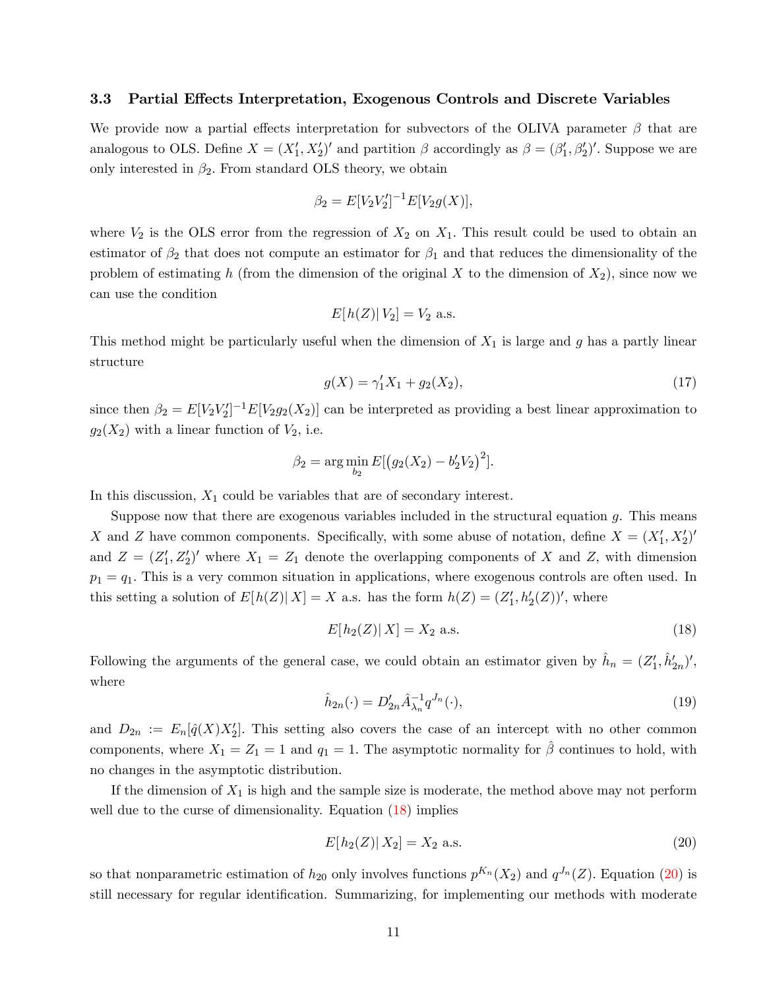#### 3.3 Partial Effects Interpretation, Exogenous Controls and Discrete Variables

We provide now a partial effects interpretation for subvectors of the OLIVA parameter  $\beta$  that are analogous to OLS. Define  $X = (X'_1, X'_2)'$  and partition  $\beta$  accordingly as  $\beta = (\beta'_1, \beta'_2)'$ . Suppose we are only interested in  $\beta_2$ . From standard OLS theory, we obtain

$$
\beta_2 = E[V_2 V_2']^{-1} E[V_2 g(X)],
$$

where  $V_2$  is the OLS error from the regression of  $X_2$  on  $X_1$ . This result could be used to obtain an estimator of  $\beta_2$  that does not compute an estimator for  $\beta_1$  and that reduces the dimensionality of the problem of estimating h (from the dimension of the original X to the dimension of  $X_2$ ), since now we can use the condition

$$
E[h(Z)|V_2] = V_2 \text{ a.s.}
$$

This method might be particularly useful when the dimension of  $X_1$  is large and g has a partly linear structure

<span id="page-10-2"></span>
$$
g(X) = \gamma_1' X_1 + g_2(X_2),\tag{17}
$$

since then  $\beta_2 = E[V_2 V_2']^{-1} E[V_2 g_2(X_2)]$  can be interpreted as providing a best linear approximation to  $g_2(X_2)$  with a linear function of  $V_2$ , i.e.

$$
\beta_2 = \arg\min_{b_2} E[(g_2(X_2) - b'_2 V_2)^2].
$$

In this discussion,  $X_1$  could be variables that are of secondary interest.

Suppose now that there are exogenous variables included in the structural equation  $g$ . This means X and Z have common components. Specifically, with some abuse of notation, define  $X = (X'_1, X'_2)'$ and  $Z = (Z_1', Z_2')'$  where  $X_1 = Z_1$  denote the overlapping components of X and Z, with dimension  $p_1 = q_1$ . This is a very common situation in applications, where exogenous controls are often used. In this setting a solution of  $E[h(Z)|X] = X$  a.s. has the form  $h(Z) = (Z'_1, h'_2(Z))'$ , where

<span id="page-10-0"></span>
$$
E[h_2(Z)|X] = X_2 \text{ a.s.}
$$
\n(18)

Following the arguments of the general case, we could obtain an estimator given by  $\hat{h}_n = (Z_1', \hat{h}'_{2n})'$ , where

$$
\hat{h}_{2n}(\cdot) = D'_{2n} \hat{A}_{\lambda_n}^{-1} q^{J_n}(\cdot),\tag{19}
$$

and  $D_{2n} := E_n[\hat{q}(X)X_2']$ . This setting also covers the case of an intercept with no other common components, where  $X_1 = Z_1 = 1$  and  $q_1 = 1$ . The asymptotic normality for  $\hat{\beta}$  continues to hold, with no changes in the asymptotic distribution.

If the dimension of  $X_1$  is high and the sample size is moderate, the method above may not perform well due to the curse of dimensionality. Equation  $(18)$  implies

<span id="page-10-1"></span>
$$
E[h_2(Z)|X_2] = X_2 \text{ a.s.}
$$
\n(20)

so that nonparametric estimation of  $h_{20}$  only involves functions  $p^{K_n}(X_2)$  and  $q^{J_n}(Z)$ . Equation [\(20\)](#page-10-1) is still necessary for regular identification. Summarizing, for implementing our methods with moderate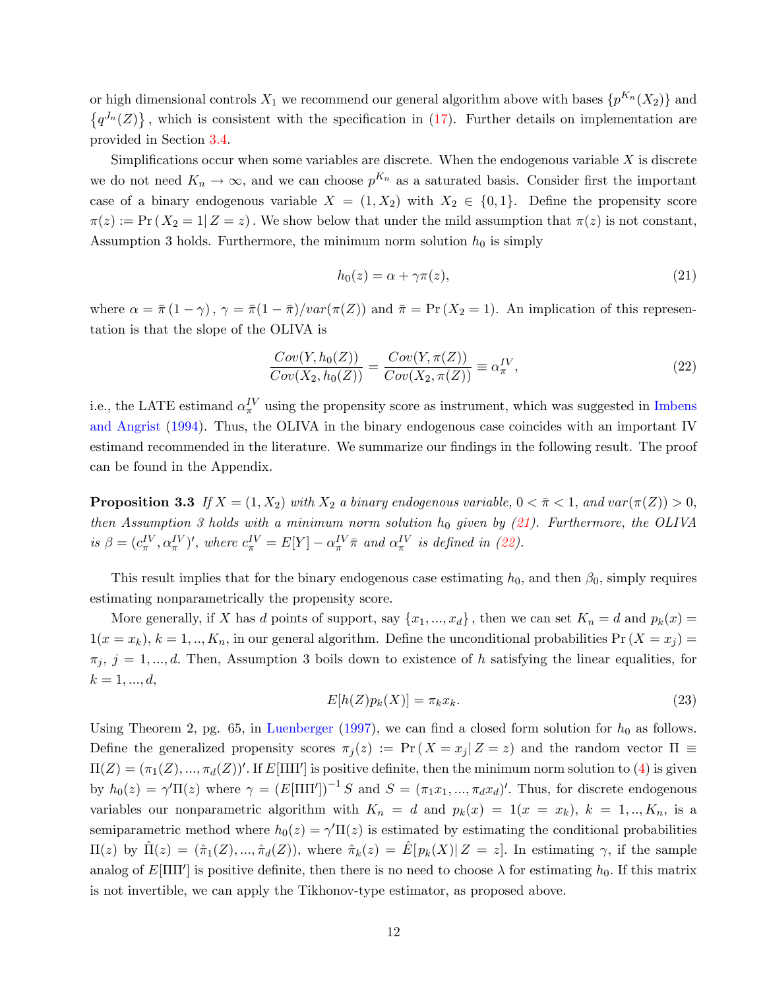or high dimensional controls  $X_1$  we recommend our general algorithm above with bases  $\{p^{K_n}(X_2)\}$  and  $\{q^{J_n}(Z)\}\,$ , which is consistent with the specification in [\(17\)](#page-10-2). Further details on implementation are provided in Section [3.4.](#page-12-0)

Simplifications occur when some variables are discrete. When the endogenous variable  $X$  is discrete we do not need  $K_n \to \infty$ , and we can choose  $p^{K_n}$  as a saturated basis. Consider first the important case of a binary endogenous variable  $X = (1, X_2)$  with  $X_2 \in \{0, 1\}$ . Define the propensity score  $\pi(z) := \Pr(X_2 = 1 | Z = z)$ . We show below that under the mild assumption that  $\pi(z)$  is not constant, Assumption 3 holds. Furthermore, the minimum norm solution  $h_0$  is simply

<span id="page-11-0"></span>
$$
h_0(z) = \alpha + \gamma \pi(z),\tag{21}
$$

where  $\alpha = \bar{\pi}(1-\gamma)$ ,  $\gamma = \bar{\pi}(1-\bar{\pi})/var(\pi(Z))$  and  $\bar{\pi} = \Pr(X_2 = 1)$ . An implication of this representation is that the slope of the OLIVA is

<span id="page-11-1"></span>
$$
\frac{Cov(Y, h_0(Z))}{Cov(X_2, h_0(Z))} = \frac{Cov(Y, \pi(Z))}{Cov(X_2, \pi(Z))} \equiv \alpha_{\pi}^{IV},
$$
\n(22)

i.e., the LATE estimand  $\alpha_{\pi}^{IV}$  using the propensity score as instrument, which was suggested in [Imbens](#page-35-0) [and Angrist](#page-35-0) [\(1994\)](#page-35-0). Thus, the OLIVA in the binary endogenous case coincides with an important IV estimand recommended in the literature. We summarize our findings in the following result. The proof can be found in the Appendix.

<span id="page-11-2"></span>**Proposition 3.3** If  $X = (1, X_2)$  with  $X_2$  a binary endogenous variable,  $0 < \bar{\pi} < 1$ , and  $var(\pi(Z)) > 0$ , then Assumption 3 holds with a minimum norm solution  $h_0$  given by [\(21\)](#page-11-0). Furthermore, the OLIVA is  $\beta = (c_{\pi}^{IV}, \alpha_{\pi}^{IV})'$ , where  $c_{\pi}^{IV} = E[Y] - \alpha_{\pi}^{IV} \bar{\pi}$  and  $\alpha_{\pi}^{IV}$  is defined in [\(22\)](#page-11-1).

This result implies that for the binary endogenous case estimating  $h_0$ , and then  $\beta_0$ , simply requires estimating nonparametrically the propensity score.

More generally, if X has d points of support, say  $\{x_1, ..., x_d\}$ , then we can set  $K_n = d$  and  $p_k(x) =$  $1(x = x_k)$ ,  $k = 1, ..., K_n$ , in our general algorithm. Define the unconditional probabilities  $Pr(X = x_j)$  $\pi_j$ ,  $j = 1, ..., d$ . Then, Assumption 3 boils down to existence of h satisfying the linear equalities, for  $k = 1, ..., d,$ 

$$
E[h(Z)p_k(X)] = \pi_k x_k. \tag{23}
$$

Using Theorem 2, pg. 65, in [Luenberger](#page-35-13) [\(1997\)](#page-35-13), we can find a closed form solution for  $h_0$  as follows. Define the generalized propensity scores  $\pi_j(z) := \Pr(X = x_j | Z = z)$  and the random vector  $\Pi \equiv$  $\Pi(Z)=(\pi_1(Z),...,\pi_d(Z))'.$  If  $E[\Pi\Pi']$  is positive definite, then the minimum norm solution to  $(4)$  is given by  $h_0(z) = \gamma' \Pi(z)$  where  $\gamma = (E[\Pi \Pi'])^{-1} S$  and  $S = (\pi_1 x_1, ..., \pi_d x_d)'$ . Thus, for discrete endogenous variables our nonparametric algorithm with  $K_n = d$  and  $p_k(x) = 1(x = x_k)$ ,  $k = 1,..,K_n$ , is a semiparametric method where  $h_0(z) = \gamma' \Pi(z)$  is estimated by estimating the conditional probabilities  $\Pi(z)$  by  $\Pi(z) = (\hat{\pi}_1(Z), ..., \hat{\pi}_d(Z)),$  where  $\hat{\pi}_k(z) = E[p_k(X)|Z = z]$ . In estimating  $\gamma$ , if the sample analog of  $E[\Pi\Pi']$  is positive definite, then there is no need to choose  $\lambda$  for estimating  $h_0$ . If this matrix is not invertible, we can apply the Tikhonov-type estimator, as proposed above.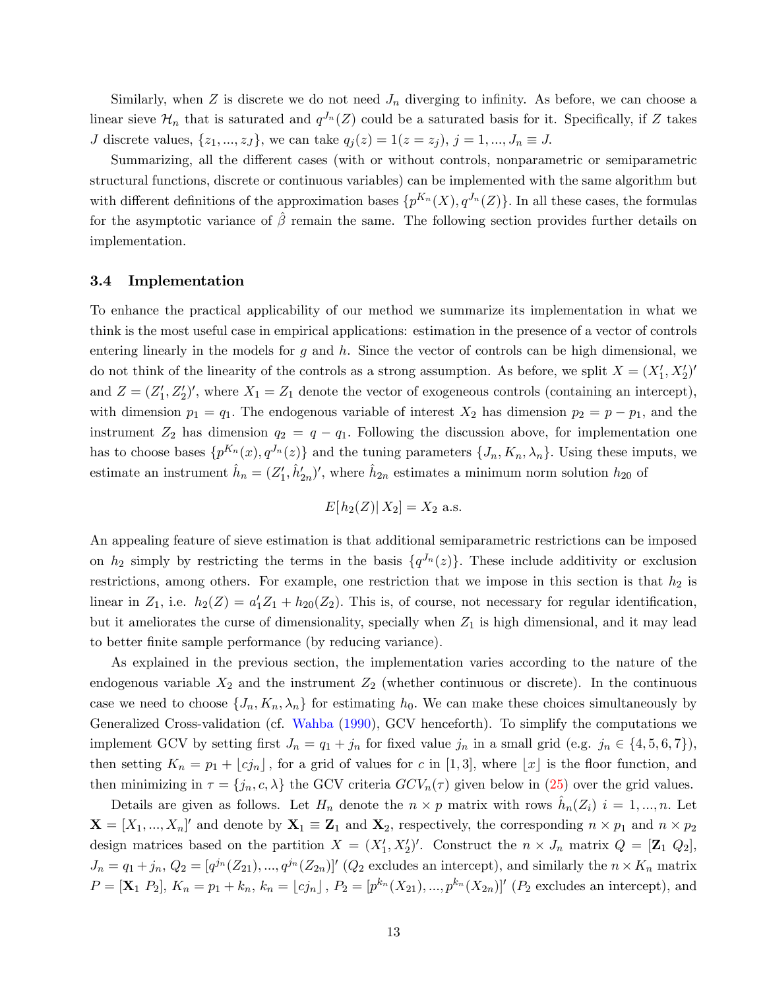Similarly, when Z is discrete we do not need  $J_n$  diverging to infinity. As before, we can choose a linear sieve  $\mathcal{H}_n$  that is saturated and  $q^{J_n}(Z)$  could be a saturated basis for it. Specifically, if Z takes *J* discrete values,  $\{z_1, ..., z_J\}$ , we can take  $q_j(z) = 1(z = z_j), j = 1, ..., J_n \equiv J$ .

Summarizing, all the different cases (with or without controls, nonparametric or semiparametric structural functions, discrete or continuous variables) can be implemented with the same algorithm but with different definitions of the approximation bases  $\{p^{K_n}(X), q^{J_n}(Z)\}\$ . In all these cases, the formulas for the asymptotic variance of  $\hat{\beta}$  remain the same. The following section provides further details on implementation.

#### <span id="page-12-0"></span>3.4 Implementation

To enhance the practical applicability of our method we summarize its implementation in what we think is the most useful case in empirical applications: estimation in the presence of a vector of controls entering linearly in the models for  $g$  and  $h$ . Since the vector of controls can be high dimensional, we do not think of the linearity of the controls as a strong assumption. As before, we split  $X = (X'_1, X'_2)'$ and  $Z = (Z'_1, Z'_2)'$ , where  $X_1 = Z_1$  denote the vector of exogeneous controls (containing an intercept), with dimension  $p_1 = q_1$ . The endogenous variable of interest  $X_2$  has dimension  $p_2 = p - p_1$ , and the instrument  $Z_2$  has dimension  $q_2 = q - q_1$ . Following the discussion above, for implementation one has to choose bases  $\{p^{K_n}(x), q^{J_n}(z)\}\$  and the tuning parameters  $\{J_n, K_n, \lambda_n\}$ . Using these imputs, we estimate an instrument  $\hat{h}_n = (Z_1', \hat{h}'_{2n})'$ , where  $\hat{h}_{2n}$  estimates a minimum norm solution  $h_{20}$  of

$$
E[h_2(Z)|X_2] = X_2 \text{ a.s.}
$$

An appealing feature of sieve estimation is that additional semiparametric restrictions can be imposed on  $h_2$  simply by restricting the terms in the basis  $\{q^{J_n}(z)\}\$ . These include additivity or exclusion restrictions, among others. For example, one restriction that we impose in this section is that  $h_2$  is linear in  $Z_1$ , i.e.  $h_2(Z) = a'_1 Z_1 + h_{20}(Z_2)$ . This is, of course, not necessary for regular identification, but it ameliorates the curse of dimensionality, specially when  $Z_1$  is high dimensional, and it may lead to better Önite sample performance (by reducing variance).

As explained in the previous section, the implementation varies according to the nature of the endogenous variable  $X_2$  and the instrument  $Z_2$  (whether continuous or discrete). In the continuous case we need to choose  $\{J_n, K_n, \lambda_n\}$  for estimating  $h_0$ . We can make these choices simultaneously by Generalized Cross-validation (cf. [Wahba](#page-36-2) [\(1990\)](#page-36-2), GCV henceforth). To simplify the computations we implement GCV by setting first  $J_n = q_1 + j_n$  for fixed value  $j_n$  in a small grid (e.g.  $j_n \in \{4, 5, 6, 7\}$ ), then setting  $K_n = p_1 + \lfloor c j_n \rfloor$ , for a grid of values for c in [1,3], where  $\lfloor x \rfloor$  is the floor function, and then minimizing in  $\tau = \{j_n, c, \lambda\}$  the GCV criteria  $GCV_n(\tau)$  given below in [\(25\)](#page-13-0) over the grid values.

Details are given as follows. Let  $H_n$  denote the  $n \times p$  matrix with rows  $\hat{h}_n(Z_i)$   $i = 1, ..., n$ . Let  $\mathbf{X} = [X_1, ..., X_n]'$  and denote by  $\mathbf{X}_1 \equiv \mathbf{Z}_1$  and  $\mathbf{X}_2$ , respectively, the corresponding  $n \times p_1$  and  $n \times p_2$ design matrices based on the partition  $X = (X'_1, X'_2)'$ . Construct the  $n \times J_n$  matrix  $Q = [\mathbf{Z}_1 \ Q_2],$  $J_n = q_1 + j_n$ ,  $Q_2 = [q^{j_n}(Z_{21}), ..., q^{j_n}(Z_{2n})]'$  ( $Q_2$  excludes an intercept), and similarly the  $n \times K_n$  matrix  $P = [\mathbf{X}_1 \ P_2], K_n = p_1 + k_n, k_n = \lfloor c j_n \rfloor, P_2 = [p^{k_n}(X_{21}), ..., p^{k_n}(X_{2n})]'$  ( $P_2$  excludes an intercept), and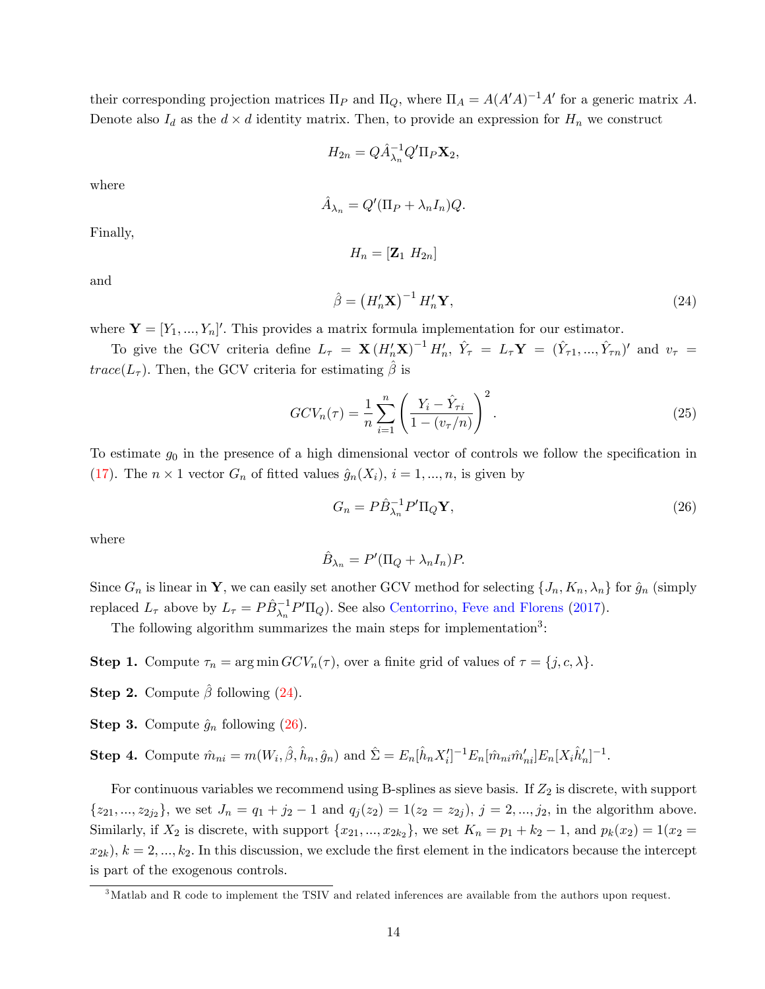their corresponding projection matrices  $\Pi_P$  and  $\Pi_Q$ , where  $\Pi_A = A(A'A)^{-1}A'$  for a generic matrix A. Denote also  $I_d$  as the  $d \times d$  identity matrix. Then, to provide an expression for  $H_n$  we construct

$$
H_{2n} = Q\hat{A}_{\lambda_n}^{-1} Q' \Pi_P \mathbf{X}_2,
$$

where

$$
\hat{A}_{\lambda_n} = Q'(\Pi_P + \lambda_n I_n)Q.
$$

Finally,

and

<span id="page-13-1"></span>
$$
H_n = [\mathbf{Z}_1 \ H_{2n}]
$$
  

$$
\hat{\beta} = (H'_n \mathbf{X})^{-1} H'_n \mathbf{Y}, \tag{24}
$$

where  $\mathbf{Y} = [Y_1, ..., Y_n]'$ . This provides a matrix formula implementation for our estimator.

To give the GCV criteria define  $L_{\tau} = \mathbf{X} (H_n' \mathbf{X})^{-1} H_n', \quad \hat{Y}_{\tau} = L_{\tau} \mathbf{Y} = (\hat{Y}_{\tau 1}, ..., \hat{Y}_{\tau n})'$  and  $v_{\tau} =$  $trace(L_{\tau})$ . Then, the GCV criteria for estimating  $\hat{\beta}$  is

<span id="page-13-0"></span>
$$
GCV_n(\tau) = \frac{1}{n} \sum_{i=1}^n \left( \frac{Y_i - \hat{Y}_{\tau i}}{1 - (v_\tau/n)} \right)^2.
$$
 (25)

To estimate  $g_0$  in the presence of a high dimensional vector of controls we follow the specification in [\(17\)](#page-10-2). The  $n \times 1$  vector  $G_n$  of fitted values  $\hat{g}_n(X_i), i = 1, ..., n$ , is given by

<span id="page-13-2"></span>
$$
G_n = P \hat{B}_{\lambda_n}^{-1} P' \Pi_Q \mathbf{Y},\tag{26}
$$

where

$$
\hat{B}_{\lambda_n} = P'(\Pi_Q + \lambda_n I_n)P.
$$

Since  $G_n$  is linear in Y, we can easily set another GCV method for selecting  $\{J_n, K_n, \lambda_n\}$  for  $\hat{g}_n$  (simply replaced  $L_{\tau}$  above by  $L_{\tau} = P \hat{B}_{\lambda_n}^{-1} P' \Pi_Q$ ). See also [Centorrino, Feve and Florens](#page-33-12) [\(2017\)](#page-33-12).

The following algorithm summarizes the main steps for implementation<sup>3</sup>:

**Step 1.** Compute  $\tau_n = \arg \min GCV_n(\tau)$ , over a finite grid of values of  $\tau = \{j, c, \lambda\}$ .

- **Step 2.** Compute  $\hat{\beta}$  following [\(24\)](#page-13-1).
- **Step 3.** Compute  $\hat{g}_n$  following [\(26\)](#page-13-2).

**Step 4.** Compute 
$$
\hat{m}_{ni} = m(W_i, \hat{\beta}, \hat{h}_n, \hat{g}_n)
$$
 and  $\hat{\Sigma} = E_n[\hat{h}_n X_i']^{-1} E_n[\hat{m}_{ni} \hat{m}_{ni}'] E_n[X_i \hat{h}_n']^{-1}$ .

For continuous variables we recommend using B-splines as sieve basis. If  $Z_2$  is discrete, with support  $\{z_{21},...,z_{2j_2}\},$  we set  $J_n = q_1 + j_2 - 1$  and  $q_j(z_2) = 1(z_2 = z_{2j}), j = 2,...,j_2$ , in the algorithm above. Similarly, if  $X_2$  is discrete, with support  $\{x_{21},...,x_{2k_2}\}$ , we set  $K_n = p_1 + k_2 - 1$ , and  $p_k(x_2) = 1(x_2 = 1)$  $x_{2k}$ ,  $k = 2, ..., k_2$ . In this discussion, we exclude the first element in the indicators because the intercept is part of the exogenous controls.

<sup>&</sup>lt;sup>3</sup>Matlab and R code to implement the TSIV and related inferences are available from the authors upon request.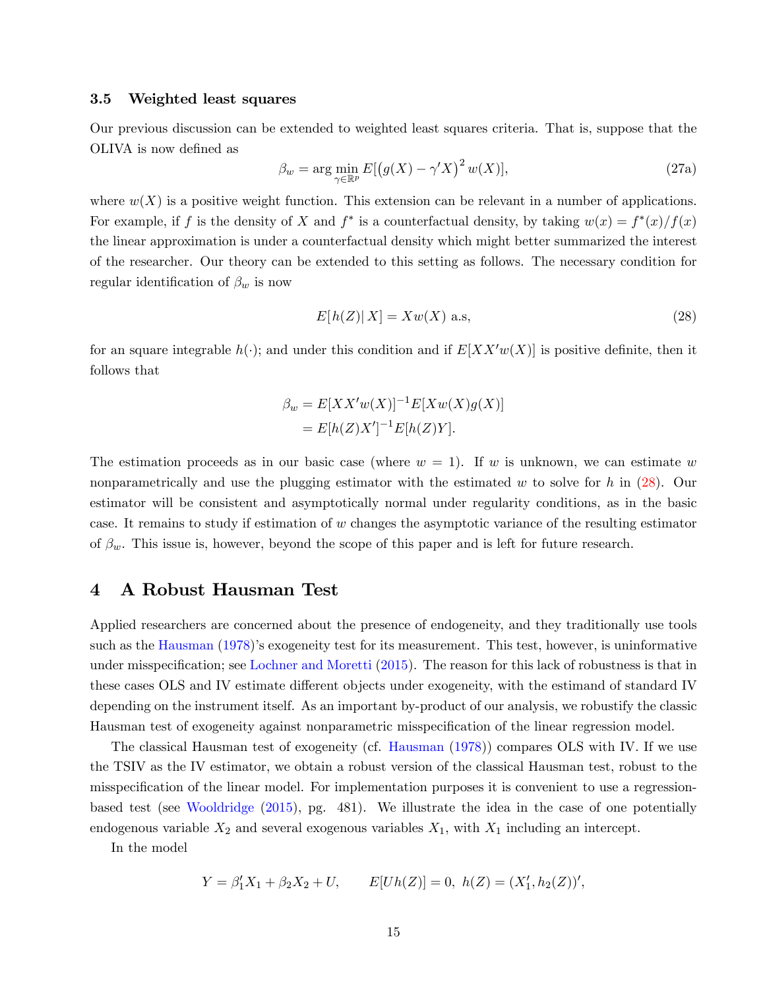#### <span id="page-14-1"></span>3.5 Weighted least squares

Our previous discussion can be extended to weighted least squares criteria. That is, suppose that the OLIVA is now defined as

$$
\beta_w = \arg\min_{\gamma \in \mathbb{R}^p} E[(g(X) - \gamma' X)^2 w(X)],\tag{27a}
$$

where  $w(X)$  is a positive weight function. This extension can be relevant in a number of applications. For example, if f is the density of X and  $f^*$  is a counterfactual density, by taking  $w(x) = f^*(x)/f(x)$ the linear approximation is under a counterfactual density which might better summarized the interest of the researcher. Our theory can be extended to this setting as follows. The necessary condition for regular identification of  $\beta_w$  is now

<span id="page-14-2"></span>
$$
E[h(Z)|X] = Xw(X) \text{ a.s.}
$$
\n<sup>(28)</sup>

for an square integrable  $h(\cdot)$ ; and under this condition and if  $E[XX'w(X)]$  is positive definite, then it follows that

$$
\beta_w = E[XX'w(X)]^{-1}E[Xw(X)g(X)]
$$
  
= 
$$
E[h(Z)X']^{-1}E[h(Z)Y].
$$

The estimation proceeds as in our basic case (where  $w = 1$ ). If w is unknown, we can estimate w nonparametrically and use the plugging estimator with the estimated w to solve for h in  $(28)$ . Our estimator will be consistent and asymptotically normal under regularity conditions, as in the basic case. It remains to study if estimation of w changes the asymptotic variance of the resulting estimator of  $\beta_w$ . This issue is, however, beyond the scope of this paper and is left for future research.

## <span id="page-14-0"></span>4 A Robust Hausman Test

Applied researchers are concerned about the presence of endogeneity, and they traditionally use tools such as the [Hausman](#page-35-5) [\(1978\)](#page-35-5)'s exogeneity test for its measurement. This test, however, is uninformative under misspecification; see [Lochner and Moretti](#page-35-4) [\(2015\)](#page-35-4). The reason for this lack of robustness is that in these cases OLS and IV estimate different objects under exogeneity, with the estimand of standard IV depending on the instrument itself. As an important by-product of our analysis, we robustify the classic Hausman test of exogeneity against nonparametric misspecification of the linear regression model.

The classical Hausman test of exogeneity (cf. [Hausman](#page-35-5) [\(1978\)](#page-35-5)) compares OLS with IV. If we use the TSIV as the IV estimator, we obtain a robust version of the classical Hausman test, robust to the misspecification of the linear model. For implementation purposes it is convenient to use a regressionbased test (see [Wooldridge](#page-36-3) [\(2015\)](#page-36-3), pg. 481). We illustrate the idea in the case of one potentially endogenous variable  $X_2$  and several exogenous variables  $X_1$ , with  $X_1$  including an intercept.

In the model

$$
Y = \beta'_1 X_1 + \beta_2 X_2 + U, \qquad E[Uh(Z)] = 0, \ h(Z) = (X'_1, h_2(Z))',
$$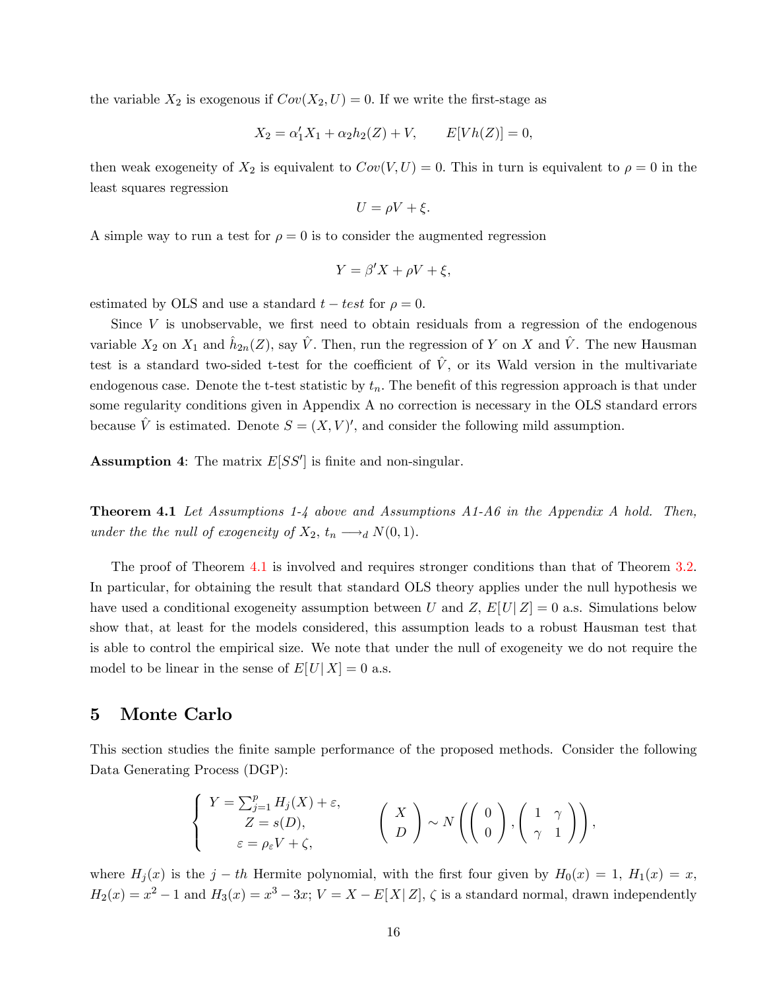the variable  $X_2$  is exogenous if  $Cov(X_2, U) = 0$ . If we write the first-stage as

$$
X_2 = \alpha'_1 X_1 + \alpha_2 h_2(Z) + V, \qquad E[Vh(Z)] = 0,
$$

then weak exogeneity of  $X_2$  is equivalent to  $Cov(V, U) = 0$ . This in turn is equivalent to  $\rho = 0$  in the least squares regression

$$
U = \rho V + \xi.
$$

A simple way to run a test for  $\rho = 0$  is to consider the augmented regression

$$
Y = \beta' X + \rho V + \xi,
$$

estimated by OLS and use a standard  $t - test$  for  $\rho = 0$ .

Since  $V$  is unobservable, we first need to obtain residuals from a regression of the endogenous variable  $X_2$  on  $X_1$  and  $\hat{h}_{2n}(Z)$ , say  $\hat{V}$ . Then, run the regression of Y on X and  $\hat{V}$ . The new Hausman test is a standard two-sided t-test for the coefficient of  $\hat{V}$ , or its Wald version in the multivariate endogenous case. Denote the t-test statistic by  $t_n$ . The benefit of this regression approach is that under some regularity conditions given in Appendix A no correction is necessary in the OLS standard errors because  $\hat{V}$  is estimated. Denote  $S = (X, V)'$ , and consider the following mild assumption.

**Assumption 4:** The matrix  $E[SS']$  is finite and non-singular.

<span id="page-15-1"></span>Theorem 4.1 Let Assumptions 1-4 above and Assumptions A1-A6 in the Appendix A hold. Then, under the the null of exogeneity of  $X_2$ ,  $t_n \longrightarrow_d N(0, 1)$ .

The proof of Theorem [4.1](#page-15-1) is involved and requires stronger conditions than that of Theorem [3.2.](#page-9-2) In particular, for obtaining the result that standard OLS theory applies under the null hypothesis we have used a conditional exogeneity assumption between U and Z,  $E[U|Z] = 0$  a.s. Simulations below show that, at least for the models considered, this assumption leads to a robust Hausman test that is able to control the empirical size. We note that under the null of exogeneity we do not require the model to be linear in the sense of  $E[U|X] = 0$  a.s.

### <span id="page-15-0"></span>5 Monte Carlo

This section studies the Önite sample performance of the proposed methods. Consider the following Data Generating Process (DGP):

$$
\left\{\n\begin{array}{l}\nY = \sum_{j=1}^{p} H_j(X) + \varepsilon, \\
Z = s(D), \\
\varepsilon = \rho_{\varepsilon} V + \zeta,\n\end{array}\n\right.\n\left(\n\begin{array}{l}\nX \\
D\n\end{array}\n\right) \sim N\left(\n\begin{pmatrix}\n0 \\
0\n\end{pmatrix},\n\begin{pmatrix}\n1 & \gamma \\
\gamma & 1\n\end{pmatrix}\n\right),
$$

where  $H_i(x)$  is the  $j-th$  Hermite polynomial, with the first four given by  $H_0(x) = 1$ ,  $H_1(x) = x$ ,  $H_2(x) = x^2 - 1$  and  $H_3(x) = x^3 - 3x$ ;  $V = X - E[X|Z]$ ,  $\zeta$  is a standard normal, drawn independently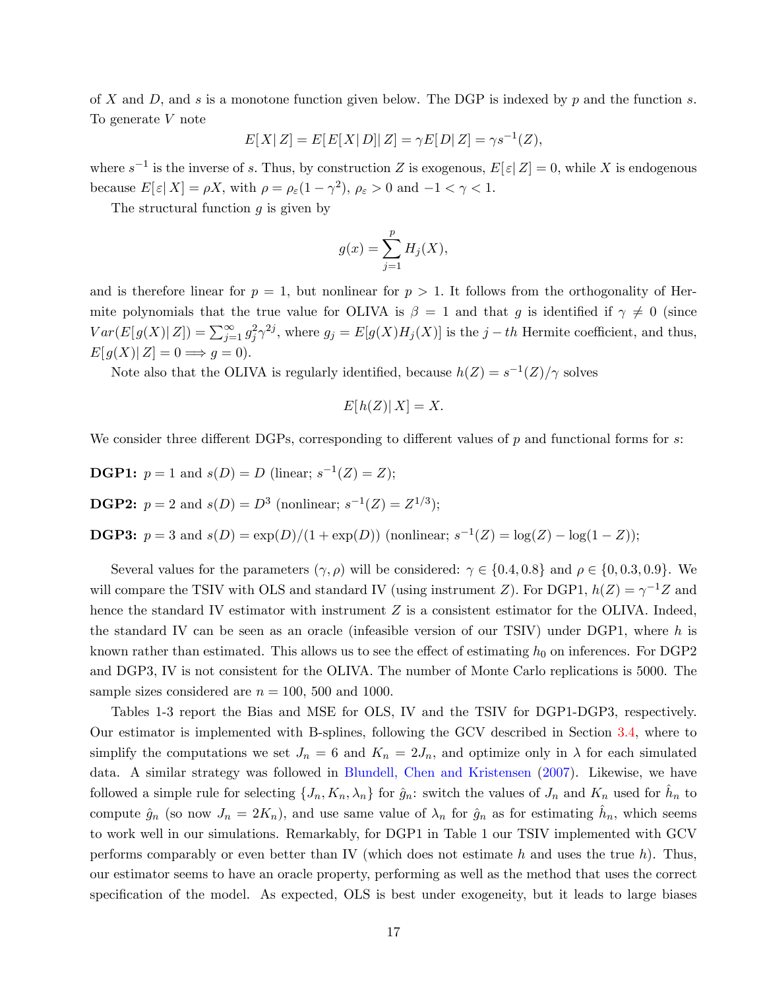of X and D, and s is a monotone function given below. The DGP is indexed by p and the function s. To generate V note

$$
E[X|Z] = E[E[X|D]|Z] = \gamma E[D|Z] = \gamma s^{-1}(Z),
$$

where  $s^{-1}$  is the inverse of s. Thus, by construction Z is exogenous,  $E[\varepsilon | Z] = 0$ , while X is endogenous because  $E[\varepsilon|X] = \rho X$ , with  $\rho = \rho_{\varepsilon}(1 - \gamma^2)$ ,  $\rho_{\varepsilon} > 0$  and  $-1 < \gamma < 1$ .

The structural function  $g$  is given by

$$
g(x) = \sum_{j=1}^{p} H_j(X),
$$

and is therefore linear for  $p = 1$ , but nonlinear for  $p > 1$ . It follows from the orthogonality of Hermite polynomials that the true value for OLIVA is  $\beta = 1$  and that g is identified if  $\gamma \neq 0$  (since  $Var(E[g(X)|Z]) = \sum_{j=1}^{\infty} g_j^2 \gamma^{2j}$ , where  $g_j = E[g(X)H_j(X)]$  is the  $j-th$  Hermite coefficient, and thus,  $E[g(X)|Z] = 0 \Longrightarrow g = 0$ .

Note also that the OLIVA is regularly identified, because  $h(Z) = s^{-1}(Z)/\gamma$  solves

$$
E[h(Z)|X] = X.
$$

We consider three different DGPs, corresponding to different values of  $p$  and functional forms for  $s$ :

**DGP1:**  $p = 1$  and  $s(D) = D$  (linear;  $s^{-1}(Z) = Z$ ); **DGP2:**  $p = 2$  and  $s(D) = D^3$  (nonlinear;  $s^{-1}(Z) = Z^{1/3}$ ); **DGP3:**  $p = 3$  and  $s(D) = \exp(D)/(1 + \exp(D))$  (nonlinear;  $s^{-1}(Z) = \log(Z) - \log(1 - Z)$ );

Several values for the parameters  $(\gamma, \rho)$  will be considered:  $\gamma \in \{0.4, 0.8\}$  and  $\rho \in \{0, 0.3, 0.9\}$ . We will compare the TSIV with OLS and standard IV (using instrument Z). For DGP1,  $h(Z) = \gamma^{-1}Z$  and hence the standard IV estimator with instrument  $Z$  is a consistent estimator for the OLIVA. Indeed, the standard IV can be seen as an oracle (infeasible version of our TSIV) under DGP1, where  $h$  is known rather than estimated. This allows us to see the effect of estimating  $h_0$  on inferences. For DGP2 and DGP3, IV is not consistent for the OLIVA. The number of Monte Carlo replications is 5000. The sample sizes considered are  $n = 100$ , 500 and 1000.

Tables 1-3 report the Bias and MSE for OLS, IV and the TSIV for DGP1-DGP3, respectively. Our estimator is implemented with B-splines, following the GCV described in Section [3.4,](#page-12-0) where to simplify the computations we set  $J_n = 6$  and  $K_n = 2J_n$ , and optimize only in  $\lambda$  for each simulated data. A similar strategy was followed in [Blundell, Chen and Kristensen](#page-33-2) [\(2007\)](#page-33-2). Likewise, we have followed a simple rule for selecting  $\{J_n, K_n, \lambda_n\}$  for  $\hat{g}_n$ : switch the values of  $J_n$  and  $K_n$  used for  $\hat{h}_n$  to compute  $\hat{g}_n$  (so now  $J_n = 2K_n$ ), and use same value of  $\lambda_n$  for  $\hat{g}_n$  as for estimating  $\hat{h}_n$ , which seems to work well in our simulations. Remarkably, for DGP1 in Table 1 our TSIV implemented with GCV performs comparably or even better than IV (which does not estimate h and uses the true h). Thus, our estimator seems to have an oracle property, performing as well as the method that uses the correct specification of the model. As expected, OLS is best under exogeneity, but it leads to large biases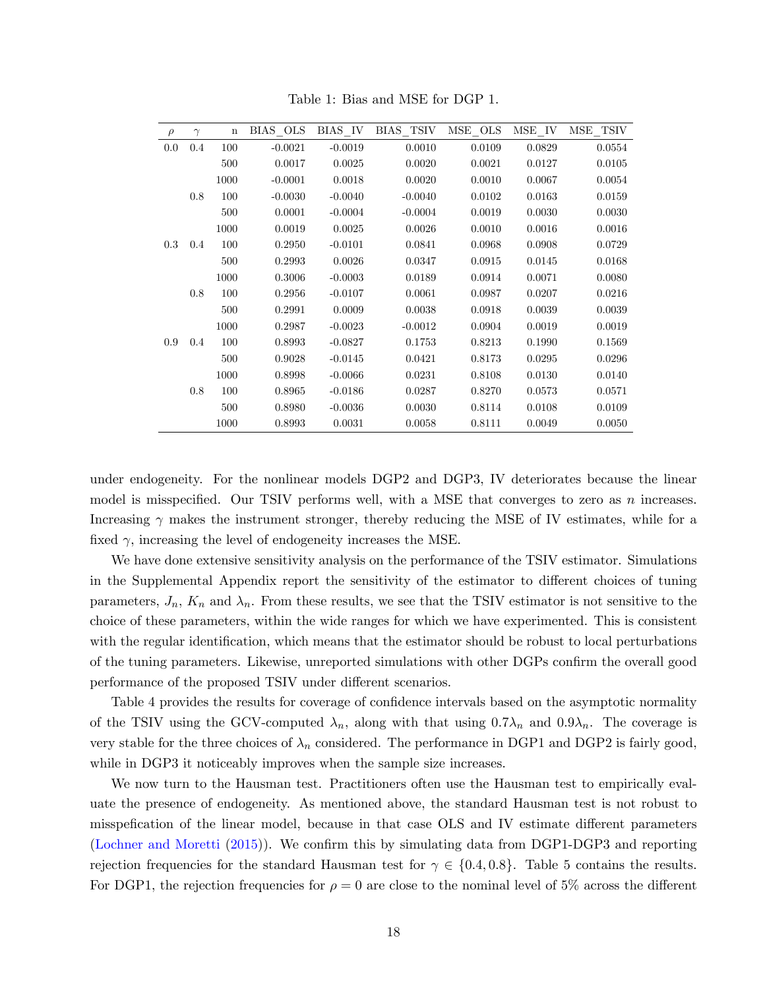| $\rho$ | $\gamma$ | $\mathbf n$ | BIAS OLS  | BIAS IV   | BIAS TSIV | $MSE\_OLS$ | MSE IV | MSE TSIV |
|--------|----------|-------------|-----------|-----------|-----------|------------|--------|----------|
| 0.0    | $0.4\,$  | 100         | $-0.0021$ | $-0.0019$ | 0.0010    | 0.0109     | 0.0829 | 0.0554   |
|        |          | 500         | 0.0017    | 0.0025    | 0.0020    | 0.0021     | 0.0127 | 0.0105   |
|        |          | 1000        | $-0.0001$ | 0.0018    | 0.0020    | 0.0010     | 0.0067 | 0.0054   |
|        | 0.8      | 100         | $-0.0030$ | $-0.0040$ | $-0.0040$ | 0.0102     | 0.0163 | 0.0159   |
|        |          | 500         | 0.0001    | $-0.0004$ | $-0.0004$ | 0.0019     | 0.0030 | 0.0030   |
|        |          | 1000        | 0.0019    | 0.0025    | 0.0026    | 0.0010     | 0.0016 | 0.0016   |
| 0.3    | 0.4      | 100         | 0.2950    | $-0.0101$ | 0.0841    | 0.0968     | 0.0908 | 0.0729   |
|        |          | 500         | 0.2993    | 0.0026    | 0.0347    | 0.0915     | 0.0145 | 0.0168   |
|        |          | 1000        | 0.3006    | $-0.0003$ | 0.0189    | 0.0914     | 0.0071 | 0.0080   |
|        | 0.8      | 100         | 0.2956    | $-0.0107$ | 0.0061    | 0.0987     | 0.0207 | 0.0216   |
|        |          | 500         | 0.2991    | 0.0009    | 0.0038    | 0.0918     | 0.0039 | 0.0039   |
|        |          | 1000        | 0.2987    | $-0.0023$ | $-0.0012$ | 0.0904     | 0.0019 | 0.0019   |
| 0.9    | 0.4      | 100         | 0.8993    | $-0.0827$ | 0.1753    | 0.8213     | 0.1990 | 0.1569   |
|        |          | 500         | 0.9028    | $-0.0145$ | 0.0421    | 0.8173     | 0.0295 | 0.0296   |
|        |          | 1000        | 0.8998    | $-0.0066$ | 0.0231    | 0.8108     | 0.0130 | 0.0140   |
|        | 0.8      | 100         | 0.8965    | $-0.0186$ | 0.0287    | 0.8270     | 0.0573 | 0.0571   |
|        |          | 500         | 0.8980    | $-0.0036$ | 0.0030    | 0.8114     | 0.0108 | 0.0109   |
|        |          | 1000        | 0.8993    | 0.0031    | 0.0058    | 0.8111     | 0.0049 | 0.0050   |

Table 1: Bias and MSE for DGP 1.

under endogeneity. For the nonlinear models DGP2 and DGP3, IV deteriorates because the linear model is misspecified. Our TSIV performs well, with a MSE that converges to zero as  $n$  increases. Increasing  $\gamma$  makes the instrument stronger, thereby reducing the MSE of IV estimates, while for a fixed  $\gamma$ , increasing the level of endogeneity increases the MSE.

We have done extensive sensitivity analysis on the performance of the TSIV estimator. Simulations in the Supplemental Appendix report the sensitivity of the estimator to different choices of tuning parameters,  $J_n$ ,  $K_n$  and  $\lambda_n$ . From these results, we see that the TSIV estimator is not sensitive to the choice of these parameters, within the wide ranges for which we have experimented. This is consistent with the regular identification, which means that the estimator should be robust to local perturbations of the tuning parameters. Likewise, unreported simulations with other DGPs confirm the overall good performance of the proposed TSIV under different scenarios.

Table 4 provides the results for coverage of confidence intervals based on the asymptotic normality of the TSIV using the GCV-computed  $\lambda_n$ , along with that using  $0.7\lambda_n$  and  $0.9\lambda_n$ . The coverage is very stable for the three choices of  $\lambda_n$  considered. The performance in DGP1 and DGP2 is fairly good, while in DGP3 it noticeably improves when the sample size increases.

We now turn to the Hausman test. Practitioners often use the Hausman test to empirically evaluate the presence of endogeneity. As mentioned above, the standard Hausman test is not robust to misspefication of the linear model, because in that case OLS and IV estimate different parameters [\(Lochner and Moretti](#page-35-4)  $(2015)$ ). We confirm this by simulating data from DGP1-DGP3 and reporting rejection frequencies for the standard Hausman test for  $\gamma \in \{0.4, 0.8\}$ . Table 5 contains the results. For DGP1, the rejection frequencies for  $\rho = 0$  are close to the nominal level of 5% across the different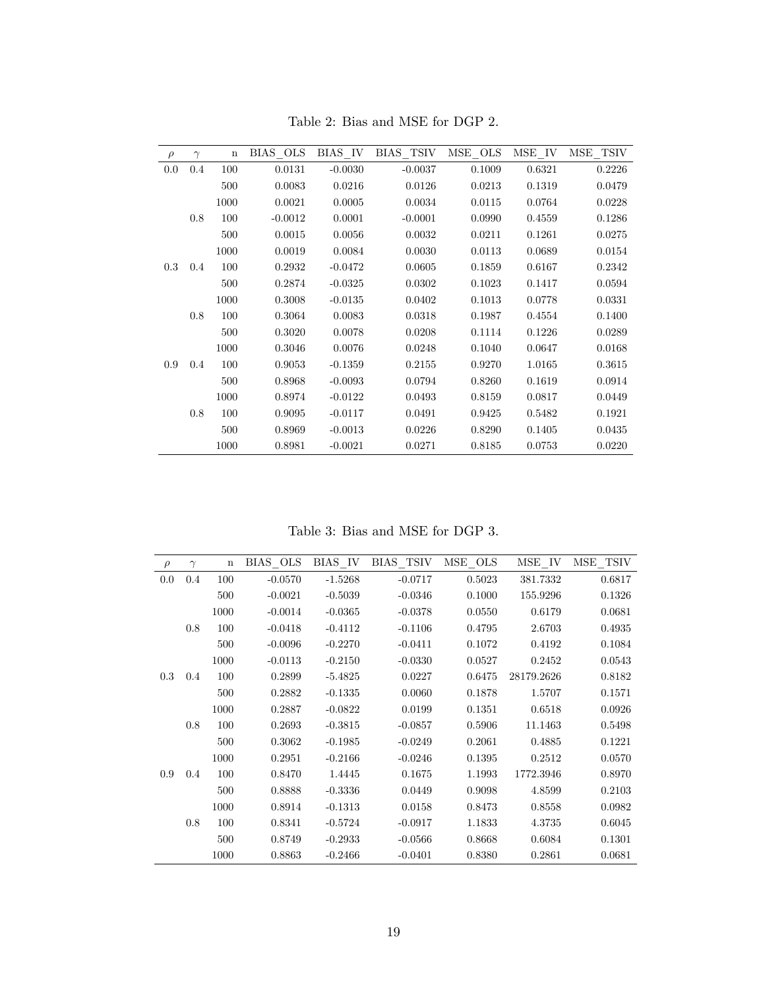| $\rho$ | $\gamma$ | $\mathbf n$ | BIAS OLS  | BIAS IV   | BIAS TSIV | MSE OLS | MSE IV | MSE TSIV |
|--------|----------|-------------|-----------|-----------|-----------|---------|--------|----------|
| 0.0    | 0.4      | 100         | 0.0131    | $-0.0030$ | $-0.0037$ | 0.1009  | 0.6321 | 0.2226   |
|        |          | 500         | 0.0083    | 0.0216    | 0.0126    | 0.0213  | 0.1319 | 0.0479   |
|        |          | 1000        | 0.0021    | 0.0005    | 0.0034    | 0.0115  | 0.0764 | 0.0228   |
|        | 0.8      | 100         | $-0.0012$ | 0.0001    | $-0.0001$ | 0.0990  | 0.4559 | 0.1286   |
|        |          | 500         | 0.0015    | 0.0056    | 0.0032    | 0.0211  | 0.1261 | 0.0275   |
|        |          | 1000        | 0.0019    | 0.0084    | 0.0030    | 0.0113  | 0.0689 | 0.0154   |
| 0.3    | 0.4      | 100         | 0.2932    | $-0.0472$ | 0.0605    | 0.1859  | 0.6167 | 0.2342   |
|        |          | 500         | 0.2874    | $-0.0325$ | 0.0302    | 0.1023  | 0.1417 | 0.0594   |
|        |          | 1000        | 0.3008    | $-0.0135$ | 0.0402    | 0.1013  | 0.0778 | 0.0331   |
|        | 0.8      | 100         | 0.3064    | 0.0083    | 0.0318    | 0.1987  | 0.4554 | 0.1400   |
|        |          | 500         | 0.3020    | 0.0078    | 0.0208    | 0.1114  | 0.1226 | 0.0289   |
|        |          | 1000        | 0.3046    | 0.0076    | 0.0248    | 0.1040  | 0.0647 | 0.0168   |
| 0.9    | 0.4      | 100         | 0.9053    | $-0.1359$ | 0.2155    | 0.9270  | 1.0165 | 0.3615   |
|        |          | 500         | 0.8968    | $-0.0093$ | 0.0794    | 0.8260  | 0.1619 | 0.0914   |
|        |          | 1000        | 0.8974    | $-0.0122$ | 0.0493    | 0.8159  | 0.0817 | 0.0449   |
|        | 0.8      | 100         | 0.9095    | $-0.0117$ | 0.0491    | 0.9425  | 0.5482 | 0.1921   |
|        |          | 500         | 0.8969    | $-0.0013$ | 0.0226    | 0.8290  | 0.1405 | 0.0435   |
|        |          | 1000        | 0.8981    | $-0.0021$ | 0.0271    | 0.8185  | 0.0753 | 0.0220   |

Table 2: Bias and MSE for DGP 2.

Table 3: Bias and MSE for DGP 3.

| $\rho$           | $\gamma$ | $\mathbf n$ |           |           | BIAS_OLS BIAS_IV BIAS_TSIV MSE_OLS |            | MSE IV     | MSE TSIV |
|------------------|----------|-------------|-----------|-----------|------------------------------------|------------|------------|----------|
| 0.0              | 0.4      | 100         | $-0.0570$ | $-1.5268$ | $-0.0717$                          | 0.5023     | 381.7332   | 0.6817   |
|                  |          | 500         | $-0.0021$ | $-0.5039$ | $-0.0346$                          | 0.1000     | 155.9296   | 0.1326   |
|                  |          | 1000        | $-0.0014$ | $-0.0365$ | $-0.0378$                          | 0.0550     | 0.6179     | 0.0681   |
|                  | 0.8      | 100         | $-0.0418$ | $-0.4112$ | $-0.1106$                          | 0.4795     | 2.6703     | 0.4935   |
|                  |          | 500         | $-0.0096$ | $-0.2270$ | $-0.0411$                          | 0.1072     | 0.4192     | 0.1084   |
|                  |          | 1000        | $-0.0113$ | $-0.2150$ | $-0.0330$                          | $0.0527\,$ | 0.2452     | 0.0543   |
| 0.3              | $0.4\,$  | 100         | 0.2899    | $-5.4825$ | 0.0227                             | 0.6475     | 28179.2626 | 0.8182   |
|                  |          | 500         | 0.2882    | $-0.1335$ | 0.0060                             | 0.1878     | 1.5707     | 0.1571   |
|                  |          | 1000        | 0.2887    | $-0.0822$ | 0.0199                             | 0.1351     | 0.6518     | 0.0926   |
|                  | 0.8      | 100         | 0.2693    | $-0.3815$ | $-0.0857$                          | 0.5906     | 11.1463    | 0.5498   |
|                  |          | 500         | 0.3062    | $-0.1985$ | $-0.0249$                          | 0.2061     | 0.4885     | 0.1221   |
|                  |          | 1000        | 0.2951    | $-0.2166$ | $-0.0246$                          | 0.1395     | 0.2512     | 0.0570   |
| 0.9 <sup>°</sup> | 0.4      | 100         | 0.8470    | 1.4445    | 0.1675                             | 1.1993     | 1772.3946  | 0.8970   |
|                  |          | 500         | 0.8888    | $-0.3336$ | 0.0449                             | 0.9098     | 4.8599     | 0.2103   |
|                  |          | 1000        | 0.8914    | $-0.1313$ | 0.0158                             | 0.8473     | 0.8558     | 0.0982   |
|                  | 0.8      | 100         | 0.8341    | $-0.5724$ | $-0.0917$                          | 1.1833     | 4.3735     | 0.6045   |
|                  |          | 500         | 0.8749    | $-0.2933$ | $-0.0566$                          | 0.8668     | 0.6084     | 0.1301   |
|                  |          | 1000        | 0.8863    | $-0.2466$ | $-0.0401$                          | 0.8380     | 0.2861     | 0.0681   |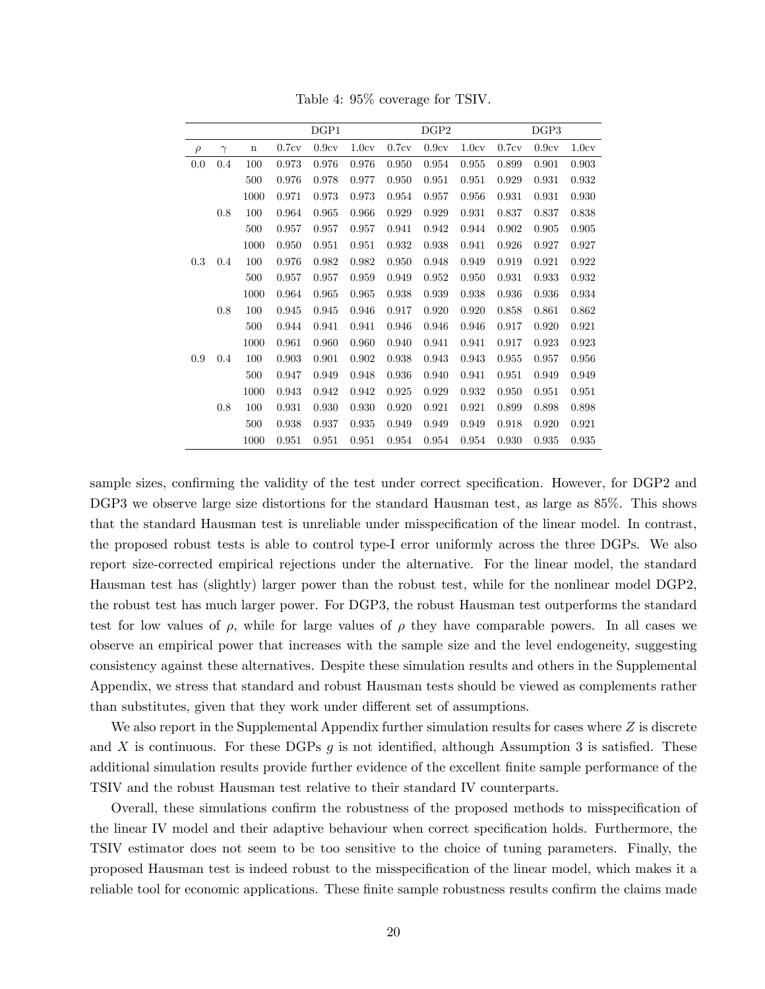|        |          |         |                   | DGP1              |                   |                   | DGP2              |                   |                   | DGP3              |                   |
|--------|----------|---------|-------------------|-------------------|-------------------|-------------------|-------------------|-------------------|-------------------|-------------------|-------------------|
| $\rho$ | $\gamma$ | $\bf n$ | 0.7 <sub>cv</sub> | 0.9c <sub>V</sub> | 1.0 <sub>cv</sub> | 0.7 <sub>cv</sub> | 0.9c <sub>V</sub> | 1.0 <sub>cv</sub> | 0.7 <sub>cv</sub> | 0.9 <sub>cv</sub> | 1.0 <sub>cv</sub> |
| 0.0    | 0.4      | 100     | 0.973             | 0.976             | 0.976             | 0.950             | 0.954             | 0.955             | 0.899             | 0.901             | 0.903             |
|        |          | 500     | 0.976             | 0.978             | 0.977             | 0.950             | 0.951             | 0.951             | 0.929             | 0.931             | 0.932             |
|        |          | 1000    | 0.971             | 0.973             | 0.973             | 0.954             | 0.957             | 0.956             | 0.931             | 0.931             | $0.930\,$         |
|        | 0.8      | 100     | 0.964             | 0.965             | 0.966             | 0.929             | 0.929             | 0.931             | 0.837             | 0.837             | 0.838             |
|        |          | 500     | 0.957             | 0.957             | 0.957             | 0.941             | 0.942             | 0.944             | 0.902             | 0.905             | 0.905             |
|        |          | 1000    | 0.950             | 0.951             | 0.951             | 0.932             | 0.938             | 0.941             | 0.926             | 0.927             | 0.927             |
| 0.3    | 0.4      | 100     | 0.976             | 0.982             | 0.982             | 0.950             | 0.948             | 0.949             | 0.919             | 0.921             | 0.922             |
|        |          | 500     | 0.957             | 0.957             | 0.959             | 0.949             | 0.952             | 0.950             | 0.931             | 0.933             | 0.932             |
|        |          | 1000    | 0.964             | 0.965             | 0.965             | 0.938             | 0.939             | 0.938             | 0.936             | 0.936             | 0.934             |
|        | 0.8      | 100     | 0.945             | 0.945             | 0.946             | 0.917             | 0.920             | 0.920             | 0.858             | 0.861             | 0.862             |
|        |          | 500     | 0.944             | 0.941             | 0.941             | 0.946             | 0.946             | 0.946             | 0.917             | 0.920             | 0.921             |
|        |          | 1000    | 0.961             | 0.960             | 0.960             | 0.940             | 0.941             | 0.941             | 0.917             | 0.923             | 0.923             |
| 0.9    | 0.4      | 100     | 0.903             | 0.901             | 0.902             | 0.938             | 0.943             | 0.943             | 0.955             | 0.957             | 0.956             |
|        |          | 500     | 0.947             | 0.949             | 0.948             | 0.936             | 0.940             | 0.941             | 0.951             | 0.949             | 0.949             |
|        |          | 1000    | 0.943             | 0.942             | 0.942             | 0.925             | 0.929             | 0.932             | 0.950             | 0.951             | 0.951             |
|        | 0.8      | 100     | 0.931             | 0.930             | 0.930             | 0.920             | 0.921             | 0.921             | 0.899             | 0.898             | 0.898             |
|        |          | 500     | 0.938             | 0.937             | 0.935             | 0.949             | 0.949             | 0.949             | 0.918             | 0.920             | 0.921             |
|        |          | 1000    | 0.951             | 0.951             | 0.951             | 0.954             | $\,0.954\,$       | 0.954             | 0.930             | 0.935             | 0.935             |

Table 4: 95% coverage for TSIV.

sample sizes, confirming the validity of the test under correct specification. However, for DGP2 and DGP3 we observe large size distortions for the standard Hausman test, as large as 85%. This shows that the standard Hausman test is unreliable under misspecification of the linear model. In contrast, the proposed robust tests is able to control type-I error uniformly across the three DGPs. We also report size-corrected empirical rejections under the alternative. For the linear model, the standard Hausman test has (slightly) larger power than the robust test, while for the nonlinear model DGP2, the robust test has much larger power. For DGP3, the robust Hausman test outperforms the standard test for low values of  $\rho$ , while for large values of  $\rho$  they have comparable powers. In all cases we observe an empirical power that increases with the sample size and the level endogeneity, suggesting consistency against these alternatives. Despite these simulation results and others in the Supplemental Appendix, we stress that standard and robust Hausman tests should be viewed as complements rather than substitutes, given that they work under different set of assumptions.

We also report in the Supplemental Appendix further simulation results for cases where  $Z$  is discrete and X is continuous. For these DGPs  $g$  is not identified, although Assumption 3 is satisfied. These additional simulation results provide further evidence of the excellent finite sample performance of the TSIV and the robust Hausman test relative to their standard IV counterparts.

Overall, these simulations confirm the robustness of the proposed methods to misspecification of the linear IV model and their adaptive behaviour when correct specification holds. Furthermore, the TSIV estimator does not seem to be too sensitive to the choice of tuning parameters. Finally, the proposed Hausman test is indeed robust to the misspecification of the linear model, which makes it a reliable tool for economic applications. These finite sample robustness results confirm the claims made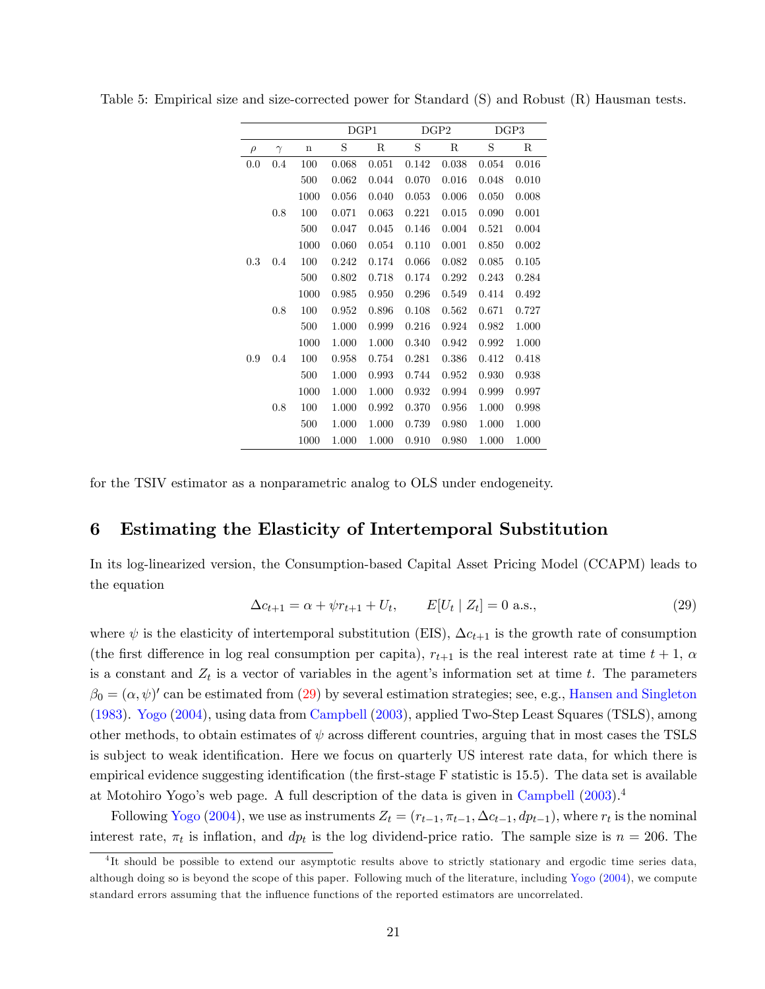|        |          |             |       | DGP1  |       | DGP2  |       | DGP3        |
|--------|----------|-------------|-------|-------|-------|-------|-------|-------------|
| $\rho$ | $\gamma$ | $\mathbf n$ | S     | R     | S     | R     | S     | $\mathbf R$ |
| 0.0    | 0.4      | 100         | 0.068 | 0.051 | 0.142 | 0.038 | 0.054 | 0.016       |
|        |          | 500         | 0.062 | 0.044 | 0.070 | 0.016 | 0.048 | 0.010       |
|        |          | 1000        | 0.056 | 0.040 | 0.053 | 0.006 | 0.050 | 0.008       |
|        | 0.8      | 100         | 0.071 | 0.063 | 0.221 | 0.015 | 0.090 | 0.001       |
|        |          | 500         | 0.047 | 0.045 | 0.146 | 0.004 | 0.521 | 0.004       |
|        |          | 1000        | 0.060 | 0.054 | 0.110 | 0.001 | 0.850 | 0.002       |
| 0.3    | 0.4      | 100         | 0.242 | 0.174 | 0.066 | 0.082 | 0.085 | $0.105\,$   |
|        |          | 500         | 0.802 | 0.718 | 0.174 | 0.292 | 0.243 | 0.284       |
|        |          | 1000        | 0.985 | 0.950 | 0.296 | 0.549 | 0.414 | 0.492       |
|        | 0.8      | 100         | 0.952 | 0.896 | 0.108 | 0.562 | 0.671 | 0.727       |
|        |          | 500         | 1.000 | 0.999 | 0.216 | 0.924 | 0.982 | 1.000       |
|        |          | 1000        | 1.000 | 1.000 | 0.340 | 0.942 | 0.992 | 1.000       |
| 0.9    | 0.4      | 100         | 0.958 | 0.754 | 0.281 | 0.386 | 0.412 | 0.418       |
|        |          | 500         | 1.000 | 0.993 | 0.744 | 0.952 | 0.930 | 0.938       |
|        |          | 1000        | 1.000 | 1.000 | 0.932 | 0.994 | 0.999 | 0.997       |
|        | 0.8      | 100         | 1.000 | 0.992 | 0.370 | 0.956 | 1.000 | 0.998       |
|        |          | 500         | 1.000 | 1.000 | 0.739 | 0.980 | 1.000 | 1.000       |
|        |          | 1000        | 1.000 | 1.000 | 0.910 | 0.980 | 1.000 | 1.000       |

Table 5: Empirical size and size-corrected power for Standard (S) and Robust (R) Hausman tests.

for the TSIV estimator as a nonparametric analog to OLS under endogeneity.

### <span id="page-20-0"></span>6 Estimating the Elasticity of Intertemporal Substitution

In its log-linearized version, the Consumption-based Capital Asset Pricing Model (CCAPM) leads to the equation

<span id="page-20-1"></span>
$$
\Delta c_{t+1} = \alpha + \psi r_{t+1} + U_t, \qquad E[U_t \mid Z_t] = 0 \text{ a.s.}, \tag{29}
$$

where  $\psi$  is the elasticity of intertemporal substitution (EIS),  $\Delta c_{t+1}$  is the growth rate of consumption (the first difference in log real consumption per capita),  $r_{t+1}$  is the real interest rate at time  $t + 1$ ,  $\alpha$ is a constant and  $Z_t$  is a vector of variables in the agent's information set at time t. The parameters  $\beta_0 = (\alpha, \psi)'$  can be estimated from [\(29\)](#page-20-1) by several estimation strategies; see, e.g., [Hansen and Singleton](#page-35-14) [\(1983\)](#page-35-14). [Yogo](#page-36-1) [\(2004\)](#page-36-1), using data from [Campbell](#page-33-13) [\(2003\)](#page-33-13), applied Two-Step Least Squares (TSLS), among other methods, to obtain estimates of  $\psi$  across different countries, arguing that in most cases the TSLS is subject to weak identification. Here we focus on quarterly US interest rate data, for which there is empirical evidence suggesting identification (the first-stage  $F$  statistic is 15.5). The data set is available at Motohiro Yogo's web page. A full description of the data is given in [Campbell](#page-33-13)  $(2003)^4$  $(2003)^4$ 

Following [Yogo](#page-36-1) [\(2004\)](#page-36-1), we use as instruments  $Z_t = (r_{t-1}, \pi_{t-1}, \Delta c_{t-1}, dp_{t-1})$ , where  $r_t$  is the nominal interest rate,  $\pi_t$  is inflation, and  $dp_t$  is the log dividend-price ratio. The sample size is  $n = 206$ . The

<sup>4</sup> It should be possible to extend our asymptotic results above to strictly stationary and ergodic time series data, although doing so is beyond the scope of this paper. Following much of the literature, including [Yogo](#page-36-1) [\(2004\)](#page-36-1), we compute standard errors assuming that the influence functions of the reported estimators are uncorrelated.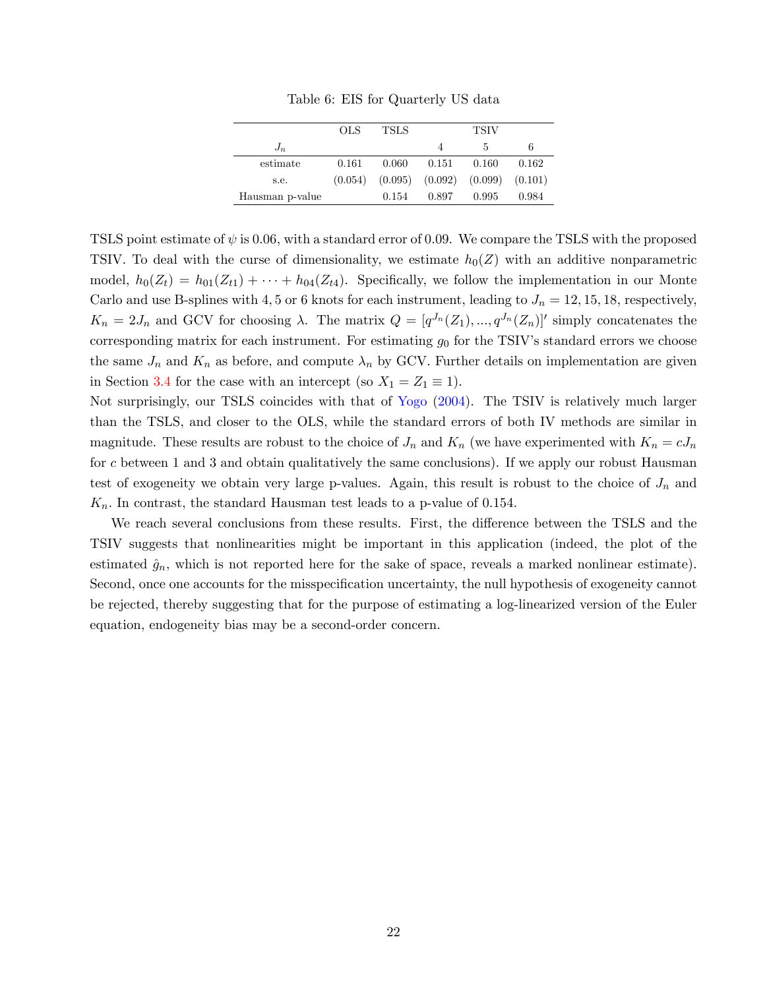Table 6: EIS for Quarterly US data

|                 | OLS     | <b>TSLS</b> |                               | <b>TSIV</b> |         |
|-----------------|---------|-------------|-------------------------------|-------------|---------|
| $J_n$           |         |             | 4                             | 5           | 6       |
| estimate        | 0.161   | 0.060       | 0.151                         | 0.160       | 0.162   |
| s.e.            | (0.054) |             | $(0.095)$ $(0.092)$ $(0.099)$ |             | (0.101) |
| Hausman p-value |         | 0.154       | 0.897                         | 0.995       | 0.984   |

TSLS point estimate of  $\psi$  is 0.06, with a standard error of 0.09. We compare the TSLS with the proposed TSIV. To deal with the curse of dimensionality, we estimate  $h_0(Z)$  with an additive nonparametric model,  $h_0(Z_t) = h_{01}(Z_{t1}) + \cdots + h_{04}(Z_{t4})$ . Specifically, we follow the implementation in our Monte Carlo and use B-splines with 4, 5 or 6 knots for each instrument, leading to  $J_n = 12, 15, 18$ , respectively,  $K_n = 2J_n$  and GCV for choosing  $\lambda$ . The matrix  $Q = [q^{J_n}(Z_1), ..., q^{J_n}(Z_n)]'$  simply concatenates the corresponding matrix for each instrument. For estimating  $g_0$  for the TSIV's standard errors we choose the same  $J_n$  and  $K_n$  as before, and compute  $\lambda_n$  by GCV. Further details on implementation are given in Section [3.4](#page-12-0) for the case with an intercept (so  $X_1 = Z_1 \equiv 1$ ).

Not surprisingly, our TSLS coincides with that of [Yogo](#page-36-1) [\(2004\)](#page-36-1). The TSIV is relatively much larger than the TSLS, and closer to the OLS, while the standard errors of both IV methods are similar in magnitude. These results are robust to the choice of  $J_n$  and  $K_n$  (we have experimented with  $K_n = cJ_n$ for c between 1 and 3 and obtain qualitatively the same conclusions). If we apply our robust Hausman test of exogeneity we obtain very large p-values. Again, this result is robust to the choice of  $J_n$  and  $K_n$ . In contrast, the standard Hausman test leads to a p-value of 0.154.

We reach several conclusions from these results. First, the difference between the TSLS and the TSIV suggests that nonlinearities might be important in this application (indeed, the plot of the estimated  $\hat{g}_n$ , which is not reported here for the sake of space, reveals a marked nonlinear estimate). Second, once one accounts for the misspecification uncertainty, the null hypothesis of exogeneity cannot be rejected, thereby suggesting that for the purpose of estimating a log-linearized version of the Euler equation, endogeneity bias may be a second-order concern.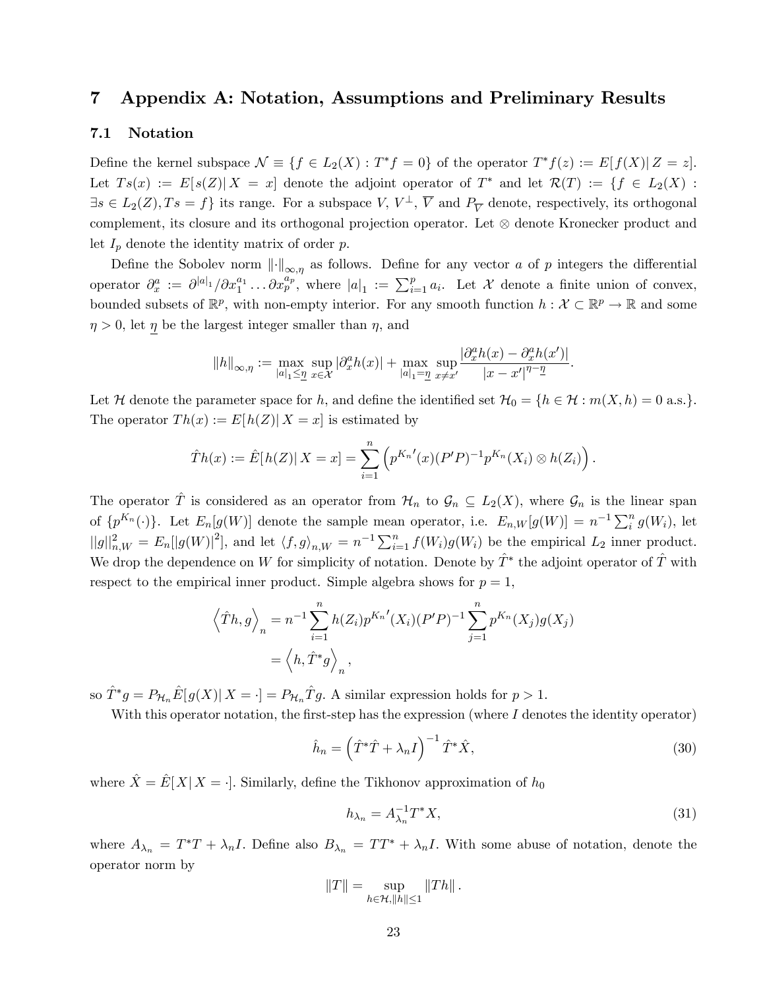## 7 Appendix A: Notation, Assumptions and Preliminary Results

#### 7.1 Notation

Define the kernel subspace  $\mathcal{N} \equiv \{f \in L_2(X) : T^*f = 0\}$  of the operator  $T^*f(z) := E[f(X)|Z = z]$ . Let  $Ts(x) := E[s(Z)|X = x]$  denote the adjoint operator of  $T^*$  and let  $\mathcal{R}(T) := \{f \in L_2(X) :$  $\exists s \in L_2(Z), Ts = f\}$  its range. For a subspace  $V, V^{\perp}, V$  and  $P_{\overline{V}}$  denote, respectively, its orthogonal complement, its closure and its orthogonal projection operator. Let  $\otimes$  denote Kronecker product and let  $I_p$  denote the identity matrix of order p.

Define the Sobolev norm  $\lVert \cdot \rVert_{\infty,\eta}$  as follows. Define for any vector a of p integers the differential operator  $\partial_x^a := \partial^{|a|_1} / \partial x_1^{a_1} \dots \partial x_p^{a_p}$ , where  $|a|_1 := \sum_{i=1}^p a_i$ . Let X denote a finite union of convex, bounded subsets of  $\mathbb{R}^p$ , with non-empty interior. For any smooth function  $h: \mathcal{X} \subset \mathbb{R}^p \to \mathbb{R}$  and some  $\eta > 0$ , let  $\eta$  be the largest integer smaller than  $\eta$ , and

$$
||h||_{\infty,\eta} := \max_{|a|_1 \leq \underline{\eta}} \sup_{x \in \mathcal{X}} |\partial_x^a h(x)| + \max_{|a|_1 = \underline{\eta}} \sup_{x \neq x'} \frac{|\partial_x^a h(x) - \partial_x^a h(x')|}{|x - x'|^{\eta - \underline{\eta}}}.
$$

Let H denote the parameter space for h, and define the identified set  $\mathcal{H}_0 = \{h \in \mathcal{H} : m(X, h) = 0 \text{ a.s.}\}.$ The operator  $Th(x) := E[h(Z)|X=x]$  is estimated by

$$
\hat{T}h(x) := \hat{E}[h(Z)|X = x] = \sum_{i=1}^{n} \left( p^{K_n'}(x) (P'P)^{-1} p^{K_n}(X_i) \otimes h(Z_i) \right).
$$

The operator  $\hat{T}$  is considered as an operator from  $\mathcal{H}_n$  to  $\mathcal{G}_n \subseteq L_2(X)$ , where  $\mathcal{G}_n$  is the linear span of  $\{p^{K_n}(\cdot)\}\$ . Let  $E_n[g(W)]$  denote the sample mean operator, i.e.  $E_{n,W}[g(W)] = n^{-1} \sum_{i=1}^n g(W_i)$ , let  $||g||_{n,W}^2 = E_n[|g(W)|^2]$ , and let  $\langle f, g \rangle_{n,W} = n^{-1} \sum_{i=1}^n f(W_i)g(W_i)$  be the empirical  $L_2$  inner product. We drop the dependence on W for simplicity of notation. Denote by  $\hat{T}^*$  the adjoint operator of  $\hat{T}$  with respect to the empirical inner product. Simple algebra shows for  $p = 1$ ,

$$
\langle \hat{T}h, g \rangle_n = n^{-1} \sum_{i=1}^n h(Z_i) p^{K_n'}(X_i) (P'P)^{-1} \sum_{j=1}^n p^{K_n}(X_j) g(X_j)
$$
  
=  $\langle h, \hat{T}^* g \rangle_n$ ,

so  $\hat{T}^* g = P_{\mathcal{H}_n} \hat{E}[g(X)| X = \cdot] = P_{\mathcal{H}_n} \hat{T} g.$  A similar expression holds for  $p > 1$ .

With this operator notation, the first-step has the expression (where  $I$  denotes the identity operator)

$$
\hat{h}_n = \left(\hat{T}^*\hat{T} + \lambda_n I\right)^{-1} \hat{T}^*\hat{X},\tag{30}
$$

where  $\hat{X} = \hat{E}[X|X = \cdot]$ . Similarly, define the Tikhonov approximation of  $h_0$ 

<span id="page-22-0"></span>
$$
h_{\lambda_n} = A_{\lambda_n}^{-1} T^* X,\tag{31}
$$

where  $A_{\lambda_n} = T^*T + \lambda_n I$ . Define also  $B_{\lambda_n} = TT^* + \lambda_n I$ . With some abuse of notation, denote the operator norm by

$$
||T|| = \sup_{h \in \mathcal{H}, ||h|| \le 1} ||Th||.
$$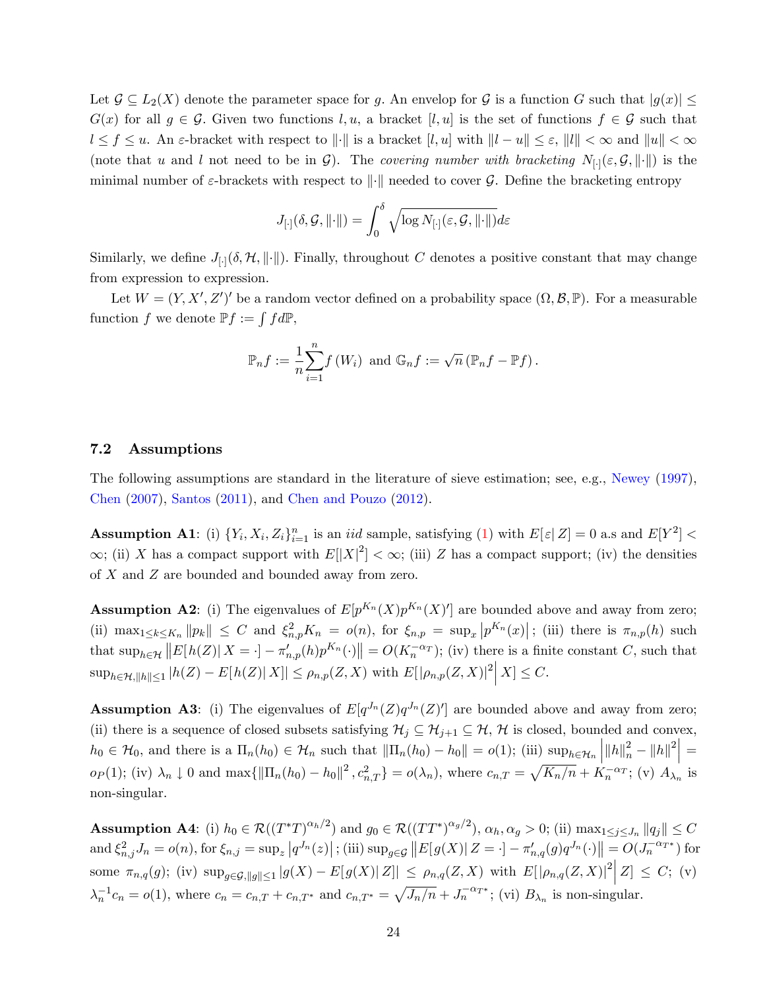Let  $\mathcal{G} \subseteq L_2(X)$  denote the parameter space for g. An envelop for  $\mathcal{G}$  is a function G such that  $|g(x)| \leq$  $G(x)$  for all  $g \in \mathcal{G}$ . Given two functions  $l, u$ , a bracket  $[l, u]$  is the set of functions  $f \in \mathcal{G}$  such that  $l \le f \le u$ . An  $\varepsilon$ -bracket with respect to  $\|\cdot\|$  is a bracket  $[l, u]$  with  $\|l - u\| \le \varepsilon$ ,  $\|l\| < \infty$  and  $\|u\| < \infty$ (note that u and l not need to be in  $\mathcal{G}$ ). The *covering number with bracketing*  $N_{[\cdot]}(\varepsilon, \mathcal{G}, \|\cdot\|)$  is the minimal number of  $\varepsilon$ -brackets with respect to  $\|\cdot\|$  needed to cover  $\mathcal G$ . Define the bracketing entropy

$$
J_{[\cdot]}(\delta, \mathcal{G}, \lVert \cdot \rVert) = \int_0^\delta \sqrt{\log N_{[\cdot]}(\varepsilon, \mathcal{G}, \lVert \cdot \rVert)} d\varepsilon
$$

Similarly, we define  $J_{[\cdot]}(\delta, \mathcal{H}, \|\cdot\|)$ . Finally, throughout C denotes a positive constant that may change from expression to expression.

Let  $W = (Y, X', Z')'$  be a random vector defined on a probability space  $(\Omega, \mathcal{B}, \mathbb{P})$ . For a measurable function f we denote  $\mathbb{P} f := \int f d\mathbb{P}$ ,

$$
\mathbb{P}_n f := \frac{1}{n} \sum_{i=1}^n f(W_i) \text{ and } \mathbb{G}_n f := \sqrt{n} (\mathbb{P}_n f - \mathbb{P} f).
$$

#### 7.2 Assumptions

The following assumptions are standard in the literature of sieve estimation; see, e.g., [Newey](#page-35-15) [\(1997\)](#page-35-15), [Chen](#page-34-13) [\(2007\)](#page-34-13), [Santos](#page-35-11) [\(2011\)](#page-35-11), and [Chen and Pouzo](#page-34-0) [\(2012\)](#page-34-0).

**Assumption A1**: (i)  ${Y_i, X_i, Z_i}_{i=1}^n$  is an *iid* sample, satisfying [\(1\)](#page-3-1) with  $E[\varepsilon | Z] = 0$  a.s and  $E[Y^2] <$  $\infty$ ; (ii) X has a compact support with  $E[|X|^2] < \infty$ ; (iii) Z has a compact support; (iv) the densities of X and Z are bounded and bounded away from zero.

**Assumption A2**: (i) The eigenvalues of  $E[p^{K_n}(X)p^{K_n}(X)]$  are bounded above and away from zero; (ii)  $\max_{1 \leq k \leq K_n} ||p_k|| \leq C$  and  $\xi_{n,p}^2 K_n = o(n)$ , for  $\xi_{n,p} = \sup_x |p^{K_n}(x)|$ ; (iii) there is  $\pi_{n,p}(h)$  such that  $\sup_{h \in \mathcal{H}} ||E[h(Z)|X = \cdot] - \pi'_{n,p}(h)p^{K_n}(\cdot)|| = O(K_n^{-\alpha_T});$  (iv) there is a finite constant C, such that  $\sup_{h \in \mathcal{H}, ||h|| \leq 1} |h(Z) - E[h(Z)|X]| \leq \rho_{n,p}(Z,X)$  with  $E[|\rho_{n,p}(Z,X)|^2 | X] \leq C$ .

**Assumption A3**: (i) The eigenvalues of  $E[q^{J_n}(Z)q^{J_n}(Z)]$  are bounded above and away from zero; (ii) there is a sequence of closed subsets satisfying  $\mathcal{H}_j \subseteq \mathcal{H}_{j+1} \subseteq \mathcal{H}$ ,  $\mathcal{H}$  is closed, bounded and convex,  $h_0 \in \mathcal{H}_0$ , and there is a  $\Pi_n(h_0) \in \mathcal{H}_n$  such that  $\|\Pi_n(h_0) - h_0\| = o(1)$ ; (iii)  $\sup_{h \in \mathcal{H}_n} \left| \|h\|_n^2 - \|h\|^2 \right| =$  $o_P(1)$ ; (iv)  $\lambda_n \downarrow 0$  and  $\max\{\|\Pi_n(h_0) - h_0\|^2, c_{n,T}^2\} = o(\lambda_n)$ , where  $c_{n,T} = \sqrt{K_n/n} + K_n^{-\alpha_T}$ ; (v)  $A_{\lambda_n}$  is non-singular.

**Assumption A4**: (i)  $h_0 \in \mathcal{R}((T^*T)^{\alpha_h/2})$  and  $g_0 \in \mathcal{R}((TT^*)^{\alpha_g/2})$ ,  $\alpha_h, \alpha_g > 0$ ; (ii)  $\max_{1 \le j \le J_n} ||q_j|| \le C$  $\text{and } \xi_{n,j}^2 J_n = o(n), \text{ for } \xi_{n,j} = \sup_z |q^{J_n}(z)|; \text{ (iii) } \sup_{g \in \mathcal{G}} ||E[g(X)|Z = \cdot] - \pi'_{n,q}(g)q^{J_n}(\cdot)|| = O(J_n^{-\alpha_T*}) \text{ for }$ some  $\pi_{n,q}(g)$ ; (iv)  $\sup_{g \in \mathcal{G}, ||g|| \leq 1} |g(X) - E[g(X)|] \leq \rho_{n,q}(Z,X)$  with  $E[|\rho_{n,q}(Z,X)|^2 | Z] \leq C$ ; (v)  $\lambda_n^{-1}c_n = o(1)$ , where  $c_n = c_{n,T} + c_{n,T^*}$  and  $c_{n,T^*} = \sqrt{J_n/n} + J_n^{-\alpha_{T^*}}$ ; (vi)  $B_{\lambda_n}$  is non-singular.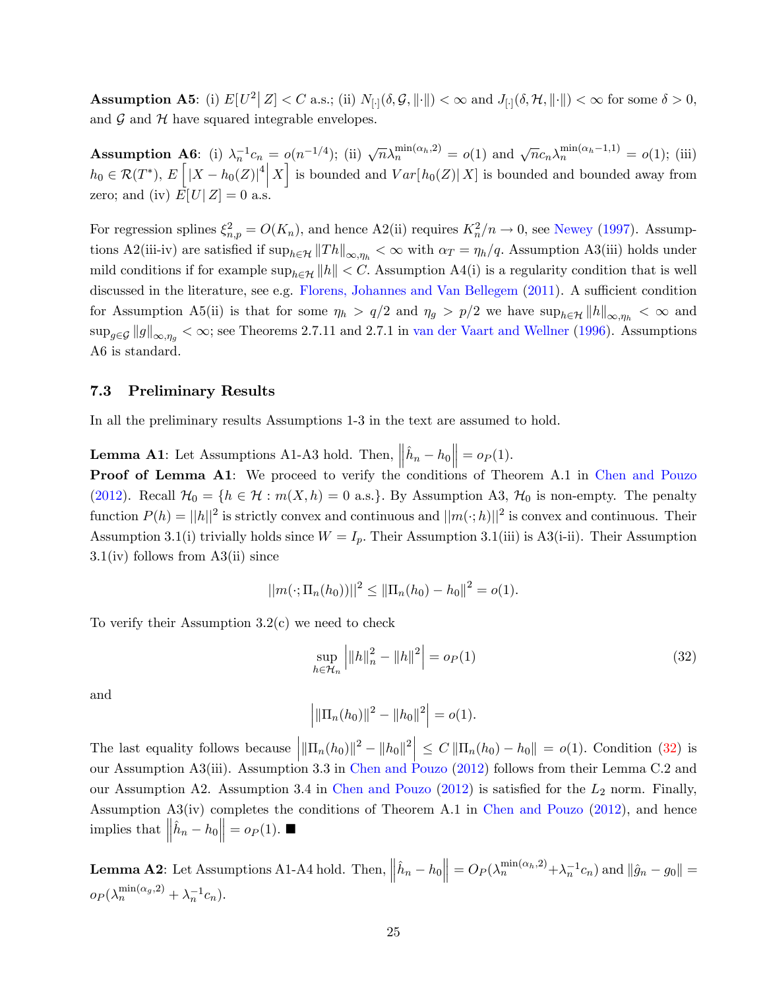Assumption A5: (i)  $E[U^2|Z] < C$  a.s.; (ii)  $N_{[\cdot]}(\delta, \mathcal{G}, \|\cdot\|) < \infty$  and  $J_{[\cdot]}(\delta, \mathcal{H}, \|\cdot\|) < \infty$  for some  $\delta > 0$ , and  $\mathcal G$  and  $\mathcal H$  have squared integrable envelopes.

**Assumption A6:** (i)  $\lambda_n^{-1}c_n = o(n^{-1/4})$ ; (ii)  $\sqrt{n}\lambda_n^{\min(\alpha_h,2)} = o(1)$  and  $\sqrt{n}c_n\lambda_n^{\min(\alpha_h-1,1)} = o(1)$ ; (iii)  $h_0 \in \mathcal{R}(T^*)$ ,  $E\left[|X-h_0(Z)|^4\Big|X\right]$  is bounded and  $Var[h_0(Z)|X]$  is bounded and bounded away from zero; and (iv)  $E[U|Z] = 0$  a.s.

For regression splines  $\xi_{n,p}^2 = O(K_n)$ , and hence A2(ii) requires  $K_n^2/n \to 0$ , see [Newey](#page-35-15) [\(1997\)](#page-35-15). Assumptions A2(iii-iv) are satisfied if  $\sup_{h\in\mathcal{H}}||Th||_{\infty,\eta_h} < \infty$  with  $\alpha_T = \eta_h/q$ . Assumption A3(iii) holds under mild conditions if for example  $\sup_{h\in\mathcal{H}}||h|| < C$ . Assumption A4(i) is a regularity condition that is well discussed in the literature, see e.g. [Florens, Johannes and Van Bellegem](#page-34-11) [\(2011\)](#page-34-11). A sufficient condition for Assumption A5(ii) is that for some  $\eta_h > q/2$  and  $\eta_g > p/2$  we have  $\sup_{h \in \mathcal{H}} ||h||_{\infty, \eta_h} < \infty$  and  $\sup_{g\in\mathcal{G}}||g||_{\infty,\eta_g}<\infty$ ; see Theorems 2.7.11 and 2.7.1 in [van der Vaart and Wellner](#page-36-4) [\(1996\)](#page-36-4). Assumptions A6 is standard.

#### 7.3 Preliminary Results

In all the preliminary results Assumptions 1-3 in the text are assumed to hold.

**Lemma A1**: Let Assumptions A1-A3 hold. Then,  $\left\|\hat{h}_n - h_0\right\| = o_P(1)$ .

Proof of Lemma A1: We proceed to verify the conditions of Theorem A.1 in [Chen and Pouzo](#page-34-0) [\(2012\)](#page-34-0). Recall  $\mathcal{H}_0 = \{h \in \mathcal{H} : m(X, h) = 0 \text{ a.s.}\}\$ . By Assumption A3,  $\mathcal{H}_0$  is non-empty. The penalty function  $P(h) = ||h||^2$  is strictly convex and continuous and  $||m(\cdot; h)||^2$  is convex and continuous. Their Assumption 3.1(i) trivially holds since  $W = I_p$ . Their Assumption 3.1(iii) is A3(i-ii). Their Assumption  $3.1$ (iv) follows from A $3$ (ii) since

$$
||m(\cdot; \Pi_n(h_0))||^2 \le ||\Pi_n(h_0) - h_0||^2 = o(1).
$$

To verify their Assumption 3.2(c) we need to check

<span id="page-24-0"></span>
$$
\sup_{h \in \mathcal{H}_n} \left| \|h\|_n^2 - \|h\|^2 \right| = o_P(1)
$$
\n(32)

and

$$
\left| \|\Pi_n(h_0)\|^2 - \|h_0\|^2 \right| = o(1).
$$

The last equality follows because  $\left| \|\Pi_n(h_0)\|^2 - \|h_0\|^2 \right| \leq C \|\Pi_n(h_0) - h_0\| = o(1)$ . Condition [\(32\)](#page-24-0) is our Assumption A3(iii). Assumption 3.3 in [Chen and Pouzo](#page-34-0) [\(2012\)](#page-34-0) follows from their Lemma C.2 and our Assumption A2. Assumption 3.4 in [Chen and Pouzo](#page-34-0)  $(2012)$  is satisfied for the  $L_2$  norm. Finally, Assumption A3(iv) completes the conditions of Theorem A.1 in [Chen and Pouzo](#page-34-0) [\(2012\)](#page-34-0), and hence implies that  $\left\|\hat{h}_n - h_0\right\| = o_P(1)$ .

**Lemma A2:** Let Assumptions A1-A4 hold. Then,  $\left\|\hat{h}_n - h_0\right\| = O_P(\lambda_n^{\min(\alpha_h,2)} + \lambda_n^{-1}c_n)$  and  $\|\hat{g}_n - g_0\|$  =  $o_P(\lambda_n^{\min(\alpha_g,2)} + \lambda_n^{-1}c_n).$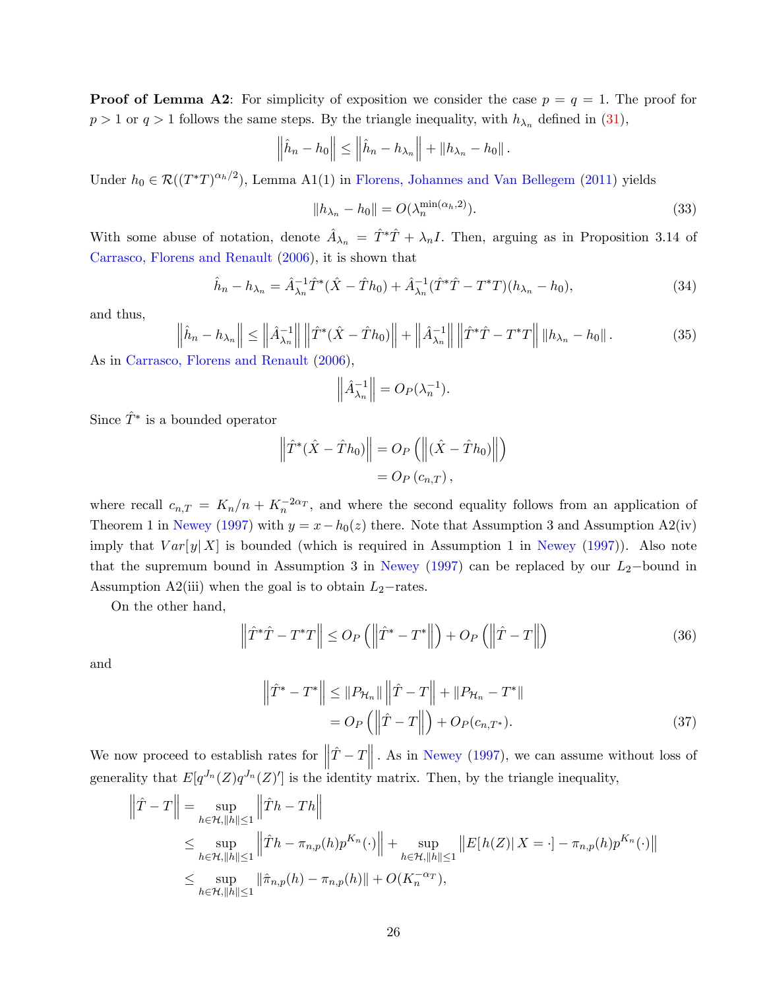**Proof of Lemma A2:** For simplicity of exposition we consider the case  $p = q = 1$ . The proof for  $p > 1$  or  $q > 1$  follows the same steps. By the triangle inequality, with  $h_{\lambda_n}$  defined in [\(31\)](#page-22-0),

$$
\left\|\hat{h}_{n} - h_{0}\right\| \le \left\|\hat{h}_{n} - h_{\lambda_{n}}\right\| + \left\|h_{\lambda_{n}} - h_{0}\right\|.
$$

Under  $h_0 \in \mathcal{R}((T^*T)^{\alpha_h/2})$ , Lemma A1(1) in [Florens, Johannes and Van Bellegem](#page-34-11) [\(2011\)](#page-34-11) yields

<span id="page-25-3"></span>
$$
||h_{\lambda_n} - h_0|| = O(\lambda_n^{\min(\alpha_h, 2)}).
$$
\n(33)

With some abuse of notation, denote  $\hat{A}_{\lambda_n} = \hat{T}^*\hat{T} + \lambda_n I$ . Then, arguing as in Proposition 3.14 of [Carrasco, Florens and Renault](#page-33-6) [\(2006\)](#page-33-6), it is shown that

<span id="page-25-4"></span>
$$
\hat{h}_n - h_{\lambda_n} = \hat{A}_{\lambda_n}^{-1} \hat{T}^* (\hat{X} - \hat{T}h_0) + \hat{A}_{\lambda_n}^{-1} (\hat{T}^* \hat{T} - T^* T)(h_{\lambda_n} - h_0), \tag{34}
$$

and thus,

<span id="page-25-0"></span>
$$
\left\|\hat{h}_n - h_{\lambda_n}\right\| \le \left\|\hat{A}_{\lambda_n}^{-1}\right\| \left\|\hat{T}^*(\hat{X} - \hat{T}h_0)\right\| + \left\|\hat{A}_{\lambda_n}^{-1}\right\| \left\|\hat{T}^*\hat{T} - T^*T\right\| \|h_{\lambda_n} - h_0\|.
$$
\n(35)

As in [Carrasco, Florens and Renault](#page-33-6) [\(2006\)](#page-33-6),

$$
\left\|\hat{A}_{\lambda_n}^{-1}\right\| = O_P(\lambda_n^{-1}).
$$

Since  $\hat{T}^*$  is a bounded operator

$$
\left\|\hat{T}^*(\hat{X} - \hat{T}h_0)\right\| = O_P\left(\left\|(\hat{X} - \hat{T}h_0)\right\|\right)
$$

$$
= O_P(c_{n,T}),
$$

where recall  $c_{n,T} = K_n/n + K_n^{-2\alpha_T}$ , and where the second equality follows from an application of Theorem 1 in [Newey](#page-35-15) [\(1997\)](#page-35-15) with  $y = x - h_0(z)$  there. Note that Assumption 3 and Assumption A2(iv) imply that  $Var[y|X]$  is bounded (which is required in Assumption 1 in [Newey](#page-35-15) [\(1997\)](#page-35-15)). Also note that the supremum bound in Assumption 3 in [Newey](#page-35-15) [\(1997\)](#page-35-15) can be replaced by our  $L_2$ -bound in Assumption A2(iii) when the goal is to obtain  $L_2$ -rates.

On the other hand,

<span id="page-25-1"></span>
$$
\left\| \hat{T}^* \hat{T} - T^* T \right\| \le O_P \left( \left\| \hat{T}^* - T^* \right\| \right) + O_P \left( \left\| \hat{T} - T \right\| \right) \tag{36}
$$

and

<span id="page-25-2"></span>
$$
\left\| \hat{T}^* - T^* \right\| \le \| P_{\mathcal{H}_n} \| \left\| \hat{T} - T \right\| + \| P_{\mathcal{H}_n} - T^* \|
$$
  
=  $O_P \left( \left\| \hat{T} - T \right\| \right) + O_P(c_{n,T^*}).$  (37)

We now proceed to establish rates for  $\left\|\hat{T} - T\right\|$ . As in [Newey](#page-35-15) [\(1997\)](#page-35-15), we can assume without loss of generality that  $E[q^{J_n}(Z)q^{J_n}(Z)']$  is the identity matrix. Then, by the triangle inequality,

$$
\begin{aligned}\n\left\|\hat{T} - T\right\| &= \sup_{h \in \mathcal{H}, \|h\| \le 1} \left\|\hat{T}h - Th\right\| \\
&\le \sup_{h \in \mathcal{H}, \|h\| \le 1} \left\|\hat{T}h - \pi_{n,p}(h)p^{K_n}(\cdot)\right\| + \sup_{h \in \mathcal{H}, \|h\| \le 1} \left\|E[h(Z)|X = \cdot] - \pi_{n,p}(h)p^{K_n}(\cdot)\right\| \\
&\le \sup_{h \in \mathcal{H}, \|h\| \le 1} \left\|\hat{\pi}_{n,p}(h) - \pi_{n,p}(h)\right\| + O(K_n^{-\alpha_T}),\n\end{aligned}
$$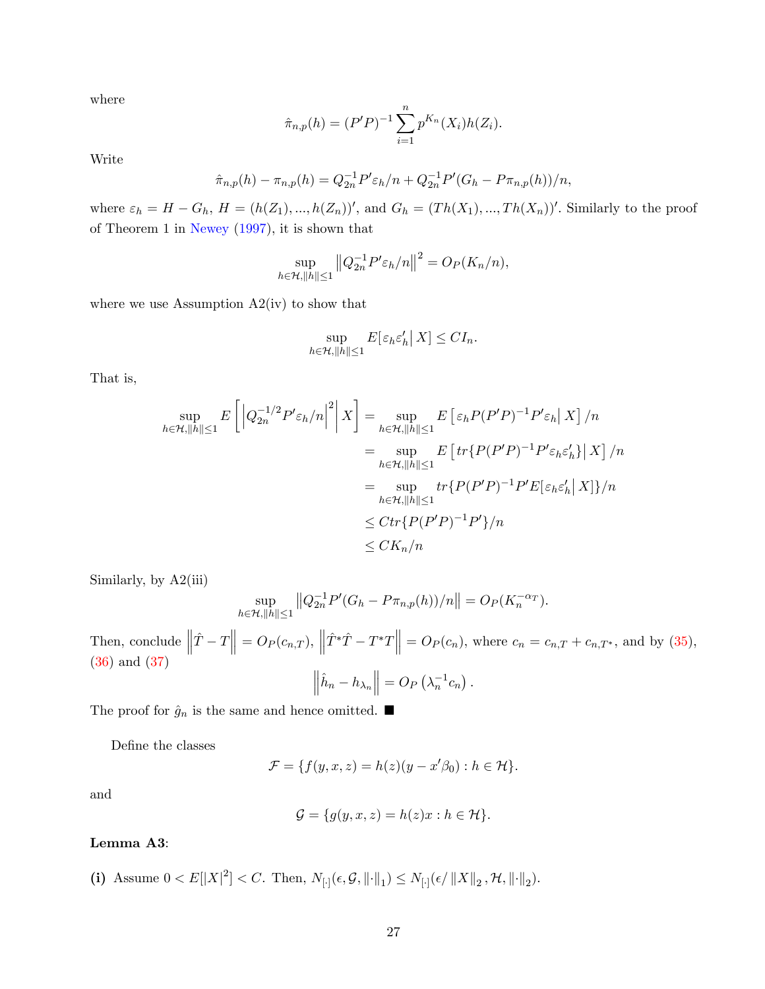where

$$
\hat{\pi}_{n,p}(h) = (P'P)^{-1} \sum_{i=1}^{n} p^{K_n}(X_i) h(Z_i).
$$

Write

$$
\hat{\pi}_{n,p}(h) - \pi_{n,p}(h) = Q_{2n}^{-1} P' \varepsilon_h / n + Q_{2n}^{-1} P' (G_h - P \pi_{n,p}(h)) / n,
$$

where  $\varepsilon_h = H - G_h$ ,  $H = (h(Z_1), ..., h(Z_n))'$ , and  $G_h = (Th(X_1), ..., Th(X_n))'$ . Similarly to the proof of Theorem 1 in [Newey](#page-35-15) [\(1997\)](#page-35-15), it is shown that

$$
\sup_{h \in \mathcal{H}, \|h\| \le 1} \|Q_{2n}^{-1} P' \varepsilon_h / n\|^2 = O_P(K_n/n),
$$

where we use Assumption  $A2(iv)$  to show that

$$
\sup_{h \in \mathcal{H}, \|h\| \le 1} E[\varepsilon_h \varepsilon'_h \,|\, X] \le C I_n.
$$

That is,

$$
\sup_{h \in \mathcal{H}, \|h\| \le 1} E\left[\left|Q_{2n}^{-1/2} P' \varepsilon_h / n\right|^2 \middle| X\right] = \sup_{h \in \mathcal{H}, \|h\| \le 1} E\left[\varepsilon_h P (P'P)^{-1} P' \varepsilon_h \middle| X\right] / n
$$
\n
$$
= \sup_{h \in \mathcal{H}, \|h\| \le 1} E\left[ tr \{P (P'P)^{-1} P' \varepsilon_h \varepsilon_h' \} \middle| X\right] / n
$$
\n
$$
= \sup_{h \in \mathcal{H}, \|h\| \le 1} tr \{P (P'P)^{-1} P' E[\varepsilon_h \varepsilon_h' \middle| X\} / n
$$
\n
$$
\leq C tr \{P (P'P)^{-1} P' \} / n
$$
\n
$$
\leq C K_n / n
$$

Similarly, by A2(iii)

$$
\sup_{h \in \mathcal{H}, \|h\| \le 1} \|Q_{2n}^{-1} P'(G_h - P \pi_{n,p}(h))/n\| = O_P(K_n^{-\alpha_T}).
$$

Then, conclude  $\left\|\hat{T} - T\right\| = O_P(c_{n,T})$ ,  $\left\|\hat{T}^*\hat{T} - T^*T\right\| = O_P(c_n)$ , where  $c_n = c_{n,T} + c_{n,T^*}$ , and by [\(35\)](#page-25-0), [\(36\)](#page-25-1) and [\(37\)](#page-25-2)  $\parallel$  $\parallel$ 

$$
\left\|\hat{h}_n - h_{\lambda_n}\right\| = O_P\left(\lambda_n^{-1}c_n\right).
$$

The proof for  $\hat{g}_n$  is the same and hence omitted.  $\blacksquare$ 

DeÖne the classes

$$
\mathcal{F} = \{f(y, x, z) = h(z)(y - x'\beta_0) : h \in \mathcal{H}\}.
$$

and

$$
\mathcal{G} = \{g(y, x, z) = h(z)x : h \in \mathcal{H}\}.
$$

#### Lemma A3:

(i) Assume  $0 < E[|X|^2] < C$ . Then,  $N_{[.]}(\epsilon, \mathcal{G}, ||\cdot||_1) \le N_{[.]}(\epsilon/||X||_2, \mathcal{H}, ||\cdot||_2)$ .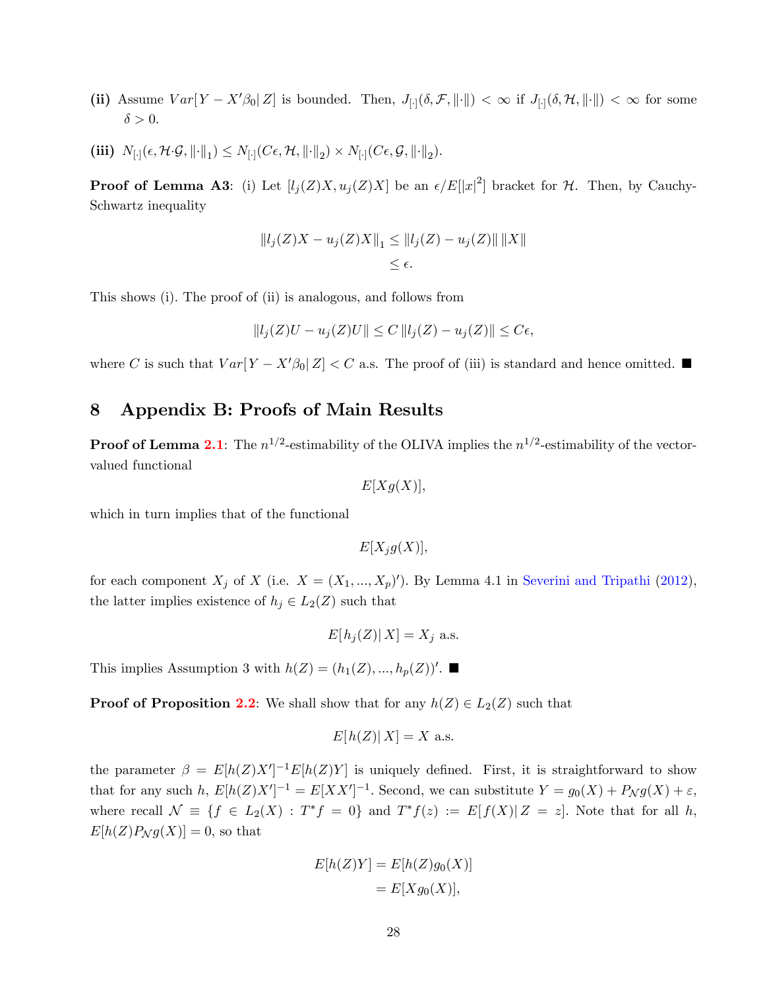- (ii) Assume  $Var[Y X'\beta_0|Z]$  is bounded. Then,  $J_{[\cdot]}(\delta, \mathcal{F}, \|\cdot\|) < \infty$  if  $J_{[\cdot]}(\delta, \mathcal{H}, \|\cdot\|) < \infty$  for some  $\delta > 0.$
- (iii)  $N_{[\cdot]}(\epsilon, \mathcal{H} \cdot \mathcal{G}, \lVert \cdot \rVert_1) \leq N_{[\cdot]}(C\epsilon, \mathcal{H}, \lVert \cdot \rVert_2) \times N_{[\cdot]}(C\epsilon, \mathcal{G}, \lVert \cdot \rVert_2).$

**Proof of Lemma A3**: (i) Let  $[l_j(Z)X, u_j(Z)X]$  be an  $\epsilon/E[|x|^2]$  bracket for  $\mathcal{H}$ . Then, by Cauchy-Schwartz inequality

$$
||l_j(Z)X - u_j(Z)X||_1 \le ||l_j(Z) - u_j(Z)|| ||X||
$$
  
\$\le \epsilon\$.

This shows (i): The proof of (ii) is analogous, and follows from

$$
||l_j(Z)U - u_j(Z)U|| \le C ||l_j(Z) - u_j(Z)|| \le C\epsilon,
$$

where C is such that  $Var[Y - X'\beta_0|Z] < C$  a.s. The proof of (iii) is standard and hence omitted.

# 8 Appendix B: Proofs of Main Results

**Proof of Lemma [2.1](#page-5-0)**: The  $n^{1/2}$ -estimability of the OLIVA implies the  $n^{1/2}$ -estimability of the vectorvalued functional

$$
E[Xg(X)],
$$

which in turn implies that of the functional

 $E[X_ig(X)],$ 

for each component  $X_j$  of X (i.e.  $X = (X_1, ..., X_p)')$ . By Lemma 4.1 in [Severini and Tripathi](#page-35-1) [\(2012\)](#page-35-1), the latter implies existence of  $h_j \in L_2(Z)$  such that

$$
E[h_j(Z)|X] = X_j \text{ a.s.}
$$

This implies Assumption 3 with  $h(Z) = (h_1(Z), ..., h_p(Z))'$ .

**Proof of Proposition [2.2](#page-6-2):** We shall show that for any  $h(Z) \in L_2(Z)$  such that

$$
E[h(Z)|X] = X \text{ a.s.}
$$

the parameter  $\beta = E[h(Z)X']^{-1}E[h(Z)Y]$  is uniquely defined. First, it is straightforward to show that for any such h,  $E[h(Z)X']^{-1} = E[XX']^{-1}$ . Second, we can substitute  $Y = g_0(X) + P_N g(X) + \varepsilon$ , where recall  $\mathcal{N} \equiv \{f \in L_2(X) : T^*f = 0\}$  and  $T^*f(z) := E[f(X)|Z = z]$ . Note that for all h,  $E[h(Z)P_{N}g(X)] = 0$ , so that

$$
E[h(Z)Y] = E[h(Z)g_0(X)]
$$
  

$$
= E[Xg_0(X)],
$$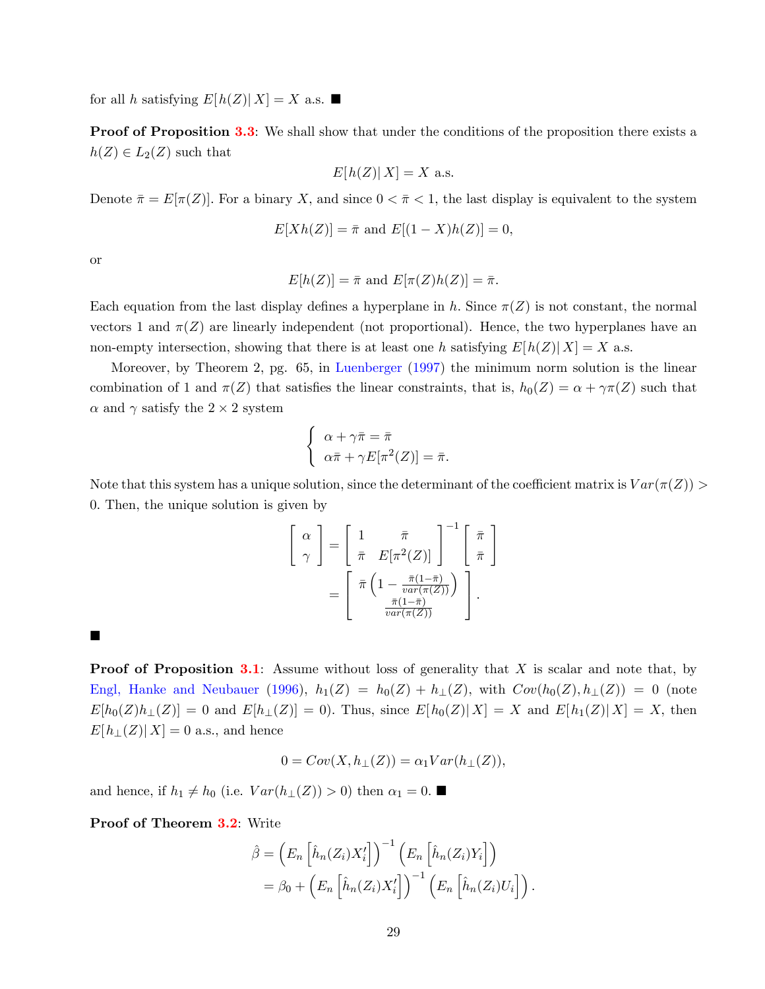for all h satisfying  $E[h(Z)|X] = X$  a.s.  $\blacksquare$ 

**Proof of Proposition [3.3](#page-11-2):** We shall show that under the conditions of the proposition there exists a  $h(Z) \in L_2(Z)$  such that

$$
E[h(Z)|X] = X \text{ a.s.}
$$

Denote  $\bar{\pi} = E[\pi(Z)]$ . For a binary X, and since  $0 < \bar{\pi} < 1$ , the last display is equivalent to the system

$$
E[Xh(Z)] = \bar{\pi}
$$
 and  $E[(1 - X)h(Z)] = 0$ ,

or

$$
E[h(Z)] = \overline{\pi} \text{ and } E[\pi(Z)h(Z)] = \overline{\pi}.
$$

Each equation from the last display defines a hyperplane in h. Since  $\pi(Z)$  is not constant, the normal vectors 1 and  $\pi(Z)$  are linearly independent (not proportional). Hence, the two hyperplanes have an non-empty intersection, showing that there is at least one h satisfying  $E[h(Z)|X] = X$  a.s.

Moreover, by Theorem 2, pg. 65, in [Luenberger](#page-35-13) [\(1997\)](#page-35-13) the minimum norm solution is the linear combination of 1 and  $\pi(Z)$  that satisfies the linear constraints, that is,  $h_0(Z) = \alpha + \gamma \pi(Z)$  such that  $\alpha$  and  $\gamma$  satisfy the 2  $\times$  2 system

$$
\begin{cases}\n\alpha + \gamma \bar{\pi} = \bar{\pi} \\
\alpha \bar{\pi} + \gamma E[\pi^2(Z)] = \bar{\pi}.\n\end{cases}
$$

Note that this system has a unique solution, since the determinant of the coefficient matrix is  $Var(\pi(Z))$ 0: Then, the unique solution is given by

$$
\begin{bmatrix}\n\alpha \\
\gamma\n\end{bmatrix} = \begin{bmatrix}\n1 & \bar{\pi} \\
\bar{\pi} & E[\pi^2(Z)]\n\end{bmatrix}^{-1} \begin{bmatrix}\n\bar{\pi} \\
\bar{\pi}\n\end{bmatrix}
$$
\n
$$
= \begin{bmatrix}\n\bar{\pi} \left(1 - \frac{\bar{\pi}(1-\bar{\pi})}{var(\pi(Z))}\right) \\
\frac{\bar{\pi}(1-\bar{\pi})}{var(\pi(Z))}\n\end{bmatrix}.
$$

**Proof of Proposition [3.1](#page-7-2)**: Assume without loss of generality that  $X$  is scalar and note that, by [Engl, Hanke and Neubauer](#page-34-8) [\(1996\)](#page-34-8),  $h_1(Z) = h_0(Z) + h_1(Z)$ , with  $Cov(h_0(Z), h_1(Z)) = 0$  (note  $E[h_0(Z)h_{\perp}(Z)] = 0$  and  $E[h_{\perp}(Z)] = 0$ ). Thus, since  $E[h_0(Z)|X] = X$  and  $E[h_1(Z)|X] = X$ , then  $E[h_{\perp}(Z)|X] = 0$  a.s., and hence

$$
0 = Cov(X, h_{\perp}(Z)) = \alpha_1 Var(h_{\perp}(Z)),
$$

and hence, if  $h_1 \neq h_0$  (i.e.  $Var(h_1(Z)) > 0$ ) then  $\alpha_1 = 0$ .

Proof of Theorem [3.2](#page-9-2): Write

$$
\hat{\beta} = \left( E_n \left[ \hat{h}_n(Z_i) X'_i \right] \right)^{-1} \left( E_n \left[ \hat{h}_n(Z_i) Y_i \right] \right)
$$
  
=  $\beta_0 + \left( E_n \left[ \hat{h}_n(Z_i) X'_i \right] \right)^{-1} \left( E_n \left[ \hat{h}_n(Z_i) U_i \right] \right).$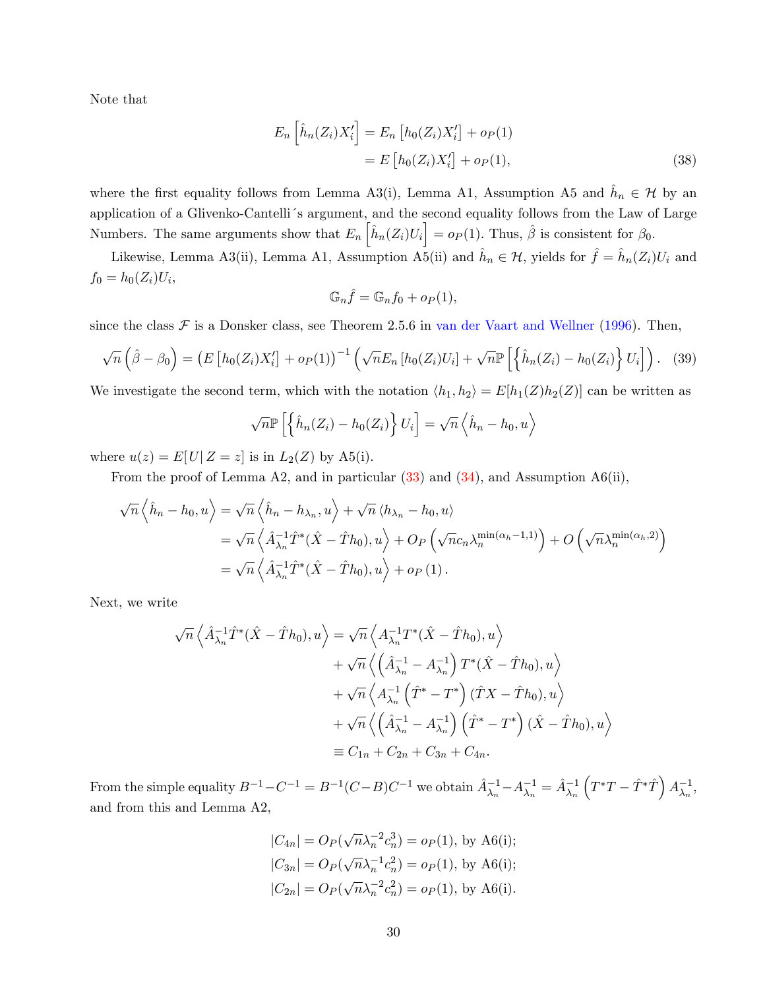Note that

$$
E_n\left[\hat{h}_n(Z_i)X'_i\right] = E_n\left[h_0(Z_i)X'_i\right] + o_P(1)
$$
  
=  $E\left[h_0(Z_i)X'_i\right] + o_P(1),$  (38)

where the first equality follows from Lemma A3(i), Lemma A1, Assumption A5 and  $\hat{h}_n \in \mathcal{H}$  by an application of a Glivenko-Cantelli's argument, and the second equality follows from the Law of Large Numbers. The same arguments show that  $E_n\left[\hat{h}_n(Z_i)U_i\right] = o_P (1)$ . Thus,  $\hat{\beta}$  is consistent for  $\beta_0$ .

Likewise, Lemma A3(ii), Lemma A1, Assumption A5(ii) and  $\hat{h}_n \in \mathcal{H}$ , yields for  $\hat{f} = \hat{h}_n(Z_i)U_i$  and  $f_0 = h_0(Z_i) U_i,$ 

<span id="page-29-1"></span>
$$
\mathbb{G}_n \hat{f} = \mathbb{G}_n f_0 + o_P(1),
$$

since the class  $\mathcal F$  is a Donsker class, see Theorem 2.5.6 in [van der Vaart and Wellner](#page-36-4) [\(1996\)](#page-36-4). Then,

<span id="page-29-0"></span>
$$
\sqrt{n}\left(\hat{\beta}-\beta_0\right)=\left(E\left[h_0(Z_i)X_i'\right]+\mathit{o}_P(1)\right)^{-1}\left(\sqrt{n}E_n\left[h_0(Z_i)U_i\right]+\sqrt{n}\mathbb{P}\left[\left\{\hat{h}_n(Z_i)-h_0(Z_i)\right\}U_i\right]\right).
$$
 (39)

We investigate the second term, which with the notation  $\langle h_1, h_2 \rangle = E[h_1(Z)h_2(Z)]$  can be written as

$$
\sqrt{n}\mathbb{P}\left[\left\{\hat{h}_n(Z_i) - h_0(Z_i)\right\} U_i\right] = \sqrt{n}\left\langle\hat{h}_n - h_0, u\right\rangle
$$

where  $u(z) = E[U|Z = z]$  is in  $L_2(Z)$  by A5(i).

From the proof of Lemma A2, and in particular  $(33)$  and  $(34)$ , and Assumption A6(ii),

$$
\sqrt{n}\left\langle \hat{h}_n - h_0, u \right\rangle = \sqrt{n}\left\langle \hat{h}_n - h_{\lambda_n}, u \right\rangle + \sqrt{n} \left\langle h_{\lambda_n} - h_0, u \right\rangle
$$
  
=  $\sqrt{n}\left\langle \hat{A}_{\lambda_n}^{-1} \hat{T}^*(\hat{X} - \hat{T}h_0), u \right\rangle + O_P\left(\sqrt{n}c_n\lambda_n^{\min(\alpha_h - 1, 1)}\right) + O\left(\sqrt{n}\lambda_n^{\min(\alpha_h, 2)}\right)$   
=  $\sqrt{n}\left\langle \hat{A}_{\lambda_n}^{-1} \hat{T}^*(\hat{X} - \hat{T}h_0), u \right\rangle + o_P(1).$ 

Next, we write

$$
\sqrt{n} \left\langle \hat{A}_{\lambda_n}^{-1} \hat{T}^*(\hat{X} - \hat{T}h_0), u \right\rangle = \sqrt{n} \left\langle A_{\lambda_n}^{-1} T^*(\hat{X} - \hat{T}h_0), u \right\rangle \n+ \sqrt{n} \left\langle \left( \hat{A}_{\lambda_n}^{-1} - A_{\lambda_n}^{-1} \right) T^*(\hat{X} - \hat{T}h_0), u \right\rangle \n+ \sqrt{n} \left\langle A_{\lambda_n}^{-1} \left( \hat{T}^* - T^* \right) (\hat{T}X - \hat{T}h_0), u \right\rangle \n+ \sqrt{n} \left\langle \left( \hat{A}_{\lambda_n}^{-1} - A_{\lambda_n}^{-1} \right) \left( \hat{T}^* - T^* \right) (\hat{X} - \hat{T}h_0), u \right\rangle \n\equiv C_{1n} + C_{2n} + C_{3n} + C_{4n}.
$$

From the simple equality  $B^{-1} - C^{-1} = B^{-1}(C-B)C^{-1}$  we obtain  $\hat{A}_{\lambda_n}^{-1} - A_{\lambda_n}^{-1} = \hat{A}_{\lambda_n}^{-1}$  $\left( T^{\ast }T-\hat{T}^{\ast }\hat{T}\right) A_{\lambda _{n}}^{-1}, \label{eq-qt:2}$ and from this and Lemma A2,

$$
|C_{4n}| = O_P(\sqrt{n}\lambda_n^{-2}c_n^3) = o_P(1), \text{ by A6(i)};
$$
  
\n
$$
|C_{3n}| = O_P(\sqrt{n}\lambda_n^{-1}c_n^2) = o_P(1), \text{ by A6(i)};
$$
  
\n
$$
|C_{2n}| = O_P(\sqrt{n}\lambda_n^{-2}c_n^2) = o_P(1), \text{ by A6(i)}.
$$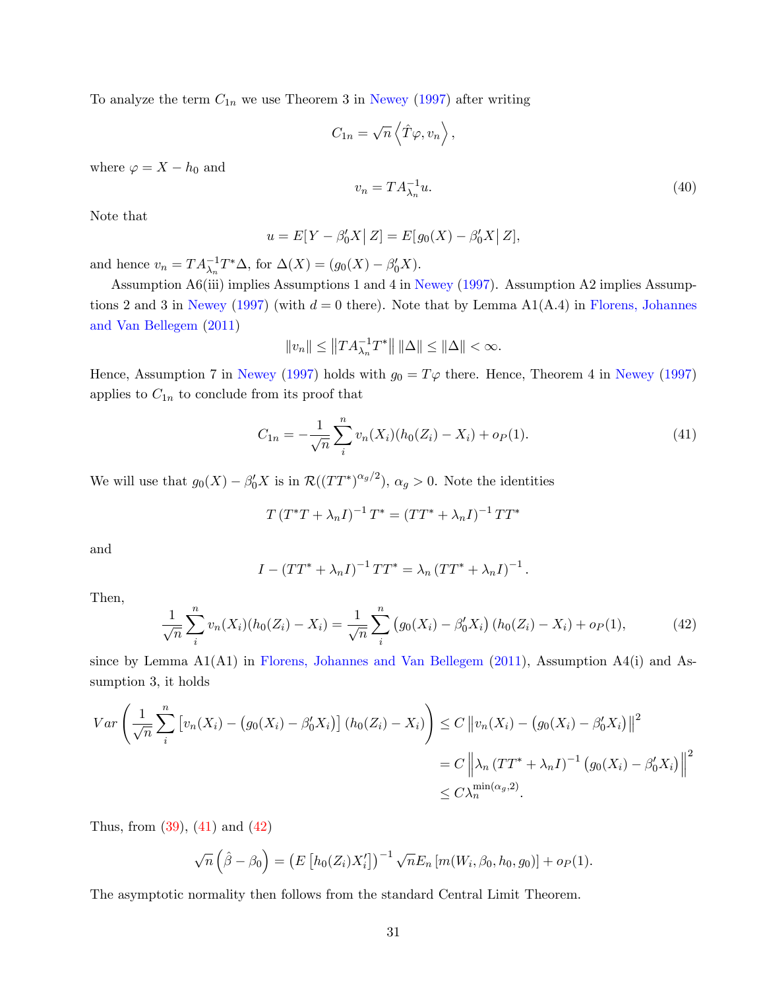To analyze the term  $C_{1n}$  we use Theorem 3 in [Newey](#page-35-15) [\(1997\)](#page-35-15) after writing

<span id="page-30-0"></span>
$$
C_{1n} = \sqrt{n} \left\langle \hat{T}\varphi, v_n \right\rangle,
$$
  

$$
v_n = T A_{\lambda_n}^{-1} u.
$$
 (40)

Note that

where  $\varphi = X - h_0$  and

$$
u = E[Y - \beta'_0 X | Z] = E[g_0(X) - \beta'_0 X | Z],
$$

and hence  $v_n = TA_{\lambda_n}^{-1}T^*\Delta$ , for  $\Delta(X) = (g_0(X) - \beta'_0X)$ .

Assumption A6(iii) implies Assumptions 1 and 4 in [Newey](#page-35-15) [\(1997\)](#page-35-15). Assumption A2 implies Assump-tions 2 and 3 in [Newey](#page-35-15) [\(1997\)](#page-35-15) (with  $d = 0$  there). Note that by Lemma A1(A.4) in [Florens, Johannes](#page-34-11) [and Van Bellegem](#page-34-11) [\(2011\)](#page-34-11)

$$
||v_n|| \le ||TA_{\lambda_n}^{-1}T^*|| ||\Delta|| \le ||\Delta|| < \infty.
$$

Hence, Assumption 7 in [Newey](#page-35-15) [\(1997\)](#page-35-15) holds with  $g_0 = T\varphi$  there. Hence, Theorem 4 in Newey (1997) applies to  $C_{1n}$  to conclude from its proof that

<span id="page-30-1"></span>
$$
C_{1n} = -\frac{1}{\sqrt{n}} \sum_{i}^{n} v_n(X_i)(h_0(Z_i) - X_i) + o_P(1).
$$
 (41)

:

We will use that  $g_0(X) - \beta'_0 X$  is in  $\mathcal{R}((TT^*)^{\alpha_g/2}), \alpha_g > 0$ . Note the identities

$$
T (T^*T + \lambda_n I)^{-1} T^* = (TT^* + \lambda_n I)^{-1} TT^*
$$

and

$$
I - (TT^* + \lambda_n I)^{-1} TT^* = \lambda_n (TT^* + \lambda_n I)^{-1}
$$

Then,

<span id="page-30-2"></span>
$$
\frac{1}{\sqrt{n}}\sum_{i}^{n}v_{n}(X_{i})(h_{0}(Z_{i})-X_{i})=\frac{1}{\sqrt{n}}\sum_{i}^{n}\left(g_{0}(X_{i})-\beta_{0}'X_{i}\right)(h_{0}(Z_{i})-X_{i})+o_{P}(1),
$$
\n(42)

since by Lemma  $A1(A1)$  in [Florens, Johannes and Van Bellegem](#page-34-11) [\(2011\)](#page-34-11), Assumption  $A4(i)$  and Assumption 3, it holds

$$
Var\left(\frac{1}{\sqrt{n}}\sum_{i}^{n} \left[ v_n(X_i) - (g_0(X_i) - \beta'_0 X_i) \right] (h_0(Z_i) - X_i) \right) \leq C \left\| v_n(X_i) - (g_0(X_i) - \beta'_0 X_i) \right\|^2
$$
  
=  $C \left\| \lambda_n (TT^* + \lambda_n I)^{-1} (g_0(X_i) - \beta'_0 X_i) \right\|^2$   
\$\leq C \lambda\_n^{\min(\alpha\_g, 2)}.

Thus, from [\(39\)](#page-29-0), [\(41\)](#page-30-1) and [\(42\)](#page-30-2)

$$
\sqrt{n}\left(\hat{\beta}-\beta_0\right) = \left(E\left[h_0(Z_i)X_i'\right]\right)^{-1}\sqrt{n}E_n\left[m(W_i,\beta_0,h_0,g_0)\right] + o_P(1).
$$

The asymptotic normality then follows from the standard Central Limit Theorem.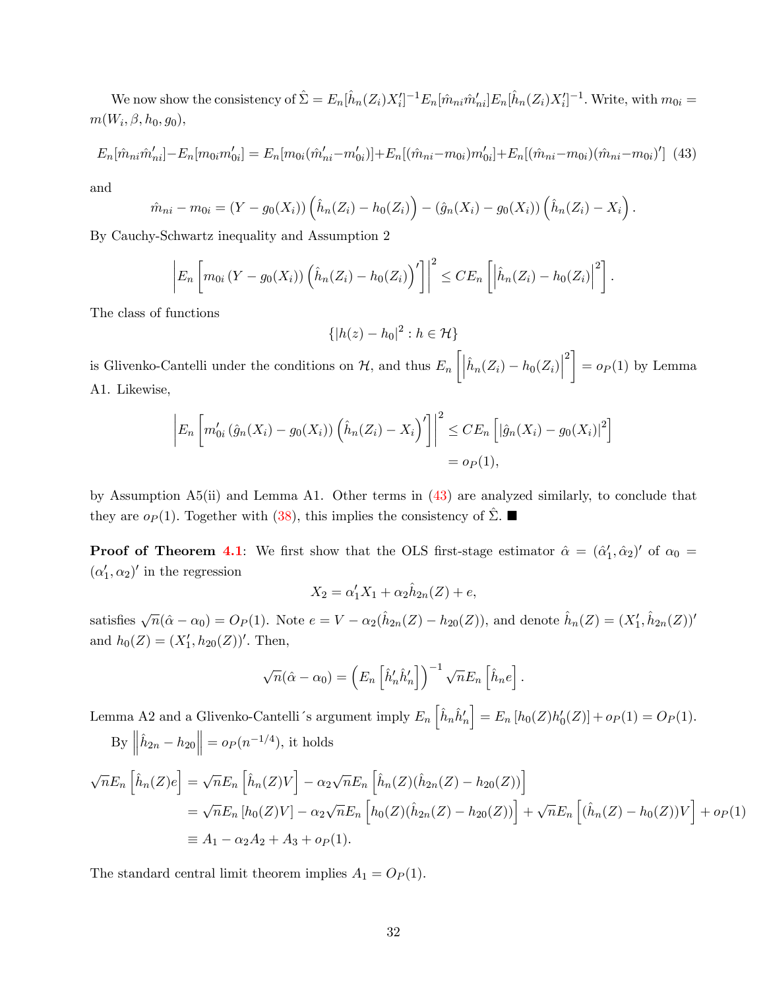We now show the consistency of  $\hat{\Sigma} = E_n[\hat{h}_n(Z_i)X_i']^{-1}E_n[\hat{m}_{ni}\hat{m}_{ni}'E_n[\hat{h}_n(Z_i)X_i']^{-1}$ . Write, with  $m_{0i} =$  $m(W_i, \beta, h_0, g_0),$ 

<span id="page-31-0"></span>
$$
E_n[\hat{m}_{ni}\hat{m}'_{ni}] - E_n[m_{0i}m'_{0i}] = E_n[m_{0i}(\hat{m}'_{ni} - m'_{0i})] + E_n[(\hat{m}_{ni} - m_{0i})m'_{0i}] + E_n[(\hat{m}_{ni} - m_{0i})(\hat{m}_{ni} - m_{0i})'] \tag{43}
$$

and

$$
\hat{m}_{ni} - m_{0i} = (Y - g_0(X_i)) \left( \hat{h}_n(Z_i) - h_0(Z_i) \right) - \left( \hat{g}_n(X_i) - g_0(X_i) \right) \left( \hat{h}_n(Z_i) - X_i \right).
$$

By Cauchy-Schwartz inequality and Assumption 2

$$
\left| E_n \left[ m_{0i} \left( Y - g_0(X_i) \right) \left( \hat{h}_n(Z_i) - h_0(Z_i) \right)' \right] \right|^2 \leq C E_n \left[ \left| \hat{h}_n(Z_i) - h_0(Z_i) \right|^2 \right].
$$

The class of functions

$$
\{|h(z)-h_0|^2: h\in\mathcal{H}\}
$$

is Glivenko-Cantelli under the conditions on  $\mathcal{H}$ , and thus  $E_n$  $\left\lceil \hat{h}_n(Z_i) - h_0(Z_i) \right\rceil$  $2<sup>7</sup>$  $= o_P(1)$  by Lemma A1. Likewise,

$$
\left| E_n \left[ m'_{0i} \left( \hat{g}_n(X_i) - g_0(X_i) \right) \left( \hat{h}_n(Z_i) - X_i \right)' \right] \right|^2 \leq C E_n \left[ \left| \hat{g}_n(X_i) - g_0(X_i) \right|^2 \right] \\ = o_P(1),
$$

by Assumption A5(ii) and Lemma A1. Other terms in [\(43\)](#page-31-0) are analyzed similarly, to conclude that they are  $o_P(1)$ . Together with [\(38\)](#page-29-1), this implies the consistency of  $\Sigma$ .

**Proof of Theorem [4.1](#page-15-1)**: We first show that the OLS first-stage estimator  $\hat{\alpha} = (\hat{\alpha}'_1, \hat{\alpha}_2)'$  of  $\alpha_0 =$  $(\alpha'_1, \alpha_2)'$  in the regression

$$
X_2 = \alpha'_1 X_1 + \alpha_2 \hat{h}_{2n}(Z) + e,
$$

satisfies  $\sqrt{n}(\hat{\alpha} - \alpha_0) = O_P(1)$ . Note  $e = V - \alpha_2(\hat{h}_{2n}(Z) - h_{20}(Z))$ , and denote  $\hat{h}_n(Z) = (X'_1, \hat{h}_{2n}(Z))'$ and  $h_0(Z) = (X'_1, h_{20}(Z))'.$  Then,

$$
\sqrt{n}(\hat{\alpha} - \alpha_0) = \left( E_n \left[ \hat{h}'_n \hat{h}'_n \right] \right)^{-1} \sqrt{n} E_n \left[ \hat{h}_n e \right]
$$

Lemma A2 and a Glivenko-Cantelli´s argument imply  $E_n\left[\hat{h}_n\hat{h}'_n\right]$  $\Big] = E_n \left[ h_0(Z) h'_0(Z) \right] + o_P(1) = O_P(1).$ By  $\left\| \hat{h}_{2n} - h_{20} \right\| = o_P(n^{-1/4})$ , it holds

$$
\sqrt{n}E_n\left[\hat{h}_n(Z)e\right] = \sqrt{n}E_n\left[\hat{h}_n(Z)V\right] - \alpha_2\sqrt{n}E_n\left[\hat{h}_n(Z)(\hat{h}_{2n}(Z) - h_{20}(Z))\right]
$$
  
=  $\sqrt{n}E_n\left[h_0(Z)V\right] - \alpha_2\sqrt{n}E_n\left[h_0(Z)(\hat{h}_{2n}(Z) - h_{20}(Z))\right] + \sqrt{n}E_n\left[(\hat{h}_n(Z) - h_0(Z))V\right] + o_P(1)$   
\equiv  $A_1 - \alpha_2A_2 + A_3 + o_P(1).$ 

:

The standard central limit theorem implies  $A_1 = O_P(1)$ .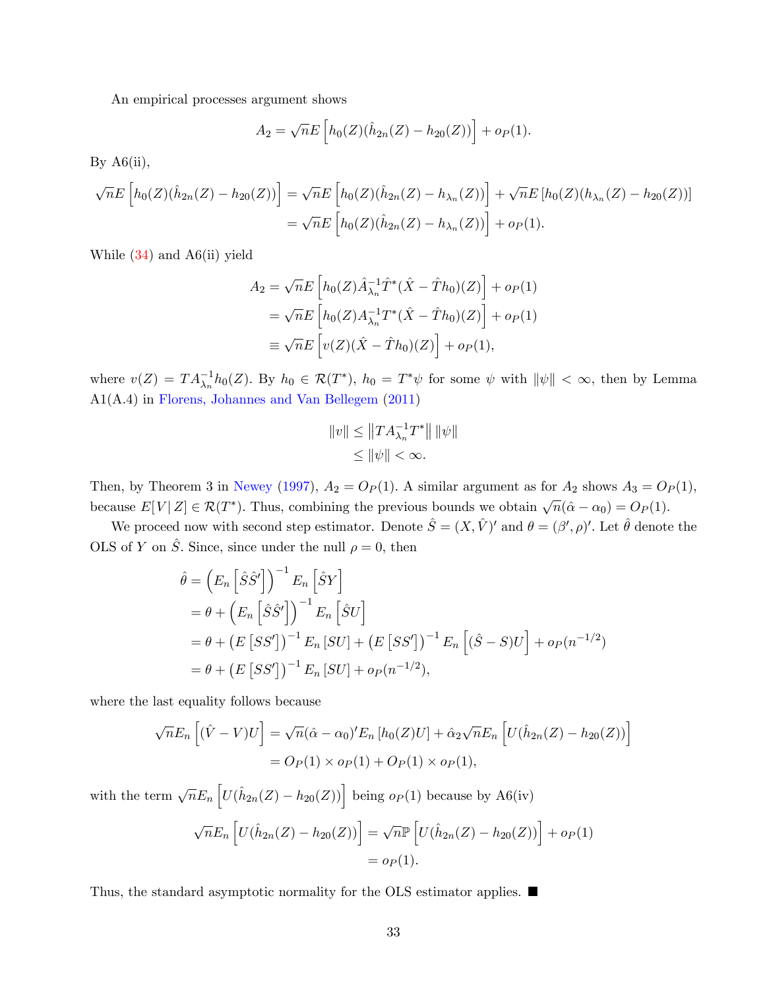An empirical processes argument shows

$$
A_2 = \sqrt{n}E\left[h_0(Z)(\hat{h}_{2n}(Z) - h_{20}(Z))\right] + op(1).
$$

By  $A6(ii)$ ,

$$
\sqrt{n}E\left[h_0(Z)(\hat{h}_{2n}(Z) - h_{20}(Z))\right] = \sqrt{n}E\left[h_0(Z)(\hat{h}_{2n}(Z) - h_{\lambda_n}(Z))\right] + \sqrt{n}E\left[h_0(Z)(h_{\lambda_n}(Z) - h_{20}(Z))\right]
$$
  
=  $\sqrt{n}E\left[h_0(Z)(\hat{h}_{2n}(Z) - h_{\lambda_n}(Z))\right] + o_P(1).$ 

While  $(34)$  and  $A6(i)$  yield

$$
A_2 = \sqrt{n}E \left[ h_0(Z)\hat{A}_{\lambda_n}^{-1}\hat{T}^*(\hat{X} - \hat{T}h_0)(Z) \right] + o_P(1)
$$
  
=  $\sqrt{n}E \left[ h_0(Z)A_{\lambda_n}^{-1}T^*(\hat{X} - \hat{T}h_0)(Z) \right] + o_P(1)$   
 $\equiv \sqrt{n}E \left[ v(Z)(\hat{X} - \hat{T}h_0)(Z) \right] + o_P(1),$ 

where  $v(Z) = TA_{\lambda_n}^{-1}h_0(Z)$ . By  $h_0 \in \mathcal{R}(T^*)$ ,  $h_0 = T^*\psi$  for some  $\psi$  with  $\|\psi\| < \infty$ , then by Lemma A1(A.4) in [Florens, Johannes and Van Bellegem](#page-34-11) [\(2011\)](#page-34-11)

$$
||v|| \le ||TA_{\lambda_n}^{-1}T^*|| \, ||\psi||
$$
  

$$
\le ||\psi|| < \infty.
$$

Then, by Theorem 3 in [Newey](#page-35-15) [\(1997\)](#page-35-15),  $A_2 = O_P(1)$ . A similar argument as for  $A_2$  shows  $A_3 = O_P(1)$ , because  $E[V|Z] \in \mathcal{R}(T^*)$ . Thus, combining the previous bounds we obtain  $\sqrt{n}(\hat{\alpha} - \alpha_0) = O_P(1)$ .

We proceed now with second step estimator. Denote  $\hat{S} = (X, \hat{V})'$  and  $\theta = (\beta', \rho)'$ . Let  $\hat{\theta}$  denote the OLS of Y on  $\hat{S}$ . Since, since under the null  $\rho = 0$ , then

$$
\hat{\theta} = \left(E_n \left[\hat{S}\hat{S}'\right]\right)^{-1} E_n \left[\hat{S}Y\right]
$$
  
\n
$$
= \theta + \left(E_n \left[\hat{S}\hat{S}'\right]\right)^{-1} E_n \left[\hat{S}U\right]
$$
  
\n
$$
= \theta + \left(E \left[SS'\right]\right)^{-1} E_n \left[SU\right] + \left(E \left[SS'\right]\right)^{-1} E_n \left[(\hat{S} - S)U\right] + o_P(n^{-1/2})
$$
  
\n
$$
= \theta + \left(E \left[SS'\right]\right)^{-1} E_n \left[SU\right] + o_P(n^{-1/2}),
$$

where the last equality follows because

$$
\sqrt{n}E_n\left[(\hat{V}-V)U\right] = \sqrt{n}(\hat{\alpha}-\alpha_0)'E_n\left[h_0(Z)U\right] + \hat{\alpha}_2\sqrt{n}E_n\left[U(\hat{h}_{2n}(Z)-h_{20}(Z))\right]
$$

$$
= O_P(1) \times o_P(1) + O_P(1) \times o_P(1),
$$

with the term  $\sqrt{n}E_n\left[U(\hat{h}_{2n}(Z) - h_{20}(Z))\right]$  being  $o_P(1)$  because by A6(iv)  $\sqrt{n}E_n \left[ U(\hat{h}_{2n}(Z) - h_{20}(Z)) \right] = \sqrt{n}\mathbb{P} \left[ U(\hat{h}_{2n}(Z) - h_{20}(Z)) \right] + o_P(1)$  $= o_P(1).$ 

Thus, the standard asymptotic normality for the OLS estimator applies.  $\blacksquare$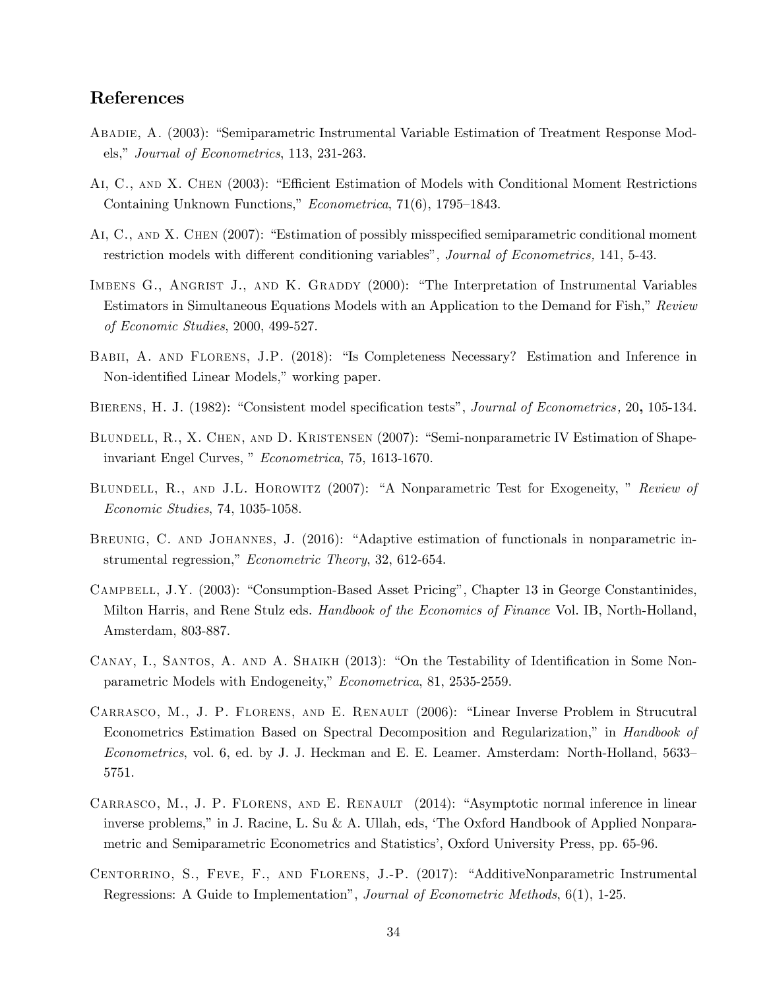# References

- <span id="page-33-4"></span>ABADIE, A. (2003): "Semiparametric Instrumental Variable Estimation of Treatment Response Models," Journal of Econometrics, 113, 231-263.
- <span id="page-33-1"></span>AI, C., AND X. CHEN (2003): "Efficient Estimation of Models with Conditional Moment Restrictions Containing Unknown Functions,"  $Econometrica$ , 71(6), 1795–1843.
- <span id="page-33-5"></span>AI, C., AND X. CHEN (2007): "Estimation of possibly misspecified semiparametric conditional moment restriction models with different conditioning variables", Journal of Econometrics, 141, 5-43.
- <span id="page-33-0"></span>IMBENS G., ANGRIST J., AND K. GRADDY (2000): "The Interpretation of Instrumental Variables Estimators in Simultaneous Equations Models with an Application to the Demand for Fish," Review of Economic Studies, 2000, 499-527.
- <span id="page-33-10"></span>BABII, A. AND FLORENS, J.P. (2018): "Is Completeness Necessary? Estimation and Inference in Non-identified Linear Models," working paper.
- <span id="page-33-11"></span>BIERENS, H. J. (1982): "Consistent model specification tests", Journal of Econometrics, 20, 105-134.
- <span id="page-33-2"></span>BLUNDELL, R., X. CHEN, AND D. KRISTENSEN (2007): "Semi-nonparametric IV Estimation of Shapeinvariant Engel Curves, " Econometrica, 75, 1613-1670.
- <span id="page-33-3"></span>BLUNDELL, R., AND J.L. HOROWITZ (2007): "A Nonparametric Test for Exogeneity, " Review of Economic Studies, 74, 1035-1058.
- <span id="page-33-8"></span>BREUNIG, C. AND JOHANNES, J. (2016): "Adaptive estimation of functionals in nonparametric instrumental regression," Econometric Theory, 32, 612-654.
- <span id="page-33-13"></span>CAMPBELL, J.Y. (2003): "Consumption-Based Asset Pricing", Chapter 13 in George Constantinides, Milton Harris, and Rene Stulz eds. Handbook of the Economics of Finance Vol. IB, North-Holland, Amsterdam, 803-887.
- <span id="page-33-9"></span>CANAY, I., SANTOS, A. AND A. SHAIKH (2013): "On the Testability of Identification in Some Nonparametric Models with Endogeneity," *Econometrica*, 81, 2535-2559.
- <span id="page-33-6"></span>CARRASCO, M., J. P. FLORENS, AND E. RENAULT (2006): "Linear Inverse Problem in Strucutral Econometrics Estimation Based on Spectral Decomposition and Regularization," in *Handbook of*  $Econometrics, vol. 6, ed. by J. J. Heckman and E. E. Leamer. Amsterdam: North-Holland, 5633–$ 5751.
- <span id="page-33-7"></span>CARRASCO, M., J. P. FLORENS, AND E. RENAULT (2014): "Asymptotic normal inference in linear inverse problems," in J. Racine, L. Su & A. Ullah, eds, 'The Oxford Handbook of Applied Nonparametric and Semiparametric Econometrics and Statistics', Oxford University Press, pp. 65-96.
- <span id="page-33-12"></span>CENTORRINO, S., FEVE, F., AND FLORENS, J.-P. (2017): "AdditiveNonparametric Instrumental Regressions: A Guide to Implementationî, Journal of Econometric Methods, 6(1), 1-25.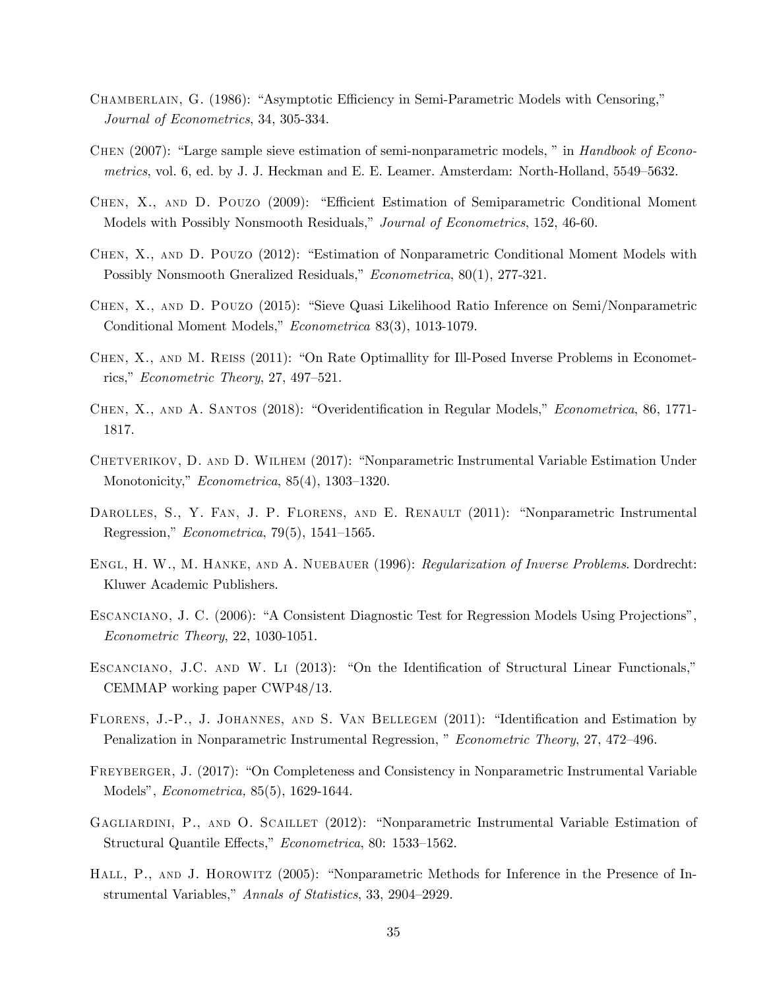- <span id="page-34-5"></span>CHAMBERLAIN, G. (1986): "Asymptotic Efficiency in Semi-Parametric Models with Censoring," Journal of Econometrics, 34, 305-334.
- <span id="page-34-13"></span>CHEN (2007): "Large sample sieve estimation of semi-nonparametric models, " in Handbook of Econometrics, vol. 6, ed. by J. J. Heckman and E. E. Leamer. Amsterdam: North-Holland,  $5549-5632$ .
- CHEN, X., AND D. POUZO (2009): "Efficient Estimation of Semiparametric Conditional Moment Models with Possibly Nonsmooth Residuals," Journal of Econometrics, 152, 46-60.
- <span id="page-34-0"></span>CHEN, X., AND D. POUZO (2012): "Estimation of Nonparametric Conditional Moment Models with Possibly Nonsmooth Gneralized Residuals," Econometrica, 80(1), 277-321.
- <span id="page-34-6"></span>CHEN, X., AND D. POUZO (2015): "Sieve Quasi Likelihood Ratio Inference on Semi/Nonparametric Conditional Moment Models," Econometrica 83(3), 1013-1079.
- CHEN, X., AND M. REISS  $(2011)$ : "On Rate Optimallity for Ill-Posed Inverse Problems in Econometrics,"  $Econometric Theory, 27, 497-521.$
- <span id="page-34-10"></span>CHEN, X., AND A. SANTOS (2018): "Overidentification in Regular Models," *Econometrica*, 86, 1771-1817.
- <span id="page-34-3"></span>CHETVERIKOV, D. AND D. WILHEM (2017): "Nonparametric Instrumental Variable Estimation Under Monotonicity,"  $Econometrica$ , 85(4), 1303–1320.
- <span id="page-34-2"></span>DAROLLES, S., Y. FAN, J. P. FLORENS, AND E. RENAULT (2011): "Nonparametric Instrumental Regression,"  $Econometrica$ , 79(5), 1541–1565.
- <span id="page-34-8"></span>Engl, H. W., M. Hanke, and A. Nuebauer (1996): Regularization of Inverse Problems. Dordrecht: Kluwer Academic Publishers.
- <span id="page-34-9"></span>ESCANCIANO, J. C. (2006): "A Consistent Diagnostic Test for Regression Models Using Projections", Econometric Theory, 22, 1030-1051.
- <span id="page-34-7"></span>ESCANCIANO, J.C. AND W. LI  $(2013)$ : "On the Identification of Structural Linear Functionals," CEMMAP working paper CWP48/13.
- <span id="page-34-11"></span>FLORENS, J.-P., J. JOHANNES, AND S. VAN BELLEGEM (2011): "Identification and Estimation by Penalization in Nonparametric Instrumental Regression, *" Econometric Theory*, 27, 472–496.
- <span id="page-34-4"></span>FREYBERGER, J. (2017): "On Completeness and Consistency in Nonparametric Instrumental Variable Models", *Econometrica*, 85(5), 1629-1644.
- <span id="page-34-12"></span>GAGLIARDINI, P., AND O. SCAILLET (2012): "Nonparametric Instrumental Variable Estimation of Structural Quantile Effects," Econometrica, 80: 1533-1562.
- <span id="page-34-1"></span>HALL, P., AND J. HOROWITZ (2005): "Nonparametric Methods for Inference in the Presence of Instrumental Variables," Annals of Statistics, 33, 2904–2929.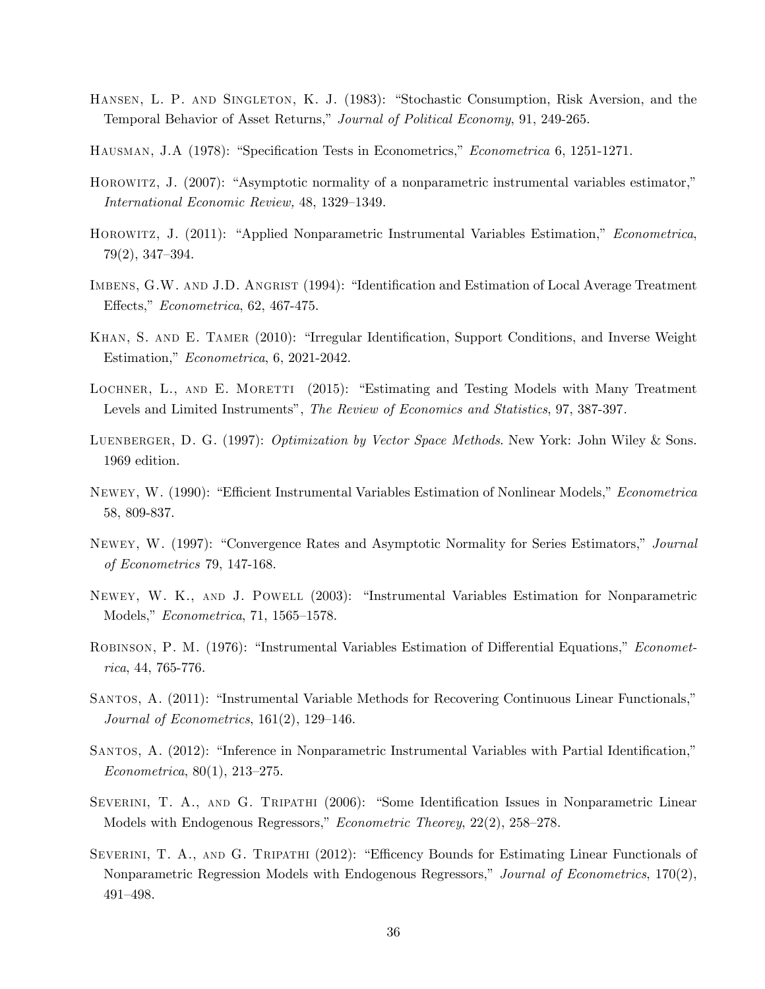- <span id="page-35-14"></span>HANSEN, L. P. AND SINGLETON, K. J. (1983): "Stochastic Consumption, Risk Aversion, and the Temporal Behavior of Asset Returns," Journal of Political Economy, 91, 249-265.
- <span id="page-35-5"></span>HAUSMAN, J.A (1978): "Specification Tests in Econometrics," *Econometrica* 6, 1251-1271.
- <span id="page-35-7"></span>HOROWITZ, J. (2007): "Asymptotic normality of a nonparametric instrumental variables estimator," International Economic Review, 48, 1329–1349.
- <span id="page-35-8"></span>HOROWITZ, J. (2011): "Applied Nonparametric Instrumental Variables Estimation," Econometrica,  $79(2), 347-394.$
- <span id="page-35-0"></span>IMBENS, G.W. AND J.D. ANGRIST (1994): "Identification and Estimation of Local Average Treatment Effects," *Econometrica*, 62, 467-475.
- <span id="page-35-12"></span>KHAN, S. AND E. TAMER (2010): "Irregular Identification, Support Conditions, and Inverse Weight Estimation," *Econometrica*, 6, 2021-2042.
- <span id="page-35-4"></span>LOCHNER, L., AND E. MORETTI (2015): "Estimating and Testing Models with Many Treatment Levels and Limited Instruments", The Review of Economics and Statistics, 97, 387-397.
- <span id="page-35-13"></span>LUENBERGER, D. G. (1997): *Optimization by Vector Space Methods*. New York: John Wiley & Sons. 1969 edition.
- <span id="page-35-3"></span>NEWEY, W. (1990): "Efficient Instrumental Variables Estimation of Nonlinear Models," Econometrica 58, 809-837.
- <span id="page-35-15"></span>NEWEY, W. (1997): "Convergence Rates and Asymptotic Normality for Series Estimators," Journal of Econometrics 79, 147-168.
- <span id="page-35-6"></span>NEWEY, W. K., AND J. POWELL (2003): "Instrumental Variables Estimation for Nonparametric Models," Econometrica, 71, 1565–1578.
- <span id="page-35-2"></span>ROBINSON, P. M. (1976): "Instrumental Variables Estimation of Differential Equations," Econometrica, 44, 765-776.
- <span id="page-35-11"></span>SANTOS, A. (2011): "Instrumental Variable Methods for Recovering Continuous Linear Functionals," Journal of Econometrics,  $161(2)$ ,  $129-146$ .
- <span id="page-35-9"></span>SANTOS, A. (2012): "Inference in Nonparametric Instrumental Variables with Partial Identification,"  $Econometrica, 80(1), 213-275.$
- <span id="page-35-10"></span>SEVERINI, T. A., AND G. TRIPATHI (2006): "Some Identification Issues in Nonparametric Linear Models with Endogenous Regressors," Econometric Theorey, 22(2), 258–278.
- <span id="page-35-1"></span>SEVERINI, T. A., AND G. TRIPATHI (2012): "Efficency Bounds for Estimating Linear Functionals of Nonparametric Regression Models with Endogenous Regressors," Journal of Econometrics, 170(2), 491-498.